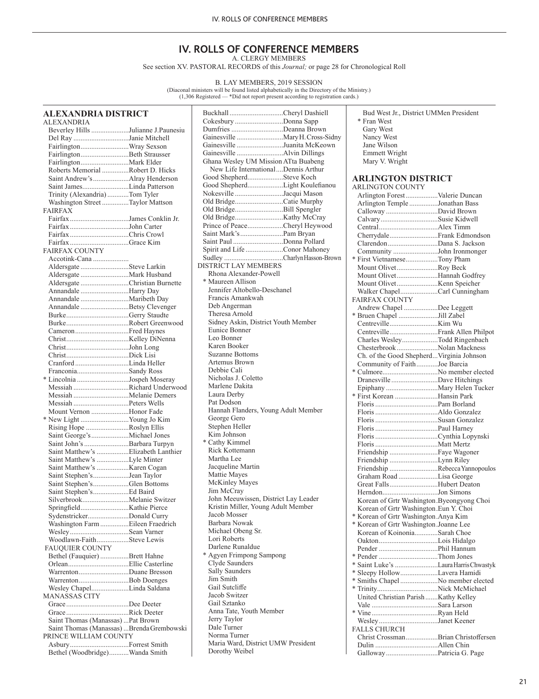#### **IV. ROLLS OF CONFERENCE MEMBERS** A. CLERGY MEMBERS

See section XV. PASTORAL RECORDS of this *Journal;* or page 28 for Chronological Roll

B. LAY MEMBERS, 2019 SESSION<br>(Diaconal ministers will be found listed alphabetically in the Directory of the Ministry.)<br>(1,306 Registered — \*Did not report present according to registration cards.)

| ALEXANDRIA DISTRICT |  |
|---------------------|--|
| A L EVANDDIA        |  |

| <b>ALEXANDRIA</b>                         |  |
|-------------------------------------------|--|
| Beverley Hills Julianne J.Paunesiu        |  |
| Del Ray Janie Mitchell                    |  |
| FairlingtonWray Sexson                    |  |
| FairlingtonBeth Strausser                 |  |
| FairlingtonMark Elder                     |  |
| Roberts Memorial Robert D. Hicks          |  |
| Saint Andrew's Alray Henderson            |  |
|                                           |  |
| Saint JamesLinda Patterson                |  |
| Trinity (Alexandria)Tom Tyler             |  |
| Washington Street Taylor Mattson          |  |
| <b>FAIRFAX</b>                            |  |
| Fairfax James Conklin Jr.                 |  |
| FairfaxJohn Carter                        |  |
|                                           |  |
| FairfaxGrace Kim                          |  |
| <b>FAIRFAX COUNTY</b>                     |  |
| Accotink-Cana                             |  |
| Aldersgate Steve Larkin                   |  |
| Aldersgate Mark Husband                   |  |
| Aldersgate Christian Burnette             |  |
|                                           |  |
| Annandale Harry Day                       |  |
| Annandale Maribeth Day                    |  |
| Annandale Betsy Clevenger                 |  |
| BurkeGerry Staudte                        |  |
|                                           |  |
| CameronFred Haynes                        |  |
|                                           |  |
| ChristJohn Long                           |  |
|                                           |  |
| Cranford Linda Heller                     |  |
| FranconiaSandy Ross                       |  |
|                                           |  |
| * Lincolnia Jospeh Moseray                |  |
| Messiah Richard Underwood                 |  |
| Messiah Melanie Demers                    |  |
| Messiah Peters Wells                      |  |
| Mount Vernon Honor Fade                   |  |
| * New Light Young Jo Kim                  |  |
| Rising Hope Roslyn Ellis                  |  |
| Saint George's Michael Jones              |  |
| Saint John's Barbara Turpyn               |  |
| Saint Matthew's Elizabeth Lanthier        |  |
|                                           |  |
| Saint Matthew's Lyle Minter               |  |
|                                           |  |
| Saint Stephen'sJean Taylor                |  |
| Saint Stephen'sGlen Bottoms               |  |
| Saint Stephen'sEd Baird                   |  |
| SilverbrookMelanie Switzer                |  |
|                                           |  |
| SydenstrickerDonald Curry                 |  |
| Washington Farm Eileen Fraedrich          |  |
| WesleySean Varner                         |  |
| Woodlawn-FaithSteve Lewis                 |  |
| <b>FAUQUIER COUNTY</b>                    |  |
|                                           |  |
| Bethel (Fauquier) Brett Hahne             |  |
|                                           |  |
| WarrentonDuane Bresson                    |  |
| WarrentonBob Doenges                      |  |
| Wesley ChapelLinda Saldana                |  |
| MANASSAS CITY                             |  |
| GraceDee Deeter                           |  |
|                                           |  |
| Saint Thomas (Manassas)  Pat Brown        |  |
| Saint Thomas (Manassas) Brenda Grembowski |  |
| PRINCE WILLIAM COUNTY                     |  |
|                                           |  |
|                                           |  |
| Bethel (Woodbridge)Wanda Smith            |  |

| Buckhall Cheryl Dashiell                                                    |
|-----------------------------------------------------------------------------|
| Cokesbury Donna Sapp                                                        |
| Dumfries Deanna Brown                                                       |
| Gainesville  Mary H. Cross-Sidny                                            |
| Gainesville Juanita McKeown                                                 |
|                                                                             |
| Ghana Wesley UM Mission ATta Buabeng<br>New Life InternationalDennis Arthur |
| Good ShepherdSteve Koch                                                     |
| Good ShepherdLight Koulefianou                                              |
| Nokesville Jacqui Mason                                                     |
| Old BridgeCatie Murphy                                                      |
| Old BridgeBill Spengler                                                     |
|                                                                             |
| Prince of PeaceCheryl Heywood                                               |
| Saint Mark's Pam Bryan                                                      |
| Saint Paul Donna Pollard                                                    |
| Spirit and Life Conor Mahoney                                               |
| Sudley CharlynHasson-Brown<br><b>DISTRICT LAY MEMBERS</b>                   |
| Rhona Alexander-Powell                                                      |
| * Maureen Allison                                                           |
| Jennifer Altobello-Deschanel                                                |
| Francis Amankwah                                                            |
| Deb Angerman                                                                |
| Theresa Arnold                                                              |
| Sidney Askin, District Youth Member                                         |
| Eunice Bonner                                                               |
| Leo Bonner                                                                  |
| Karen Booker                                                                |
| Suzanne Bottoms                                                             |
| Artemus Brown                                                               |
| Debbie Cali                                                                 |
| Nicholas J. Coletto                                                         |
| Marlene Dakita<br>Laura Derby                                               |
| Pat Dodson                                                                  |
| Hannah Flanders, Young Adult Member                                         |
| George Gero                                                                 |
| Stephen Heller                                                              |
| Kim Johnson                                                                 |
| * Cathy Kimmel                                                              |
| Rick Kottemann                                                              |
| Martha Lee                                                                  |
| Jacqueline Martin                                                           |
| Mattie Mayes                                                                |
| McKinley Mayes<br>Jim McCray                                                |
| John Meeuwissen, District Lay Leader                                        |
| Kristin Miller, Young Adult Member                                          |
| Jacob Mosser                                                                |
| Barbara Nowak                                                               |
| Michael Obeng Sr.                                                           |
| Lori Roberts                                                                |
| Darlene Runaldue                                                            |
| * Agyen Frimpong Sampong                                                    |
| Clyde Saunders                                                              |
| Sally Saunders                                                              |
| Jim Smith<br>Gail Sutcliffe                                                 |
| Jacob Switzer                                                               |
| Gail Sztanko                                                                |
| Anna Tate, Youth Member                                                     |
| Jerry Taylor                                                                |
| Dale Turner                                                                 |
| Norma Turner                                                                |
| Maria Ward, District UMW President                                          |
| Dorothy Weibel                                                              |
|                                                                             |

 Bud West Jr., District UMMen President \* Fran West Gary West Nancy West Jane Wilson Emmett Wright Mary V. Wright

# **ARLINGTON DISTRICT**

| INLINUTUN DIƏTNIUT                        |  |
|-------------------------------------------|--|
| <b>ARLINGTON COUNTY</b>                   |  |
| Arlington Forest Valerie Duncan           |  |
| Arlington Temple Jonathan Bass            |  |
| Calloway David Brown                      |  |
| CalvarySusie Kidwell                      |  |
|                                           |  |
| CherrydaleFrank Edmondson                 |  |
| Clarendon Dana S. Jackson                 |  |
| Community John Ironmonger                 |  |
| * First VietnameseTony Pham               |  |
| Mount OlivetRoy Beck                      |  |
| Mount OlivetHannah Godfrey                |  |
|                                           |  |
| Walker ChapelCarl Cunningham              |  |
| <b>FAIRFAX COUNTY</b>                     |  |
| Andrew Chapel Dee Leggett                 |  |
| * Bruen Chapel Jill Zabel                 |  |
|                                           |  |
| CentrevilleFrank Allen Philpot            |  |
| Charles WesleyTodd Ringenbach             |  |
| Chesterbrook Nolan Mackness               |  |
| Ch. of the Good ShepherdVirginia Johnson  |  |
| Community of FaithJoe Barcia              |  |
| * CulmoreNo member elected                |  |
| Dranesville Dave Hitchings                |  |
| Epiphany Mary Helen Tucker                |  |
| * First Korean Hansin Park                |  |
|                                           |  |
|                                           |  |
|                                           |  |
|                                           |  |
|                                           |  |
|                                           |  |
| Friendship Faye Wagoner                   |  |
| Friendship Lynn Riley                     |  |
| Friendship Rebecca Yannopoulos            |  |
| Graham Road Lisa George                   |  |
| Great FallsHubert Deaton                  |  |
| HerndonJon Simons                         |  |
| Korean of Grtr Washington.Byeongyong Choi |  |
| Korean of Grtr Washington.Eun Y. Choi     |  |
| * Korean of Grtr Washington.Anya Kim      |  |
| * Korean of Grtr Washington.Joanne Lee    |  |
| Korean of KoinoniaSarah Choe              |  |
|                                           |  |
|                                           |  |
| * Pender Thom Jones                       |  |
| * Saint Luke's Laura Harris Chwastyk      |  |
| * Sleepy HollowLavera Hamidi              |  |
| * Smiths Chapel No member elected         |  |
|                                           |  |
| United Christian Parish  Kathy Kelley     |  |
|                                           |  |
|                                           |  |
| WesleyJanet Keener                        |  |
| <b>FALLS CHURCH</b>                       |  |
| Christ CrossmanBrian Christoffersen       |  |
|                                           |  |
| Galloway Patricia G. Page                 |  |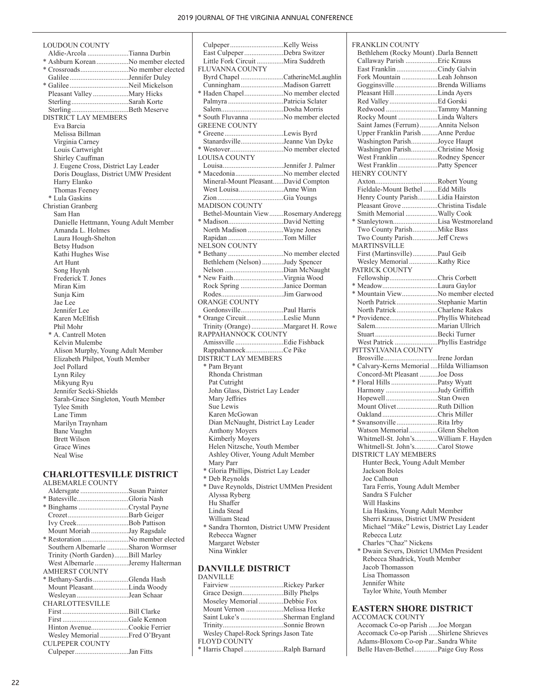FRANKLIN COUNTY

HENRY COUNTY

**MARTINSVILLE** 

PATRICK COUNTY

PITTSYLVANIA COUNTY

Bethlehem (Rocky Mount) .Darla Bennett Callaway Parish ..................Eric Krauss East Franklin .......................Cindy Galvin Fork Mountain ....................Leah Johnson Gogginsville........................Brenda Williams Pleasant Hill........................Linda Ayers Red Valley...........................Ed Gorski Redwood .............................Tammy Manning Rocky Mount ......................Linda Walters Saint James (Ferrum)..........Annita Nelson Upper Franklin Parish.........Anne Perdue Washington Parish...............Joyce Haupt Washington Parish...............Christine Mosig West Franklin ......................Rodney Spencer West Franklin ......................Patty Spencer

Axton...................................Robert Young Fieldale-Mount Bethel ........Edd Mills Henry County Parish...........Lidia Hairston Pleasant Grove ....................Christina Tisdale Smith Memorial ..................Wally Cook \* Stanleytown.........................Lisa Westmoreland Two County Parish..............Mike Bass Two County Parish..............Jeff Crews

First (Martinsville)..............Paul Geib Wesley Memorial................Kathy Rice

Fellowship...........................Chris Corbett \* Meadow...............................Laura Gaylor \* Mountain View....................No member elected North Patrick.......................Stephanie Martin North Patrick.......................Charlene Rakes \* Providence...........................Phyllis Whitehead Salem...................................Marian Ullrich Stuart...................................Becki Turner West Patrick ........................Phyllis Eastridge

Brosville..............................Irene Jordan \* Calvary-Kerns Memorial ....Hilda Williamson Concord-Mt Pleasant ..........Joe Doss \* Floral Hills..........................Patsy Wyatt

| LOUDOUN COUNTY                         |  |
|----------------------------------------|--|
| Aldie-Arcola Tianna Durbin             |  |
| * Ashburn Korean No member elected     |  |
| * CrossroadsNo member elected          |  |
| Galilee Jennifer Duley                 |  |
| * Galilee Neil Mickelson               |  |
| Pleasant Valley Mary Hicks             |  |
| SterlingSarah Korte                    |  |
| SterlingBeth Meserve                   |  |
| DISTRICT LAY MEMBERS                   |  |
| Eva Barcia                             |  |
| Melissa Billman                        |  |
| Virginia Carney                        |  |
| Louis Cartwright                       |  |
| Shirley Cauffman                       |  |
| J. Eugene Cross, District Lay Leader   |  |
| Doris Douglass, District UMW President |  |
| Harry Elanko                           |  |
| <b>Thomas Feeney</b>                   |  |
| * Lula Gaskins                         |  |
| Christian Granberg                     |  |
| Sam Han                                |  |
| Danielle Hettmann, Young Adult Member  |  |
| Amanda L. Holmes                       |  |
| Laura Hough-Shelton                    |  |
| <b>Betsy Hudson</b>                    |  |
| Kathi Hughes Wise                      |  |
| Art Hunt                               |  |
| Song Huynh                             |  |
| Frederick T. Jones                     |  |
| Miran Kim                              |  |
| Sunja Kim                              |  |
| Jae Lee                                |  |
| Jennifer Lee                           |  |
| Karen McElfish                         |  |
| Phil Mohr                              |  |
| * A. Cantrell Moten                    |  |
| Kelvin Mulembe                         |  |
| Alison Murphy, Young Adult Member      |  |
| Elizabeth Philpot, Youth Member        |  |
| Joel Pollard                           |  |
| Lynn Riley                             |  |
| Mikyung Ryu                            |  |
| Jennifer Secki-Shields                 |  |
| Sarah-Grace Singleton, Youth Member    |  |
| Tylee Smith                            |  |
| Lane Timm                              |  |
| Marilyn Traynham                       |  |
| <b>Bane Vaughn</b>                     |  |
| <b>Brett Wilson</b>                    |  |
| <b>Grace Wines</b>                     |  |
| Neal Wise                              |  |
|                                        |  |

# **CHARLOTTESVILLE DISTRICT**

| ALBEMARLE COUNTY |               |
|------------------|---------------|
| $A$ ldergrate    | Susan Painter |

| Aldersgate Susan Painter          |  |
|-----------------------------------|--|
| * BatesvilleGloria Nash           |  |
|                                   |  |
|                                   |  |
| Ivy CreekBob Pattison             |  |
| Mount Moriah Jay Ragsdale         |  |
| * Restoration No member elected   |  |
| Southern Albemarle Sharon Wormser |  |
| Trinity (North Garden)Bill Marley |  |
| West Albemarle Jeremy Halterman   |  |
| <b>AMHERST COUNTY</b>             |  |
| * Bethany-Sardis Glenda Hash      |  |
| Mount PleasantLinda Woody         |  |
| Wesleyan Jean Schaar              |  |
| <b>CHARLOTTESVILLE</b>            |  |
|                                   |  |
|                                   |  |
| Hinton AvenueCookie Ferrier       |  |
| Wesley Memorial Fred O'Bryant     |  |
| <b>CULPEPER COUNTY</b>            |  |
| CulpeperJan Fitts                 |  |
|                                   |  |

| East Culpeper Debra Switzer                                   |  |
|---------------------------------------------------------------|--|
| Little Fork Circuit Mira Suddreth                             |  |
| <b>FLUVANNA COUNTY</b>                                        |  |
| Byrd Chapel CatherineMcLaughlin                               |  |
| Cunningham Madison Garrett<br>* Haden ChapelNo member elected |  |
| Palmyra Patricia Sclater                                      |  |
|                                                               |  |
| * South Fluvanna No member elected                            |  |
| <b>GREENE COUNTY</b>                                          |  |
|                                                               |  |
| StanardsvilleJeanne Van Dyke                                  |  |
| * WestoverNo member elected<br><b>LOUISA COUNTY</b>           |  |
| LouisaJennifer J. Palmer                                      |  |
| * MacedoniaNo member elected                                  |  |
| Mineral-Mount PleasantDavid Compton                           |  |
| West LouisaAnne Winn                                          |  |
|                                                               |  |
| <b>MADISON COUNTY</b>                                         |  |
| Bethel-Mountain View Rosemary Anderegg                        |  |
| * MadisonDavid Netting                                        |  |
| North Madison Wayne Jones<br>Rapidan Tom Miller               |  |
| NELSON COUNTY                                                 |  |
| * Bethany No member elected                                   |  |
| Bethlehem (Nelson) Judy Spencer                               |  |
|                                                               |  |
|                                                               |  |
| Rock Spring Janice Dorman                                     |  |
| <b>ORANGE COUNTY</b>                                          |  |
| GordonsvillePaul Harris                                       |  |
| * Orange CircuitLeslie Munn                                   |  |
| Trinity (Orange) Margaret H. Rowe                             |  |
| RAPPAHANNOCK COUNTY                                           |  |
|                                                               |  |
| RappahannockCe Pike                                           |  |
| <b>DISTRICT LAY MEMBERS</b><br>* Pam Bryant                   |  |
| Rhonda Christman                                              |  |
| Pat Cutright                                                  |  |
| John Glass, District Lay Leader                               |  |
| Mary Jeffries                                                 |  |
| Sue Lewis                                                     |  |
| Karen McGowan                                                 |  |
| Dian McNaught, District Lay Leader                            |  |
| <b>Anthony Moyers</b><br>Kimberly Moyers                      |  |
| Helen Nitzsche, Youth Member                                  |  |
| Ashley Oliver, Young Adult Member                             |  |
| Mary Parr                                                     |  |
| * Gloria Phillips, District Lay Leader                        |  |
| * Deb Reynolds                                                |  |
| * Dave Reynolds, District UMMen President<br>Alyssa Ryberg    |  |
| Hu Shaffer                                                    |  |
| Linda Stead                                                   |  |
| William Stead                                                 |  |
| * Sandra Thornton, District UMW President                     |  |
| Rebecca Wagner                                                |  |
| Margaret Webster                                              |  |
| Nina Winkler                                                  |  |
|                                                               |  |
| <b>DANVILLE DISTRICT</b><br><b>DANVILLE</b>                   |  |
| Fairview Rickey Parker                                        |  |
| Grace DesignBilly Phelps                                      |  |
| Moseley MemorialDebbie Fox                                    |  |
| Mount Vernon Melissa Herke                                    |  |
| Saint Luke's Sherman England                                  |  |

Trinity..................................Sonnie Brown Wesley Chapel-Rock Springs Jason Tate

\* Harris Chapel ......................Ralph Barnard

FLOYD COUNTY

#### Harmony .............................Judy Griffith Hopewell.............................Stan Owen Mount Olivet.......................Ruth Dillion Oakland...............................Chris Miller \* Swansonville .......................Rita Irby Watson Memorial................Glenn Shelton Whitmell-St. John's.............William F. Hayden Whitmell-St. John's.............Carol Stowe DISTRICT LAY MEMBERS Hunter Beck, Young Adult Member Jackson Boles Joe Calhoun Tara Ferris, Young Adult Member Sandra S Fulcher Will Haskins Lia Haskins, Young Adult Member Sherri Krauss, District UMW President Michael "Mike" Lewis, District Lay Leader Rebecca Lutz Charles "Chaz" Nickens \* Dwain Severs, District UMMen President Rebecca Shadrick, Youth Member Jacob Thomasson Lisa Thomasson Jennifer White Taylor White, Youth Member **EASTERN SHORE DISTRICT** ACCOMACK COUNTY Accomack Co-op Parish .....Joe Morgan Accomack Co-op Parish .....Shirlene Shrieves

Adams-Bloxom Co-op Par..Sandra White Belle Haven-Bethel.............Paige Guy Ross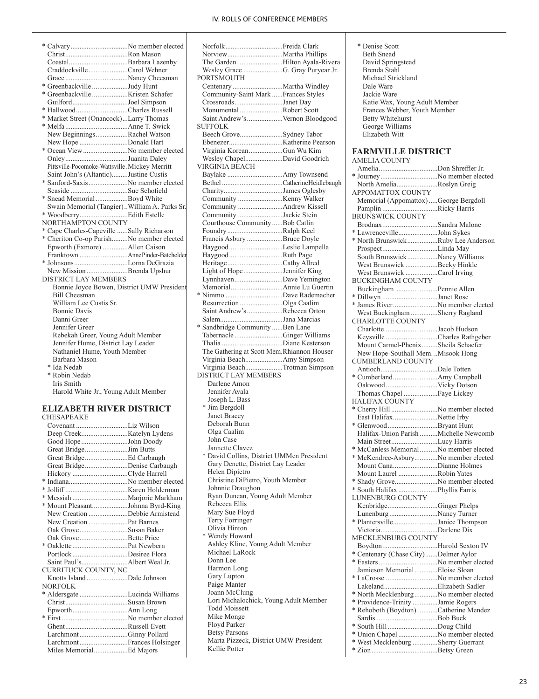| * CalvaryNo member elected                     |  |  |
|------------------------------------------------|--|--|
|                                                |  |  |
|                                                |  |  |
| CraddockvilleCarol Wehner                      |  |  |
| GraceNancy Cheesman                            |  |  |
| * Greenbackville Judy Hunt                     |  |  |
|                                                |  |  |
| GuilfordJoel Simpson                           |  |  |
| * HallwoodCharles Russell                      |  |  |
| * Market Street (Onancock)Larry Thomas         |  |  |
|                                                |  |  |
| New BeginningsRachel Watson                    |  |  |
| New Hope Donald Hart                           |  |  |
| * Ocean View No member elected                 |  |  |
| OnleyJuanita Daley                             |  |  |
| Pittsville-Pocomoke-Wattsville.Mickey Merritt  |  |  |
| Saint John's (Altantic)Justine Custis          |  |  |
| * Sanford-SaxisNo member elected               |  |  |
|                                                |  |  |
| Seaside Sue Schofield                          |  |  |
| * Snead Memorial Boyd White                    |  |  |
| Swain Memorial (Tangier). William A. Parks Sr. |  |  |
|                                                |  |  |
| NORTHAMPTON COUNTY                             |  |  |
| * Cape Charles-Capeville Sally Richarson       |  |  |
| * Cheriton Co-op ParishNo member elected       |  |  |
| Epworth (Exmore) Allen Caison                  |  |  |
| Franktown AnnePinder-Batchelder                |  |  |
| * JohnsonsLorna DeGrazia                       |  |  |
| New Mission Brenda Upshur                      |  |  |
| DISTRICT LAY MEMBERS                           |  |  |
| Bonnie Joyce Bowen, District UMW President     |  |  |
| <b>Bill Cheesman</b>                           |  |  |
| William Lee Custis Sr.                         |  |  |
| <b>Bonnie Davis</b>                            |  |  |
| Danni Greer                                    |  |  |
| Jennifer Greer                                 |  |  |
| Rebekah Greer, Young Adult Member              |  |  |
| Jennifer Hume, District Lay Leader             |  |  |
| Nathaniel Hume, Youth Member                   |  |  |
| Barbara Mason                                  |  |  |
| * Ida Nedab                                    |  |  |
| * Robin Nedab                                  |  |  |
| Iris Smith                                     |  |  |
| Harold White Jr., Young Adult Member           |  |  |
|                                                |  |  |
|                                                |  |  |
| <b>ELIZABETH RIVER DISTRICT</b>                |  |  |
| <b>CHESAPEAKE</b>                              |  |  |

| Covenant Liz Wilson              |  |
|----------------------------------|--|
|                                  |  |
| Good Hope John Doody             |  |
| Great BridgeJim Butts            |  |
|                                  |  |
| Great BridgeDenise Carbaugh      |  |
| Hickory Clyde Harrell            |  |
|                                  |  |
|                                  |  |
|                                  |  |
| * Mount PleasantJohnna Byrd-King |  |
| New Creation Debbie Armistead    |  |
| New Creation Pat Barnes          |  |
| Oak GroveSusan Baker             |  |
| Oak GroveBette Price             |  |
|                                  |  |
| PortlockDesiree Flora            |  |
|                                  |  |
| CURRITUCK COUNTY, NC             |  |
| Knotts Island Dale Johnson       |  |
| <b>NORFOLK</b>                   |  |
| * Aldersgate Lucinda Williams    |  |
|                                  |  |
|                                  |  |
|                                  |  |
|                                  |  |
| LarchmontGinny Pollard           |  |
| LarchmontFrances Holsinger       |  |
| Miles MemorialEd Majors          |  |

| NorfolkFreida Clark                                      |  |
|----------------------------------------------------------|--|
|                                                          |  |
| The GardenHilton Ayala-Rivera                            |  |
| Wesley Grace G. Gray Puryear Jr.                         |  |
| PORTSMOUTH                                               |  |
|                                                          |  |
| Community-Saint Mark Frances Styles                      |  |
| CrossroadsJanet Day                                      |  |
| Monumental Robert Scott                                  |  |
| Saint Andrew's Vernon Bloodgood                          |  |
| <b>SUFFOLK</b>                                           |  |
| Beech GroveSydney Tabor                                  |  |
|                                                          |  |
| Virginia KoreanGun Wu Kim                                |  |
| Wesley ChapelDavid Goodrich                              |  |
| <b>VIRGINIA BEACH</b>                                    |  |
|                                                          |  |
|                                                          |  |
| CharityJames Oglesby                                     |  |
|                                                          |  |
| Community Andrew Kissell                                 |  |
| Community Jackie Stein                                   |  |
| Courthouse Community  Bob Catlin                         |  |
| Foundry Ralph Keel                                       |  |
| Francis Asbury Bruce Doyle                               |  |
| Haygood Leslie Lampella                                  |  |
| HaygoodRuth Page                                         |  |
| HeritageCathy Allred                                     |  |
| Light of HopeJennifer King                               |  |
| LynnhavenDave Yemington                                  |  |
| MemorialAnnie Lu Guertin                                 |  |
| * Nimmo Dave Rademacher                                  |  |
| Resurrection Olga Caalim<br>Saint Andrew's Rebecca Orton |  |
|                                                          |  |
| SalemJana Marcias<br>* Sandbridge Community Ben Lane     |  |
| Tabernacle Ginger Williams                               |  |
|                                                          |  |
| The Gathering at Scott Mem.Rhiannon Houser               |  |
| Virginia BeachAmy Simpson                                |  |
| Virginia BeachTrotman Simpson                            |  |
| <b>DISTRICT LAY MEMBERS</b>                              |  |
| Darlene Amon                                             |  |
| Jennifer Ayala                                           |  |
| Joseph L. Bass                                           |  |
| * Jim Bergdoll                                           |  |
| Janet Bracey                                             |  |
| Deborah Bunn                                             |  |
| Olga Caalim                                              |  |
| John Case                                                |  |
| Jannette Clavez                                          |  |
| * David Collins, District UMMen President                |  |
| Gary Denette, District Lay Leader                        |  |
| Helen Dipietro                                           |  |
| Christine DiPietro, Youth Member                         |  |
| Johnnie Draughon                                         |  |
| Ryan Duncan, Young Adult Member                          |  |
| Rebecca Ellis                                            |  |
| Mary Sue Floyd                                           |  |
| Terry Forringer                                          |  |
| Olivia Hinton                                            |  |
| * Wendy Howard                                           |  |
| Ashley Kline, Young Adult Member                         |  |
| Michael LaRock                                           |  |
| Donn Lee                                                 |  |
| Harmon Long                                              |  |
| Gary Lupton                                              |  |
| Paige Manter                                             |  |
| Joann McClung                                            |  |
| Lori Michalochick, Young Adult Member                    |  |
| <b>Todd Moissett</b>                                     |  |
| Mike Monge                                               |  |
| Floyd Parker                                             |  |
| <b>Betsy Parsons</b>                                     |  |
| Marta Pizzeck, District UMW President                    |  |
| Kellie Potter                                            |  |

# **FARMVILLE DISTRICT**

| <b>AMELIA COUNTY</b>                   |  |
|----------------------------------------|--|
| AmeliaDon Shreffler Jr.                |  |
| * JourneyNo member elected             |  |
| North AmeliaRoslyn Greig               |  |
| APPOMATTOX COUNTY                      |  |
| Memorial (Appomattox) George Bergdoll  |  |
| Pamplin Ricky Harris                   |  |
| <b>BRUNSWICK COUNTY</b>                |  |
|                                        |  |
| BrodnaxSandra Malone                   |  |
| * LawrencevilleJohn Sykes              |  |
| * North Brunswick Ruby Lee Anderson    |  |
| ProspectLinda May                      |  |
| South Brunswick Nancy Williams         |  |
| West Brunswick Becky Hinkle            |  |
| West Brunswick Carol Irving            |  |
| <b>BUCKINGHAM COUNTY</b>               |  |
| Buckingham Pennie Allen                |  |
|                                        |  |
| * Dillwyn Janet Rose                   |  |
| * James RiverNo member elected         |  |
| West Buckingham Sherry Ragland         |  |
| <b>CHARLOTTE COUNTY</b>                |  |
| CharlotteJacob Hudson                  |  |
| Keysville Charles Rathgeber            |  |
| Mount Carmel-PhenixSheila Schaefer     |  |
| New Hope-Southall Mem.  Misook Hong    |  |
| <b>CUMBERLAND COUNTY</b>               |  |
| AntiochDale Totten                     |  |
|                                        |  |
|                                        |  |
|                                        |  |
| Thomas Chapel Faye Lickey              |  |
| HALIFAX COUNTY                         |  |
| * Cherry Hill No member elected        |  |
| East HalifaxNettie Irby                |  |
| * GlenwoodBryant Hunt                  |  |
| Halifax-Union Parish Michelle Newcomb  |  |
| Main StreetLucy Harris                 |  |
| * McCanless Memorial No member elected |  |
| * McKendree-AsburyNo member elected    |  |
| Mount CanaDianne Holmes                |  |
| Mount Laurel Robin Yates               |  |
| * Shady GroveNo member elected         |  |
|                                        |  |
| LUNENBURG COUNTY                       |  |
|                                        |  |
| KenbridgeGinger Phelps                 |  |
| Lunenburg Nancy Turner                 |  |
| * PlantersvilleJanice Thompson         |  |
| VictoriaDarlene Dix                    |  |
| MECKLENBURG COUNTY                     |  |
| BoydtonHarold Sexton IV                |  |
| * Centenary (Chase City)Delmer Aylor   |  |
| * EastersNo member elected             |  |
| Jamieson MemorialEloise Sloan          |  |
| * LaCrosse No member elected           |  |
|                                        |  |
|                                        |  |
| * North Mecklenburg No member elected  |  |
| * Providence-Trinity Jamie Rogers      |  |
| * Rehoboth (Boydton)Catherine Mendez   |  |
|                                        |  |
| * South HillDoug Child                 |  |
| * Union Chapel No member elected       |  |
| * West Mecklenburg Sherry Guerrant     |  |
|                                        |  |
|                                        |  |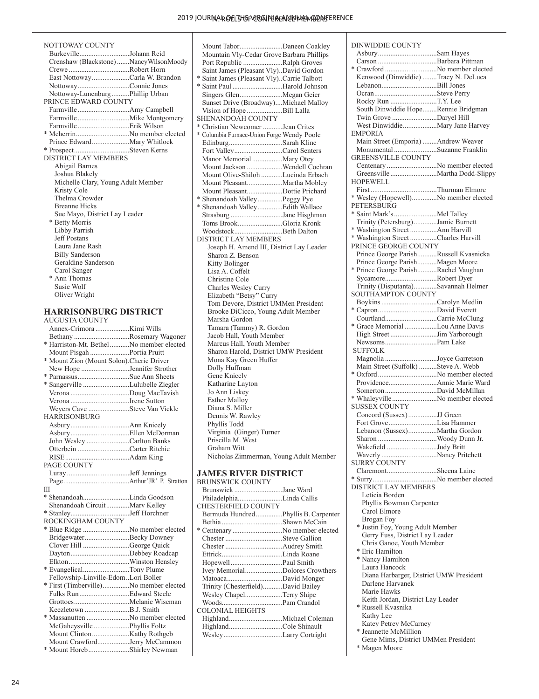| NOTTOWAY COUNTY                       |
|---------------------------------------|
| BurkevilleJohann Reid                 |
| Crenshaw (Blackstone)NancyWilsonMoody |
| CreweRobert Horn                      |
| East NottowayCarla W. Brandon         |
| NottowayConnie Jones                  |
| Nottoway-LunenburgPhillip Urban       |
| PRINCE EDWARD COUNTY                  |
| FarmvilleAmy Campbell                 |
|                                       |
|                                       |
| * MeherrinNo member elected           |
| Prince EdwardMary Whitlock            |
| * ProspectSteven Kerns                |
| <b>DISTRICT LAY MEMBERS</b>           |
| Abigail Barnes                        |
| Joshua Blakely                        |
| Michelle Clary, Young Adult Member    |
| Kristy Cole                           |
| Thelma Crowder                        |
| <b>Breanne Hicks</b>                  |
| Sue Mayo, District Lay Leader         |
| * Betty Morris                        |
| Libby Parrish                         |
| <b>Jeff Postans</b>                   |
| Laura Jane Rash                       |
| <b>Billy Sanderson</b>                |
| Geraldine Sanderson                   |
| Carol Sanger                          |
| * Ann Thomas                          |
| Susie Wolf                            |
| Oliver Wright                         |
|                                       |
|                                       |

#### **HARRISONBURG DISTRICT** AUGUSTA COUNTY

Annex-Crimora ...................Kimi Wills Bethany ...............................Rosemary Wagoner \* Harriston-Mt. Bethel...........No member elected Mount Pisgah ......................Portia Pruitt \* Mount Zion (Mount Solon).Cherie Driver New Hope ...........................Jennifer Strother \* Parnassus.............................Sue Ann Sheets \* Sangerville ..........................Lulubelle Ziegler Verona .................................Doug MacTavish Verona .................................Irene Sutton Weyers Cave .......................Steve Van Vickle HARRISONBURG Asbury.................................Ann Knicely Asbury.................................Ellen McDorman John Wesley ........................Carlton Banks Otterbein .............................Carter Ritchie RISE....................................Adam King PAGE COUNTY Luray...................................Jeff Jennings Page.....................................Arthur'JR' P. Stratton III \* Shenandoah..........................Linda Goodson Shenandoah Circuit.............Marv Kelley \* Stanley.................................Jeff Horchner ROCKINGHAM COUNTY \* Blue Ridge ..........................No member elected Bridgewater.........................Becky Downey Clover Hill ..........................George Quick Dayton.................................Debbey Roadcap Elkton..................................Winston Hensley \* Evangelical..........................Tony Plume Fellowship-Linville-Edom..Lori Boller \* First (Timberville)...............No member elected Fulks Run............................Edward Steele Grottoes...............................Melanie Wiseman Keezletown .........................B.J. Smith \* Massanutten ........................No member elected McGaheysville ....................Phyllis Foltz Mount Clinton.....................Kathy Rothgeb Mount Crawford..................Jerry McCammon \* Mount Horeb.......................Shirley Newman

Mount Tabor........................Daneen Coakley Mountain Vly-Cedar Grove Barbara Phillips Port Republic ......................Ralph Groves Saint James (Pleasant Vly)..David Gordon \* Saint James (Pleasant Vly)..Carrie Talbott \* Saint Paul ............................Harold Johnson Singers Glen........................Megan Geier Sunset Drive (Broadway)....Michael Malloy Vision of Hope ....................Bill Lalla SHENANDOAH COUNTY \* Christian Newcomer ...........Jean Crites \* Columbia Furnace-Union Forge Wendy Poole Edinburg..............................Sarah Kline Fort Valley...........................Carol Senters Manor Memorial .................Mary Otey Mount Jackson ....................Wendell Cochran Mount Olive-Shiloh ............Lucinda Erbach Mount Pleasant....................Martha Mobley Mount Pleasant....................Dottie Prichard \* Shenandoah Valley..............Peggy Pye \* Shenandoah Valley..............Edith Wallace Strasburg .............................Jane Hisghman Toms Brook.........................Gloria Kronk Woodstock...........................Beth Dalton DISTRICT LAY MEMBERS Joseph H. Amend III, District Lay Leader Sharon Z. Benson Kitty Bolinger Lisa A. Coffelt Christine Cole Charles Wesley Curry Elizabeth "Betsy" Curry Tom Devore, District UMMen President Brooke DiCicco, Young Adult Member Marsha Gordon Tamara (Tammy) R. Gordon Jacob Hall, Youth Member Marcus Hall, Youth Member Sharon Harold, District UMW President Mona Kay Green Huffer Dolly Huffman Gene Knicely Katharine Layton Jo Ann Liskey Esther Malloy Diana S. Miller Dennis W. Rawley Phyllis Todd Virginia (Ginger) Turner Priscilla M. West Graham Witt Nicholas Zimmerman, Young Adult Member

#### **JAMES RIVER DISTRICT**

| <b>BRUNSWICK COUNTY</b>             |  |
|-------------------------------------|--|
| Brunswick Jane Ward                 |  |
| PhiladelphiaLinda Callis            |  |
| CHESTERFIELD COUNTY                 |  |
| Bermuda HundredPhyllis B. Carpenter |  |
| Bethia Shawn McCain                 |  |
| * Centenary No member elected       |  |
|                                     |  |
|                                     |  |
|                                     |  |
| HopewellPaul Smith                  |  |
| Ivey MemorialDolores Crowthers      |  |
|                                     |  |
| Trinity (Chesterfield)David Bailey  |  |
| Wesley ChapelTerry Shipe            |  |
|                                     |  |
| <b>COLONIAL HEIGHTS</b>             |  |
|                                     |  |
| HighlandCole Shinault               |  |
|                                     |  |
|                                     |  |

| <b>DINWIDDIE COUNTY</b>                 |  |
|-----------------------------------------|--|
| AsburySam Hayes                         |  |
| Carson Barbara Pittman                  |  |
| * Crawford No member elected            |  |
|                                         |  |
| Kenwood (Dinwiddie) Tracy N. DeLuca     |  |
|                                         |  |
|                                         |  |
| Rocky Run T.Y. Lee                      |  |
|                                         |  |
| South Dinwiddie HopeRennie Bridgman     |  |
| Twin Grove Daryel Hill                  |  |
| West DinwiddieMary Jane Harvey          |  |
| <b>EMPORIA</b>                          |  |
|                                         |  |
| Main Street (Emporia) Andrew Weaver     |  |
| Monumental Suzanne Franklin             |  |
| <b>GREENSVILLE COUNTY</b>               |  |
| Centenary No member elected             |  |
|                                         |  |
|                                         |  |
| <b>HOPEWELL</b>                         |  |
|                                         |  |
| * Wesley (Hopewell)No member elected    |  |
| PETERSBURG                              |  |
|                                         |  |
| * Saint Mark's Mel Talley               |  |
| Trinity (Petersburg)Jamie Burnett       |  |
| * Washington Street Ann Harvill         |  |
| * Washington Street Charles Harvill     |  |
| PRINCE GEORGE COUNTY                    |  |
|                                         |  |
| Prince George ParishRussell Kvasnicka   |  |
| Prince George ParishMagen Moore         |  |
| * Prince George ParishRachel Vaughan    |  |
|                                         |  |
| SycamoreRobert Dyer                     |  |
| Trinity (Disputanta)Savannah Helmer     |  |
| <b>SOUTHAMPTON COUNTY</b>               |  |
| Boykins Carolyn Medlin                  |  |
|                                         |  |
|                                         |  |
| CourtlandCarrie McClung                 |  |
| * Grace Memorial Lou Anne Davis         |  |
| High StreetJim Yarborough               |  |
|                                         |  |
|                                         |  |
| <b>SUFFOLK</b>                          |  |
| Magnolia Joyce Garretson                |  |
|                                         |  |
|                                         |  |
| Main Street (Suffolk) Steve A. Webb     |  |
| * Oxford No member elected              |  |
| ProvidenceAnnie Marie Ward              |  |
| SomertonDavid McMillan                  |  |
|                                         |  |
| * WhaleyvilleNo member elected          |  |
| <b>SUSSEX COUNTY</b>                    |  |
| Concord (Sussex)JJ Green                |  |
| Fort GroveLisa Hammer                   |  |
| Lebanon (Sussex)Martha Gordon           |  |
|                                         |  |
|                                         |  |
| Wakefield Judy Britt                    |  |
| WaverlyNancy Pritchett                  |  |
|                                         |  |
| <b>SURRY COUNTY</b>                     |  |
| ClaremontSheena Laine                   |  |
| * SurryNo member elected                |  |
| <b>DISTRICT LAY MEMBERS</b>             |  |
| Leticia Borden                          |  |
|                                         |  |
| Phyllis Bowman Carpenter                |  |
| Carol Elmore                            |  |
| Brogan Foy                              |  |
| * Justin Foy, Young Adult Member        |  |
| Gerry Fuss, District Lay Leader         |  |
|                                         |  |
| Chris Ganoe, Youth Member               |  |
| * Eric Hamilton                         |  |
| * Nancy Hamilton                        |  |
| Laura Hancock                           |  |
| Diana Harbarger, District UMW President |  |
|                                         |  |
| Darlene Harvanek                        |  |
| Marie Hawks                             |  |
| Keith Jordan, District Lay Leader       |  |
| * Russell Kvasnika                      |  |
| Kathy Lee                               |  |
| Katey Petrey McCarney                   |  |

\* Jeannette McMillion

\* Magen Moore

Gene Mims, District UMMen President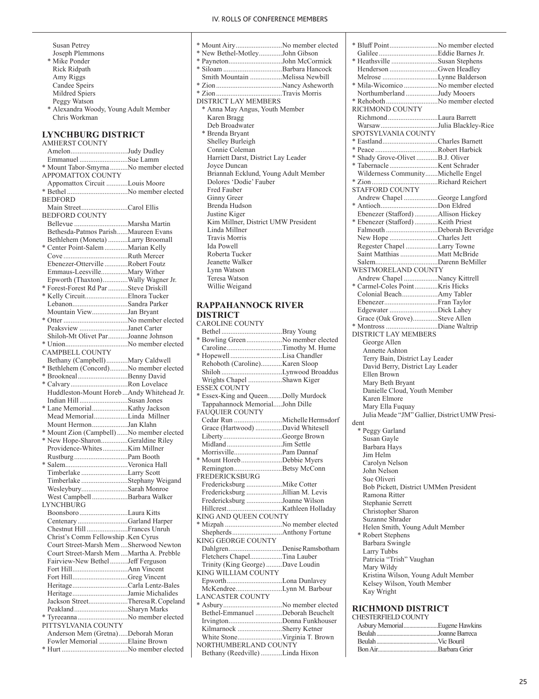- Susan Petrey Joseph Plemmons \* Mike Ponder Rick Ridpath Amy Riggs Candee Speirs Mildred Spiers Peggy Watson \* Alexandra Woody, Young Adult Member Chris Workman
- **LYNCHBURG DISTRICT**

AMHERST COUNTY Amelon................................Judy Dudley Emmanuel ...........................Sue Lamm \* Mount Tabor-Smyrna..........No member elected APPOMATTOX COUNTY Appomattox Circuit ............Louis Moore \* Bethel ..................................No member elected BEDFORD Main Street..........................Carol Ellis BEDFORD COUNTY Bellevue ..............................Marsha Martin Bethesda-Patmos Parish......Maureen Evans Bethlehem (Moneta) ...........Larry Broomall \* Center Point-Salem.............Marian Kelly Cove ....................................Ruth Mercer Ebenezer-Otterville .............Robert Foutz Emmaus-Leesville...............Mary Wither Epworth (Thaxton)..............Wally Wagner Jr. \* Forest-Forest Rd Par ...........Steve Driskill \* Kelly Circuit........................Elnora Tucker Lebanon...............................Sandra Parker Mountain View....................Jan Bryant \* Otter ....................................No member elected Peaksview ...........................Janet Carter Shiloh-Mt Olivet Par...........Joanne Johnson \* Union...................................No member elected CAMPBELL COUNTY Bethany (Campbell)............Mary Caldwell \* Bethlehem (Concord)..........No member elected \* Brookneal............................Benny David \* Calvary................................Ron Lovelace Huddleston-Mount Horeb ...Andy Whitehead Jr. Indian Hill ...........................Susan Jones \* Lane Memorial....................Kathy Jackson Mead Memorial...................Linda Millner Mount Hermon....................Jan Klahn \* Mount Zion (Campbell)......No member elected \* New Hope-Sharon...............Geraldine Riley Providence-Whites..............Kim Millner Rustburg..............................Pam Booth \* Salem...................................Veronica Hall Timberlake ..........................Larry Scott Timberlake ..........................Stephany Weigand Wesleybury..........................Sarah Monroe West Campbell....................Barbara Walker LYNCHBURG Boonsboro...........................Laura Kitts Centenary ............................Garland Harper Chestnut Hill.......................Frances Unruh Christ's Comm Fellowship .Ken Cyrus Court Street-Marsh Mem....Sherwood Newton Court Street-Marsh Mem....Martha A. Prebble Fairview-New Bethel..........Jeff Ferguson Fort Hill...............................Ann Vincent Fort Hill...............................Greg Vincent Heritage...............................Carla Lentz-Bales Heritage...............................Jamie Michalides Jackson Street......................Theresa R. Copeland Peakland..............................Sharyn Marks \* Tyreeanna............................No member elected PITTSYLVANIA COUNTY Anderson Mem (Gretna).....Deborah Moran Fowler Memorial ................Elaine Brown \* Hurt .....................................No member elected

| * Mount AiryNo member elected        |
|--------------------------------------|
| * New Bethel-MotleyJohn Gibson       |
| * PaynetonJohn McCormick             |
|                                      |
| Smith Mountain Melissa Newbill       |
|                                      |
|                                      |
| <b>DISTRICT LAY MEMBERS</b>          |
| * Anna May Angus, Youth Member       |
| Karen Bragg                          |
| Deb Broadwater                       |
| * Brenda Bryant                      |
| Shelley Burleigh                     |
| Connie Coleman                       |
| Harriett Darst, District Lay Leader  |
| Joyce Duncan                         |
| Briannah Ecklund, Young Adult Member |
| Dolores 'Dodie' Fauber               |
| Fred Fauber                          |
| Ginny Greer                          |
| Brenda Hudson                        |
| Justine Kiger                        |
| Kim Millner, District UMW President  |
| Linda Millner                        |
| <b>Travis Morris</b>                 |
| Ida Powell                           |
| Roberta Tucker                       |
| Jeanette Walker                      |
| Lynn Watson                          |
| Teresa Watson                        |
| Willie Weigand                       |
|                                      |

#### **RAPPAHANNOCK RIVER DISTRICT**

| <b>CAROLINE COUNTY</b>              |  |
|-------------------------------------|--|
|                                     |  |
| * Bowling Green No member elected   |  |
| CarolineTimothy M. Hume             |  |
| * HopewellLisa Chandler             |  |
| Rehoboth (Caroline)Karen Sloop      |  |
| Shiloh Lynwood Broaddus             |  |
| Wrights Chapel Shawn Kiger          |  |
| <b>ESSEX COUNTY</b>                 |  |
| * Essex-King and QueenDolly Murdock |  |
| Tappahannock MemorialJohn Dille     |  |
| <b>FAUQUIER COUNTY</b>              |  |
|                                     |  |
| Grace (Hartwood) David Whitesell    |  |
| LibertyGeorge Brown                 |  |
| MidlandJim Settle                   |  |
| MorrisvillePam Dannaf               |  |
| * Mount HorebDebbie Myers           |  |
| RemingtonBetsy McConn               |  |
| <b>FREDERICKSBURG</b>               |  |
| Fredericksburg Mike Cotter          |  |
| Fredericksburg Jillian M. Levis     |  |
| Fredericksburg Joanne Wilson        |  |
|                                     |  |
| KING AND QUEEN COUNTY               |  |
| * Mizpah No member elected          |  |
|                                     |  |
| KING GEORGE COUNTY                  |  |
| DahlgrenDenise Ramsbotham           |  |
| Fletchers ChapelTina Lauber         |  |
| Trinity (King George)Dave Loudin    |  |
| KING WILLIAM COUNTY                 |  |
| EpworthLona Dunlavey                |  |
| McKendreeLynn M. Barbour            |  |
| <b>LANCASTER COUNTY</b>             |  |
| * AsburyNo member elected           |  |
| Bethel-Emmanuel Deborah Beuchelt    |  |
| IrvingtonDonna Funkhouser           |  |
| Kilmarnock Sherry Ketner            |  |
|                                     |  |
| NORTHUMBERLAND COUNTY               |  |
| Bethany (Reedville) Linda Hixon     |  |

| * Bluff PointNo member elected                |  |
|-----------------------------------------------|--|
|                                               |  |
| * Heathsville Susan Stephens                  |  |
| Henderson Gwen Headley                        |  |
| Melrose Lynne Balderson                       |  |
| * Mila-Wicomico No member elected             |  |
| Northumberland Judy Mooers                    |  |
| * Rehoboth No member elected                  |  |
| RICHMOND COUNTY                               |  |
| RichmondLaura Barrett                         |  |
| WarsawJulia Blackley-Rice                     |  |
| SPOTSYLVANIA COUNTY                           |  |
| * EastlandCharles Barnett                     |  |
|                                               |  |
| * Shady Grove-Olivet B.J. Oliver              |  |
|                                               |  |
| Wilderness CommunityMichelle Engel            |  |
|                                               |  |
|                                               |  |
| <b>STAFFORD COUNTY</b>                        |  |
| Andrew Chapel George Langford                 |  |
| * AntiochDon Eldred                           |  |
| Ebenezer (Stafford) Allison Hickey            |  |
| * Ebenezer (Stafford) Keith Priest            |  |
| Falmouth Deborah Beveridge                    |  |
| New Hope Charles Jett                         |  |
|                                               |  |
| Regester Chapel Larry Towne                   |  |
| Saint Matthias Matt McBride                   |  |
|                                               |  |
| WESTMORELAND COUNTY                           |  |
| Andrew Chapel Nancy Kittrell                  |  |
| * Carmel-Coles PointKris Hicks                |  |
| Colonial BeachAmy Tabler                      |  |
| EbenezerFran Taylor                           |  |
| Edgewater Dick Lahey                          |  |
| Grace (Oak Grove)Steve Allen                  |  |
|                                               |  |
| * Montross Diane Waltrip                      |  |
| DISTRICT LAY MEMBERS                          |  |
| George Allen                                  |  |
| Annette Ashton                                |  |
| Terry Bain, District Lay Leader               |  |
| David Berry, District Lay Leader              |  |
| Ellen Brown                                   |  |
| Mary Beth Bryant                              |  |
| Danielle Cloud, Youth Member                  |  |
| Karen Elmore                                  |  |
|                                               |  |
| Mary Ella Fuquay                              |  |
| Julia Meade "JM" Gallier, District UMW Presi- |  |
| dent                                          |  |
| * Peggy Garland                               |  |
| Susan Gayle                                   |  |
| Barbara Hays                                  |  |
| Jim Helm                                      |  |
| Carolyn Nelson                                |  |
| John Nelson                                   |  |
| Sue Oliveri                                   |  |
|                                               |  |
| Bob Pickett, District UMMen President         |  |
| Ramona Ritter                                 |  |
| Stephanie Serrett                             |  |
| Christopher Sharon                            |  |
| Suzanne Shrader                               |  |
| Helen Smith, Young Adult Member               |  |
| * Robert Stephens                             |  |
| Barbara Swingle                               |  |
| Larry Tubbs                                   |  |
| Patricia "Trish" Vaughan                      |  |
|                                               |  |
| Mary Wildy                                    |  |
| Kristina Wilson, Young Adult Member           |  |
| Kelsey Wilson, Youth Member                   |  |
| Kay Wright                                    |  |
|                                               |  |
| <b>RICHMOND DISTRICT</b>                      |  |
| CHESTERFIELD COUNTY                           |  |
| Asbury MemorialEugene Hawkins                 |  |
|                                               |  |
|                                               |  |

Beulah...........................................Vic Bouril Bon Air..........................................Barbara Grier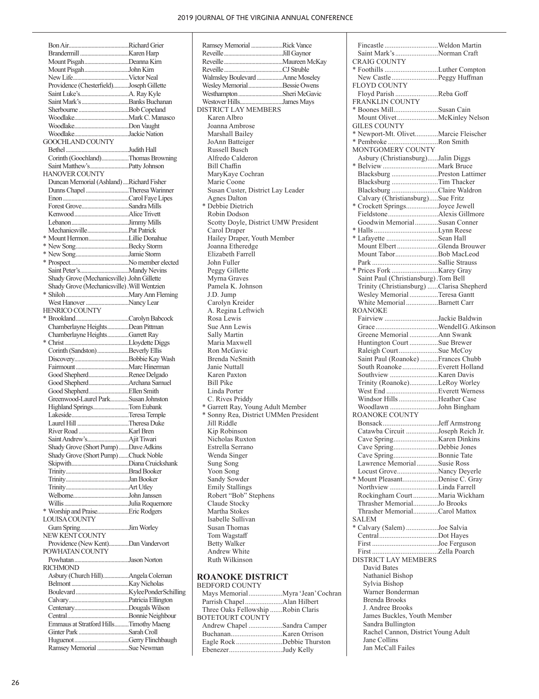Bon Air..........................................Richard Grier Brandermill..................................Karen Harp Mount Pisgah...............................Deanna Kirn Mount Pisgah...............................John Kirn New Life.......................................Victor Neal Providence (Chesterfield)...........Joseph Gillette Saint Luke's..................................A. Ray Kyle Saint Mark's.................................Banks Buchanan Sherbourne...................................Bob Copeland Woodlake......................................Mark C. Manasco Woodlake......................................Don Vaught Woodlake......................................Jackie Nation GOOCHLAND COUNTY Bethel............................................Judith Hall Corinth (Goochland)...................Thomas Browning Saint Matthew's...........................Patty Johnson HANOVER COUNTY Duncan Memorial (Ashland)....Richard Fisher Dunns Chapel..............................Theresa Warinner Enon..............................................Carol Faye Lipes Forest Grove.................................Sandra Mills Kenwood......................................Alice Trivett Lebanon........................................Jimmy Mills Mechanicsville.............................Pat Patrick \* Mount Hermon............................Lillie Donahue \* New Song.....................................Becky Storm \* New Song.....................................Jamie Storm \* Prospect.........................................No member elected ........Mandy Nevins. Shady Grove (Mechanicsville).John Gillette Shady Grove (Mechanicsville).Will Wentzien \* Shiloh............................................Mary Ann Fleming West Hanover ................................Nancy Lear HENRICO COUNTY<br>\* Brookland..................... ...............Carolyn Babcock Chamberlayne Heights...............Dean Pittman Chamberlayne Heights...............Garrett Ray \* Christ.............................................Lloydette Diggs Corinth (Sandston)......................Beverly Ellis Discovery......................................Bobbie Kay Wash Fairmount.....................................Marc Hinerman Good Shepherd............................Renee Delgado Good Shepherd............................Archana Samuel Good Shepherd............................Ellen Smith Greenwood-Laurel Park.............Susan Johnston<br>Highland Springs...........................Tom Eubank Highland Springs.........................Tom Eubank Lakeside........................................Teresa Temple Laurel Hill....................................Theresa Duke River Road...................................Karl Bren Saint Andrew's........ Shady Grove (Short Pump).......Dave Adkins Shady Grove (Short Pump).......Chuck Noble Skipwith........................................Diana Cruickshank Trinity............................................Brad Booker Trinity............................................Jan Booker Trinity............................................Art Utley Welborne.......................................John Janssen ..Julia Roquemore \* Worship and Praise......................Eric Rodgers LOUISA COUNTY Gum Spring..................................Jim Worley NEW KENT COUNTY Providence (New Kent)..............Dan Vandervort POWHATAN COUNTY ..Jason Norton RICHMOND Asbury (Church Hill)..................Angela Coleman Belmont........................................Kay Nicholas Boulevard.....................................Kylee Ponder Schilling Calvary..........................................Patricia Ellington ..............Dougals Wilson Central...........................................Bonnie Neighbour Emmaus at Stratford Hills..........Timothy Maeng Ginter Park...................................Sarah Croll Huguenot......................................Gerry Flinchbaugh Ramsey Memorial......................Sue Newman

| Ramsey Memorial Rick Vance            |  |
|---------------------------------------|--|
|                                       |  |
|                                       |  |
|                                       |  |
| Walmsley Boulevard Anne Moseley       |  |
| Wesley Memorial Bessie Owens          |  |
| Westhampton Sheri McGavic             |  |
| Westover HillsJames Mays              |  |
| DISTRICT LAY MEMBERS                  |  |
| Karen Albro                           |  |
| Joanna Ambrose                        |  |
|                                       |  |
| Marshall Bailey                       |  |
| JoAnn Batteiger                       |  |
| Russell Busch                         |  |
| Alfredo Calderon                      |  |
| Bill Chaffin                          |  |
| MaryKaye Cochran                      |  |
| Marie Coone                           |  |
| Susan Custer, District Lay Leader     |  |
| <b>Agnes Dalton</b>                   |  |
| * Debbie Dietrich                     |  |
| Robin Dodson                          |  |
| Scotty Doyle, District UMW President  |  |
| Carol Draper                          |  |
| Hailey Draper, Youth Member           |  |
| Joanna Etheredge                      |  |
| Elizabeth Farrell                     |  |
| John Fuller                           |  |
|                                       |  |
| Peggy Gillette                        |  |
| Myrna Graves                          |  |
| Pamela K. Johnson                     |  |
| J.D. Jump                             |  |
| Carolyn Kreider                       |  |
| A. Regina Leftwich                    |  |
| Rosa Lewis                            |  |
| Sue Ann Lewis                         |  |
| Sally Martin                          |  |
| Maria Maxwell                         |  |
| Ron McGavic                           |  |
| Brenda NeSmith                        |  |
| Janie Nuttall                         |  |
| Karen Paxton                          |  |
| <b>Bill Pike</b>                      |  |
| Linda Porter                          |  |
| C. Rives Priddy                       |  |
| * Garrett Ray, Young Adult Member     |  |
| * Sonny Rea, District UMMen President |  |
| Jill Riddle                           |  |
|                                       |  |
| Kip Robinson                          |  |
| Nicholas Ruxton                       |  |
| Estrella Serrano                      |  |
| Wenda Singer                          |  |
| Sung Song                             |  |
| Yoon Song                             |  |
| Sandy Sowder                          |  |
| <b>Emily Stallings</b>                |  |
| Robert "Bob" Stephens                 |  |
| Claude Stocky                         |  |
| Martha Stokes                         |  |
| Isabelle Sullivan                     |  |
| <b>Susan Thomas</b>                   |  |
| Tom Wagstaff                          |  |
| <b>Betty Walker</b>                   |  |
| Andrew White                          |  |
| Ruth Wilkinson                        |  |
|                                       |  |

#### **ROANOKE DISTRICT** BEDFORD COUNTY

| DLDI OND COON I I                  |  |
|------------------------------------|--|
|                                    |  |
|                                    |  |
| Three Oaks Fellowship Robin Claris |  |
| <b>BOTETOURT COUNTY</b>            |  |
| Andrew Chapel Sandra Camper        |  |
|                                    |  |
| Eagle RockDebbie Thurston          |  |
| EbenezerJudy Kelly                 |  |
|                                    |  |

| Fincastle Weldon Martin                                        |  |
|----------------------------------------------------------------|--|
| Saint Mark's Norman Craft<br><b>CRAIG COUNTY</b>               |  |
| * Foothills Luther Compton                                     |  |
| New Castle Peggy Huffman                                       |  |
| FLOYD COUNTY                                                   |  |
| Floyd Parish Reba Goff                                         |  |
| FRANKLIN COUNTY<br>* Boones MillSusan Cain                     |  |
| Mount OlivetMcKinley Nelson                                    |  |
| <b>GILES COUNTY</b>                                            |  |
| * Newport-Mt. OlivetMarcie Fleischer                           |  |
| * Pembroke Ron Smith<br>MONTGOMERY COUNTY                      |  |
| Asbury (Christiansburg)Jalin Diggs                             |  |
|                                                                |  |
| Blacksburg Preston Lattimer                                    |  |
| Blacksburg Tim Thacker                                         |  |
| Blacksburg Claire Waldron<br>Calvary (Christiansburg)Sue Fritz |  |
| * Crockett SpringsJoyce Jewell                                 |  |
| FieldstoneAlexis Gillmore                                      |  |
| Goodwin MemorialSusan Conner                                   |  |
| * Lafayette Sean Hall                                          |  |
| Mount Elbert Glenda Brouwer                                    |  |
| Mount TaborBob MacLeod                                         |  |
|                                                                |  |
| Saint Paul (Christiansburg). Tom Bell                          |  |
| Trinity (Christiansburg) Clarisa Shepherd                      |  |
| Wesley Memorial Teresa Gantt                                   |  |
| White Memorial Barnett Carr                                    |  |
| <b>ROANOKE</b><br>Fairview Jackie Baldwin                      |  |
|                                                                |  |
| Greene Memorial Ann Swank                                      |  |
| Huntington Court Sue Brewer                                    |  |
| Raleigh CourtSue McCoy                                         |  |
|                                                                |  |
| Saint Paul (Roanoke) Frances Chubb                             |  |
| South Roanoke Everett Holland                                  |  |
| Trinity (Roanoke)LeRoy Worley                                  |  |
| West End Everett Werness                                       |  |
| Windsor Hills Heather Case                                     |  |
| Woodlawn John Bingham<br><b>ROANOKE COUNTY</b>                 |  |
|                                                                |  |
| Catawba Circuit Joseph Reich Jr.                               |  |
|                                                                |  |
| Cave SpringDebbie Jones                                        |  |
| Cave SpringBonnie Tate<br>Lawrence MemorialSusie Ross          |  |
| Locust GroveNancy Deyerle                                      |  |
| * Mount PleasantDenise C. Gray                                 |  |
| Northview Linda Farrell                                        |  |
| Rockingham CourtMaria Wickham<br>Thrasher MemorialJo Brooks    |  |
| Thrasher MemorialCarol Mattox                                  |  |
| <b>SALEM</b>                                                   |  |
| * Calvary (Salem) Joe Salvia                                   |  |
| CentralDot Hayes                                               |  |
|                                                                |  |
| <b>DISTRICT LAY MEMBERS</b>                                    |  |
| David Bates                                                    |  |
| Nathaniel Bishop<br>Sylvia Bishop                              |  |
| Warner Bonderman                                               |  |
| <b>Brenda Brooks</b>                                           |  |
| J. Andree Brooks                                               |  |
| James Buckles, Youth Member<br>Sandra Bullington               |  |
| Rachel Cannon, District Young Adult                            |  |
| Jane Collins<br>Jan McCall Failes                              |  |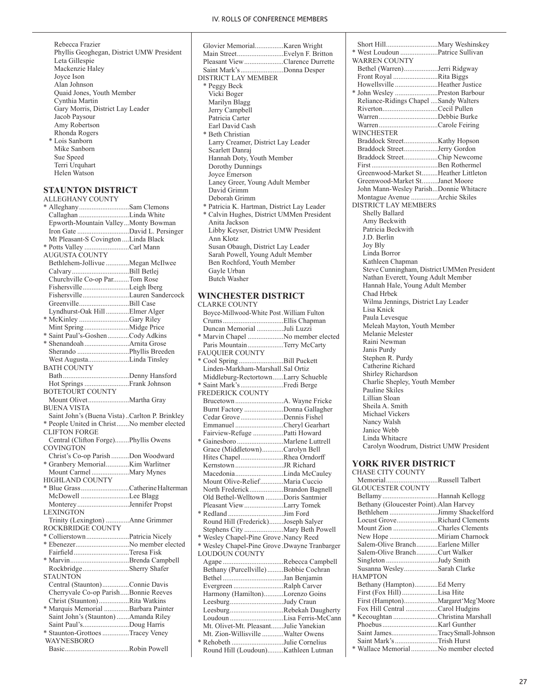Rebecca Frazier Phyllis Geoghegan, District UMW President Leta Gillespie Mackenzie Haley Joyce Ison Alan Johnson Quaid Jones, Youth Member Cynthia Martin Gary Morris, District Lay Leader Jacob Paysour Amy Robertson Rhonda Rogers \* Lois Sanborn Mike Sanborn Sue Speed Terri Urquhart Helen Watson

#### **STAUNTON DISTRICT**

ALLEGHANY COUNTY \* Alleghany............................Sam Clemons Callaghan ............................Linda White Epworth-Mountain Valley...Monty Bowman Iron Gate .............................David L. Persinger Mt Pleasant-S Covington ....Linda Black \* Potts Valley .........................Carl Mann AUGUSTA COUNTY Bethlehem-Jollivue .............Megan McIlwee Calvary................................Bill Betlej Churchville Co-op Par.........Tom Rose Fishersville..........................Leigh Iberg Fishersville..........................Lauren Sandercock Greenville............................Bill Case Lyndhurst-Oak Hill .............Elmer Alger \* McKinley ............................Gary Riley Mint Spring .........................Midge Price \* Saint Paul's-Goshen............Cody Adkins \* Shenandoah.........................Arnita Grose Sherando .............................Phyllis Breeden West Augusta.......................Linda Tinsley BATH COUNTY Bath.....................................Denny Hansford Hot Springs.........................Frank Johnson BOTETOURT COUNTY Mount Olivet.......................Martha Gray BUENA VISTA Saint John's (Buena Vista)..Carlton P. Brinkley \* People United in Christ.......No member elected CLIFTON FORGE Central (Clifton Forge)........Phyllis Owens COVINGTON Christ's Co-op Parish ..........Don Woodward \* Granbery Memorial.............Kim Warlitner Mount Carmel.....................Mary Mynes HIGHLAND COUNTY \* Blue Grass...........................Catherine Halterman McDowell ...........................Lee Blagg Monterey.............................Jennifer Propst LEXINGTON Trinity (Lexington) .............Anne Grimmer ROCKBRIDGE COUNTY \* Collierstown........................Patricia Nicely \* Ebenezer..............................No member elected Fairfield...............................Teresa Fisk \* Marvin.................................Brenda Campbell Rockbridge..........................Sherry Shafer **STAUNTON** Central (Staunton)...............Connie Davis Cherryvale Co-op Parish.....Bonnie Reeves Christ (Staunton).................Rita Watkins \* Marquis Memorial ..............Barbara Painter Saint John's (Staunton).......Amanda Riley Saint Paul's..........................Doug Harris \* Staunton-Grottoes...............Tracey Veney WAYNESBORO Basic....................................Robin Powell

| Glovier MemorialKaren Wright               |
|--------------------------------------------|
| Main StreetEvelyn F. Britton               |
| Pleasant ViewClarence Durrette             |
| Saint Mark's Donna Desper                  |
| <b>DISTRICT LAY MEMBER</b>                 |
| * Peggy Beck                               |
| Vicki Boger                                |
| Marilyn Blagg                              |
| Jerry Campbell                             |
| Patricia Carter                            |
| Earl David Cash                            |
| * Beth Christian                           |
| Larry Creamer, District Lay Leader         |
| Scarlett Danraj                            |
| Hannah Doty, Youth Member                  |
| Dorothy Dunnings                           |
| Joyce Emerson                              |
| Laney Greer, Young Adult Member            |
| David Grimm                                |
| Deborah Grimm                              |
| * Patricia K. Hartman, District Lay Leader |
| * Calvin Hughes, District UMMen President  |
| Anita Jackson                              |
| Libby Keyser, District UMW President       |
| Ann Klotz                                  |
| Susan Obaugh, District Lay Leader          |
| Sarah Powell, Young Adult Member           |
| Ben Rochford, Youth Member                 |
| Gayle Urban                                |
| <b>Butch Washer</b>                        |
|                                            |

#### **WINCHESTER DISTRICT**

| <b>CLARKE COUNTY</b>                          |  |
|-----------------------------------------------|--|
| Boyce-Millwood-White Post. William Fulton     |  |
|                                               |  |
| Duncan Memorial Juli Luzzi                    |  |
| * Marvin Chapel No member elected             |  |
| Paris Mountain Terry McCarty                  |  |
| FAUQUIER COUNTY                               |  |
| * Cool Spring Bill Puckett                    |  |
| Linden-Markham-Marshall.Sal Ortiz             |  |
| Middleburg-RectortownLarry Schueble           |  |
| * Saint Mark's Fredi Berge                    |  |
| <b>FREDERICK COUNTY</b>                       |  |
|                                               |  |
| Burnt Factory Donna Gallagher                 |  |
| Cedar Grove Dennis Fishel                     |  |
| Emmanuel Cheryl Gearhart                      |  |
| Fairview-Refuge Patti Howard                  |  |
|                                               |  |
| Grace (Middletown)Carolyn Bell                |  |
| Hites ChapelRhea Orndorff                     |  |
| KernstownJR Richard                           |  |
| MacedoniaLinda McCauley                       |  |
| Mount Olive-ReliefMaria Cuccio                |  |
| North Frederick Brandon Bagnell               |  |
| Old Bethel-Welltown Doris Santmier            |  |
| Pleasant ViewLarry Tomek                      |  |
|                                               |  |
| Round Hill (Frederick)Joseph Salyer           |  |
| Stephens City  Mary Beth Powell               |  |
| * Wesley Chapel-Pine Grove .Nancy Reed        |  |
| * Wesley Chapel-Pine Grove .Dwayne Tranbarger |  |
| LOUDOUN COUNTY                                |  |
| Agape Rebecca Campbell                        |  |
| Bethany (Purcellville) Bobbie Cochran         |  |
| Bethel Jan Benjamin                           |  |
| Evergreen Ralph Carver                        |  |
| Harmony (Hamilton)Lorenzo Goins               |  |
| LeesburgJudy Craun                            |  |
| LeesburgRebekah Daugherty                     |  |
| Loudoun Lisa Ferris-McCann                    |  |
| Mt. Olivet-Mt. PleasantJulie Yanekian         |  |
| Mt. Zion-Willisville Walter Owens             |  |
| * Rehobeth Julie Cornelius                    |  |
| Round Hill (Loudoun)Kathleen Lutman           |  |
|                                               |  |

Short Hill.............................Mary Weshinskey \* West Loudoun .....................Patrice Sullivan WARREN COUNTY Bethel (Warren)...................Jerri Ridgway Front Royal .........................Rita Biggs Howellsville ........................Heather Justice \* John Wesley ........................Preston Barbour Reliance-Ridings Chapel ....Sandy Walters Riverton...............................Cecil Pullen Warren.................................Debbie Burke Warren.................................Carole Feiring WINCHESTER Braddock Street...................Kathy Hopson Braddock Street...................Jerry Gordon Braddock Street...................Chip Newcome First .....................................Ben Rothermel Greenwood-Market St.........Heather Littleton Greenwood-Market St.........Janet Moore John Mann-Wesley Parish...Donnie Whitacre Montague Avenue ...............Archie Skiles DISTRICT LAY MEMBERS Shelly Ballard Amy Beckwith Patricia Beckwith J.D. Berlin Joy Bly Linda Borror Kathleen Chapman Steve Cunningham, District UMMen President Nathan Everett, Young Adult Member Hannah Hale, Young Adult Member Chad Hrbek Wilma Jennings, District Lay Leader Lisa Knick Paula Levesque Meleah Mayton, Youth Member Melanie Melester Raini Newman Janis Purdy Stephen R. Purdy Catherine Richard Shirley Richardson Charlie Shepley, Youth Member Pauline Skiles Lillian Sloan Sheila A. Smith Michael Vickers Nancy Walsh Janice Webb Linda Whitacre Carolyn Woodrum, District UMW President

#### **YORK RIVER DISTRICT** CHASE CITY COUNTY

| MemorialRussell Talbert                 |  |
|-----------------------------------------|--|
| <b>GLOUCESTER COUNTY</b>                |  |
| BellamyHannah Kellogg                   |  |
| Bethany (Gloucester Point). Alan Harvey |  |
| Bethlehem Jimmy Shackelford             |  |
| Locust GroveRichard Clements            |  |
| Mount Zion Charles Clements             |  |
| New Hope  Miriam Charnock               |  |
| Salem-Olive BranchEarlene Miller        |  |
| Salem-Olive BranchCurt Walker           |  |
| Singleton Judy Smith                    |  |
| Susanna WesleySarah Clarke              |  |
| <b>HAMPTON</b>                          |  |
| Bethany (Hampton)Ed Merry               |  |
| First (Fox Hill)Lisa Hite               |  |
|                                         |  |
| Fox Hill Central Carol Hudgins          |  |
| * Kecoughtan Christina Marshall         |  |
|                                         |  |
| Saint JamesTracySmall-Johnson           |  |
| Saint Mark's Trish Hurst                |  |
| * Wallace Memorial No member elected    |  |
|                                         |  |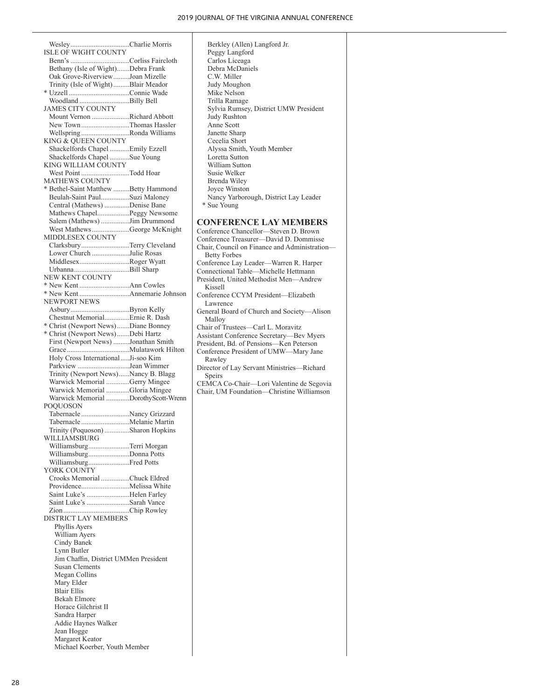Wesley.................................Charlie Morris ISLE OF WIGHT COUNTY Benn's .................................Corliss Faircloth Bethany (Isle of Wight).......Debra Frank Oak Grove-Riverview.........Joan Mizelle Trinity (Isle of Wight).........Blair Meador \* Uzzell ..................................Connie Wade Woodland ............................Billy Bell JAMES CITY COUNTY Mount Vernon .....................Richard Abbott New Town...........................Thomas Hassler Wellspring ...........................Ronda Williams KING & QUEEN COUNTY Shackelfords Chapel ...........Emily Ezzell Shackelfords Chapel ...........Sue Young KING WILLIAM COUNTY West Point ...........................Todd Hoar MATHEWS COUNTY \* Bethel-Saint Matthew .........Betty Hammond Beulah-Saint Paul................Suzi Maloney Central (Mathews) ..............Denise Bane Mathews Chapel..................Peggy Newsome Salem (Mathews) ................Jim Drummond West Mathews.....................George McKnight MIDDLESEX COUNTY Clarksbury...........................Terry Cleveland Lower Church .....................Julie Rosas Middlesex............................Roger Wyatt Urbanna...............................Bill Sharp NEW KENT COUNTY \* New Kent ............................Ann Cowles \* New Kent ............................Annemarie Johnson NEWPORT NEWS Asbury.................................Byron Kelly Chestnut Memorial..............Ernie R. Dash \* Christ (Newport News).......Diane Bonney \* Christ (Newport News).......Debi Hartz First (Newport News) .........Jonathan Smith Grace ...................................Mulatawork Hilton Holy Cross International.....Ji-soo Kim Parkview .............................Jean Wimmer Trinity (Newport News)......Nancy B. Blagg Warwick Memorial .............Gerry Mingee Warwick Memorial .............Gloria Mingee Warwick Memorial .............Dorothy Scott-Wrenn POQUOSON Tabernacle ...........................Nancy Grizzard Tabernacle ...........................Melanie Martin Trinity (Poquoson)..............Sharon Hopkins WILLIAMSBURG Williamsburg.......................Terri Morgan Williamsburg.......................Donna Potts Williamsburg.......................Fred Potts YORK COUNTY Crooks Memorial ................Chuck Eldred Providence...........................Melissa White Saint Luke's ........................Helen Farley Saint Luke's ........................Sarah Vance Zion.....................................Chip Rowley DISTRICT LAY MEMBERS Phyllis Ayers William Ayers Cindy Banek Lynn Butler Jim Chaffin, District UMMen President Susan Clements Megan Collins Mary Elder Blair Ellis Bekah Elmore Horace Gilchrist II Sandra Harper Addie Haynes Walker Jean Hogge Margaret Keator Michael Koerber, Youth Member

 Berkley (Allen) Langford Jr. Peggy Langford Carlos Liceaga Debra McDaniels C.W. Miller Judy Moughon Mike Nelson Trilla Ramage Sylvia Rumsey, District UMW President Judy Rushton Anne Scott Janette Sharp Cecelia Short Alyssa Smith, Youth Member Loretta Sutton William Sutton Susie Welker Brenda Wiley Joyce Winston Nancy Yarborough, District Lay Leader \* Sue Young **CONFERENCE LAY MEMBERS** Conference Chancellor—Steven D. Brown Conference Treasurer—David D. Dommisse Chair, Council on Finance and Administration— Betty Forbes Conference Lay Leader—Warren R. Harper Connectional Table—Michelle Hettmann President, United Methodist Men—Andrew Kissell Conference CCYM President—Elizabeth Lawrence General Board of Church and Society—Alison Malloy Chair of Trustees—Carl L. Moravitz Assistant Conference Secretary—Bev Myers President, Bd. of Pensions—Ken Peterson Conference President of UMW—Mary Jane Rawley Director of Lay Servant Ministries—Richard **Speirs** CEMCA Co-Chair—Lori Valentine de Segovia Chair, UM Foundation—Christine Williamson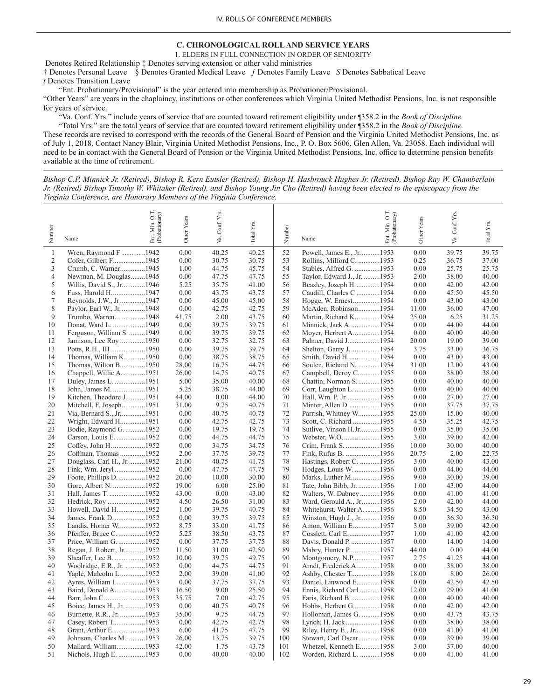# **C. CHRONOLOGICAL ROLL AND SERVICE YEARS**

1. ELDERS IN FULL CONNECTION IN ORDER OF SENIORITY

 Denotes Retired Relationship ‡ Denotes serving extension or other valid ministries † Denotes Personal Leave § Denotes Granted Medical Leave ƒ Denotes Family Leave *S* Denotes Sabbatical Leave *t* Denotes Transition Leave

"Ent. Probationary/Provisional" is the year entered into membership as Probationer/Provisional.

"Other Years" are years in the chaplaincy, institutions or other conferences which Virginia United Methodist Pensions, Inc. is not responsible for years of service.

"Va. Conf. Yrs." include years of service that are counted toward retirement eligibility under ¶358.2 in the *Book of Discipline.*

 "Total Yrs." are the total years of service that are counted toward retirement eligibility under ¶358.2 in the *Book of Discipline.* These records are revised to correspond with the records of the General Board of Pension and the Virginia United Methodist Pensions, Inc. as of July 1, 2018. Contact Nancy Blair, Virginia United Methodist Pensions, Inc., P. O. Box 5606, Glen Allen, Va. 23058. Each individual will need to be in contact with the General Board of Pension or the Virginia United Methodist Pensions, Inc. office to determine pension benefits available at the time of retirement.

*Bishop C.P. Minnick Jr. (Retired), Bishop R. Kern Eutsler (Retired), Bishop H. Hasbrouck Hughes Jr. (Retired), Bishop Ray W. Chamberlain Jr. (Retired) Bishop Timothy W. Whitaker (Retired), and Bishop Young Jin Cho (Retired) having been elected to the episcopacy from the Virginia Conference, are Honorary Members of the Virginia Conference.*

| 0.00<br>0.00<br>$\mathbf{1}$<br>Wren, Raymond $F$ 1942<br>40.25<br>40.25<br>52<br>Powell, James E., Jr. 1953<br>39.75<br>$\mathfrak{2}$<br>Cofer, Gilbert F1945<br>0.00<br>53<br>Rollins, Milford C. 1953<br>0.25<br>30.75<br>30.75<br>36.75<br>3<br>1.00<br>54<br>0.00<br>Crumb, C. Warner1945<br>44.75<br>45.75<br>Stables, Alfred G. 1953<br>25.75<br>38.00<br>4<br>Newman, M. Douglas1945<br>0.00<br>47.75<br>47.75<br>55<br>Taylor, Edward J., Jr. 1953<br>2.00<br>5<br>Willis, David S., Jr1946<br>5.25<br>35.75<br>41.00<br>56<br>Beasley, Joseph H1954<br>0.00<br>42.00<br>0.00<br>57<br>6<br>Fuss, Harold H1947<br>43.75<br>43.75<br>Caudill, Charles C 1954<br>0.00<br>45.50<br>7<br>0.00<br>45.00<br>45.00<br>58<br>Hogge, W. Ernest1954<br>0.00<br>43.00<br>Reynolds, J.W., Jr1947<br>8<br>Paylor, Earl W., Jr. 1948<br>0.00<br>42.75<br>59<br>McAden, Robinson1954<br>11.00<br>36.00<br>47.00<br>42.75<br>9<br>Trumbo, Warren1948<br>41.75<br>2.00<br>43.75<br>60<br>Martin, Richard K1954<br>25.00<br>6.25<br>31.25<br>0.00<br>39.75<br>39.75<br>0.00<br>44.00<br>10<br>Donat, Ward L. 1949<br>61<br>Minnick, Jack A1954<br>44.00<br>Moyer, Herbert A1954<br>Ferguson, William S. 1949<br>0.00<br>39.75<br>39.75<br>62<br>0.00<br>40.00<br>40.00<br>11<br>12<br>Jamison, Lee Roy 1950<br>0.00<br>32.75<br>32.75<br>63<br>Palmer, David J1954<br>20.00<br>19.00<br>39.00<br>0.00<br>39.75<br>39.75<br>Shelton, Garry J1954<br>3.75<br>Potts, R.H., III 1950<br>64<br>33.00<br>36.75<br>13<br>0.00<br>38.75<br>65<br>Smith, David H1954<br>0.00<br>43.00<br>43.00<br>14<br>Thomas, William K. 1950<br>38.75<br>Thomas, Wilton B1950<br>28.00<br>16.75<br>44.75<br>66<br>Soulen, Richard N. 1954<br>31.00<br>12.00<br>43.00<br>15<br>Chappell, Willie A. 1951<br>26.00<br>14.75<br>40.75<br>67<br>Campbell, Deroy C1955<br>0.00<br>38.00<br>38.00<br>16<br>5.00<br>35.00<br>68<br>Chattin, Norman S. 1955<br>0.00<br>40.00<br>17<br>Duley, James L. 1951<br>40.00<br>40.00<br>5.25<br>69<br>0.00<br>18<br>John, James M. 1951<br>38.75<br>44.00<br>Corr, Laughton L. 1955<br>40.00<br>40.00<br>44.00<br>0.00<br>70<br>Hall, Wm. P. Jr. 1955<br>0.00<br>19<br>Kitchen, Theodore J1951<br>44.00<br>27.00<br>27.00<br>31.00<br>9.75<br>71<br>0.00<br>20<br>Mitchell, F. Joseph1951<br>40.75<br>Minter, Allen D1955<br>37.75<br>37.75<br>40.75<br>72<br>Parrish, Whitney W1955<br>Via, Bernard S., Jr1951<br>0.00<br>40.75<br>25.00<br>15.00<br>40.00<br>21<br>22<br>Wright, Edward H1951<br>0.00<br>42.75<br>42.75<br>73<br>Scott, C. Richard 1955<br>4.50<br>35.25<br>42.75<br>74<br>23<br>Bodie, Raymond G. 1952<br>0.00<br>19.75<br>19.75<br>Sutlive, Vinson H.Jr1955<br>0.00<br>35.00<br>35.00<br>75<br>Carson, Louis E. 1952<br>0.00<br>44.75<br>44.75<br>Webster, W.O. 1955<br>3.00<br>39.00<br>42.00<br>24<br>0.00<br>76<br>10.00<br>30.00<br>40.00<br>25<br>Coffey, John H. 1952<br>34.75<br>34.75<br>Crim, Frank S. 1956<br>2.00<br>37.75<br>39.75<br>77<br>Fink, Rufus B. 1956<br>20.75<br>2.00<br>22.75<br>26<br>Coffman, Thomas 1952<br>Douglass, Carl H., Jr1952<br>21.00<br>40.75<br>41.75<br>78<br>Hastings, Robert C. 1956<br>3.00<br>40.00<br>27<br>79<br>0.00<br>Hodges, Louis W. 1956<br>0.00<br>44.00<br>28<br>Fink, Wm. Jeryl1952<br>47.75<br>47.75<br>9.00<br>29<br>Foote, Phillips D1952<br>20.00<br>10.00<br>30.00<br>80<br>Marks, Luther M1956<br>30.00<br>81<br>30<br>Gore, Albert N. 1952<br>19.00<br>6.00<br>25.00<br>Tate, John Bibb, Jr. 1956<br>1.00<br>43.00<br>82<br>0.00<br>Hall, James T. 1952<br>43.00<br>0.00<br>43.00<br>Walters, W. Dabney1956<br>41.00<br>31<br>Hedrick, Roy 1952<br>4.50<br>26.50<br>31.00<br>83<br>Ward, Gerould A., Jr1956<br>2.00<br>42.00<br>32<br>Howell, David H1952<br>1.00<br>39.75<br>40.75<br>84<br>Whitehurst, Walter A. 1956<br>8.50<br>34.50<br>33<br>34<br>James, Frank D. 1952<br>0.00<br>39.75<br>39.75<br>85<br>0.00<br>36.50<br>Winston, Hugh J., Jr1956<br>Landis, Homer W1952<br>8.75<br>33.00<br>41.75<br>86<br>Amon, William E1957<br>3.00<br>39.00<br>42.00<br>35<br>5.25<br>87<br>1.00<br>36<br>Pfeiffer, Bruce C1952<br>38.50<br>43.75<br>Cosslett, Carl E1957<br>41.00<br>0.00<br>88<br>0.00<br>37<br>Price, William G. 1952<br>37.75<br>37.75<br>Davis, Donald P. 1957<br>14.00<br>14.00<br>11.50<br>31.00<br>42.50<br>89<br>Mabry, Hunter P1957<br>44.00<br>0.00<br>38<br>Regan, J. Robert, Jr1952<br>44.00<br>90<br>Sheaffer, Lee B. 1952<br>10.00<br>39.75<br>49.75<br>Montgomery, N.P1957<br>2.75<br>41.25<br>44.00<br>39<br>91<br>40<br>Woolridge, E.R., Jr. 1952<br>0.00<br>44.75<br>44.75<br>Arndt, Frederick A1958<br>0.00<br>38.00<br>38.00<br>92<br>Yaple, Malcolm L1952<br>2.00<br>39.00<br>41.00<br>Ashby, Chester T1958<br>18.00<br>8.00<br>26.00<br>41<br>93<br>0.00<br>37.75<br>Daniel, Linwood E1958<br>0.00<br>42.50<br>42.50<br>42<br>Ayres, William L1953<br>37.75<br>94<br>16.50<br>9.00<br>25.50<br>Ennis, Richard Carl 1958<br>12.00<br>29.00<br>43<br>Baird, Donald A1953<br>41.00<br>44<br>35.75<br>7.00<br>42.75<br>95<br>Faris, Richard B1958<br>0.00<br>40.00<br>40.00<br>Barr, John C1953<br>0.00<br>40.75<br>40.75<br>96<br>Hobbs, Herbert G1958<br>0.00<br>42.00<br>42.00<br>45<br>Boice, James H., Jr. 1953<br>97<br>35.00<br>9.75<br>44.75<br>Holloman, James G. 1958<br>0.00<br>43.75<br>Burnette, R.R., Jr. 1953<br>43.75<br>46<br>98<br>Casey, Robert T1953<br>0.00<br>42.75<br>42.75<br>Lynch, H. Jack1958<br>0.00<br>38.00<br>38.00<br>47<br>99<br>48<br>Grant, Arthur E. 1953<br>6.00<br>41.75<br>47.75<br>Riley, Henry E., Jr1958<br>0.00<br>41.00<br>41.00<br>13.75<br>49<br>Johnson, Charles M. 1953<br>26.00<br>39.75<br>100<br>Stewart, Carl Oscar1958<br>0.00<br>39.00<br>39.00<br>Mallard, William1953<br>1.75<br>43.75<br>101<br>Whetzel, Kenneth E1958<br>3.00<br>50<br>42.00<br>37.00<br>40.00<br>Worden, Richard L. 1958 | Number | Min. O.T.<br>(Probationary) | Other Years | Va. Conf. Yrs. | Total Yrs. | Number |      | O.T.<br>Ent. Min. O.T.<br>(Probationary) | Other Years | Conf. Yrs. | Total Yrs. |
|-----------------------------------------------------------------------------------------------------------------------------------------------------------------------------------------------------------------------------------------------------------------------------------------------------------------------------------------------------------------------------------------------------------------------------------------------------------------------------------------------------------------------------------------------------------------------------------------------------------------------------------------------------------------------------------------------------------------------------------------------------------------------------------------------------------------------------------------------------------------------------------------------------------------------------------------------------------------------------------------------------------------------------------------------------------------------------------------------------------------------------------------------------------------------------------------------------------------------------------------------------------------------------------------------------------------------------------------------------------------------------------------------------------------------------------------------------------------------------------------------------------------------------------------------------------------------------------------------------------------------------------------------------------------------------------------------------------------------------------------------------------------------------------------------------------------------------------------------------------------------------------------------------------------------------------------------------------------------------------------------------------------------------------------------------------------------------------------------------------------------------------------------------------------------------------------------------------------------------------------------------------------------------------------------------------------------------------------------------------------------------------------------------------------------------------------------------------------------------------------------------------------------------------------------------------------------------------------------------------------------------------------------------------------------------------------------------------------------------------------------------------------------------------------------------------------------------------------------------------------------------------------------------------------------------------------------------------------------------------------------------------------------------------------------------------------------------------------------------------------------------------------------------------------------------------------------------------------------------------------------------------------------------------------------------------------------------------------------------------------------------------------------------------------------------------------------------------------------------------------------------------------------------------------------------------------------------------------------------------------------------------------------------------------------------------------------------------------------------------------------------------------------------------------------------------------------------------------------------------------------------------------------------------------------------------------------------------------------------------------------------------------------------------------------------------------------------------------------------------------------------------------------------------------------------------------------------------------------------------------------------------------------------------------------------------------------------------------------------------------------------------------------------------------------------------------------------------------------------------------------------------------------------------------------------------------------------------------------------------------------------------------------------------------------------------------------------------------------------------------------------------------------------------------------------------------------------------------------------------------------------------------------------------------------------------------------------------------------------------------------------------------------------------------------------------------------------------------------------------------------------------------------------------------------------------------------------------------------------------------------------------------------------------------------------------------------------------------------------------------------------------------------------------------------------------------------------------------------------------------------------------------------------------------------------------------------------------------------------------------------------------------------------------------------------------------------------------------------------------------------------------------------------------------------------------------------------------------------------------------------|--------|-----------------------------|-------------|----------------|------------|--------|------|------------------------------------------|-------------|------------|------------|
|                                                                                                                                                                                                                                                                                                                                                                                                                                                                                                                                                                                                                                                                                                                                                                                                                                                                                                                                                                                                                                                                                                                                                                                                                                                                                                                                                                                                                                                                                                                                                                                                                                                                                                                                                                                                                                                                                                                                                                                                                                                                                                                                                                                                                                                                                                                                                                                                                                                                                                                                                                                                                                                                                                                                                                                                                                                                                                                                                                                                                                                                                                                                                                                                                                                                                                                                                                                                                                                                                                                                                                                                                                                                                                                                                                                                                                                                                                                                                                                                                                                                                                                                                                                                                                                                                                                                                                                                                                                                                                                                                                                                                                                                                                                                                                                                                                                                                                                                                                                                                                                                                                                                                                                                                                                                                                                                                                                                                                                                                                                                                                                                                                                                                                                                                                                                                                                                       |        | Ent.<br>Name                |             |                |            |        | Name |                                          |             | Уa.        |            |
|                                                                                                                                                                                                                                                                                                                                                                                                                                                                                                                                                                                                                                                                                                                                                                                                                                                                                                                                                                                                                                                                                                                                                                                                                                                                                                                                                                                                                                                                                                                                                                                                                                                                                                                                                                                                                                                                                                                                                                                                                                                                                                                                                                                                                                                                                                                                                                                                                                                                                                                                                                                                                                                                                                                                                                                                                                                                                                                                                                                                                                                                                                                                                                                                                                                                                                                                                                                                                                                                                                                                                                                                                                                                                                                                                                                                                                                                                                                                                                                                                                                                                                                                                                                                                                                                                                                                                                                                                                                                                                                                                                                                                                                                                                                                                                                                                                                                                                                                                                                                                                                                                                                                                                                                                                                                                                                                                                                                                                                                                                                                                                                                                                                                                                                                                                                                                                                                       |        |                             |             |                |            |        |      |                                          |             |            | 39.75      |
|                                                                                                                                                                                                                                                                                                                                                                                                                                                                                                                                                                                                                                                                                                                                                                                                                                                                                                                                                                                                                                                                                                                                                                                                                                                                                                                                                                                                                                                                                                                                                                                                                                                                                                                                                                                                                                                                                                                                                                                                                                                                                                                                                                                                                                                                                                                                                                                                                                                                                                                                                                                                                                                                                                                                                                                                                                                                                                                                                                                                                                                                                                                                                                                                                                                                                                                                                                                                                                                                                                                                                                                                                                                                                                                                                                                                                                                                                                                                                                                                                                                                                                                                                                                                                                                                                                                                                                                                                                                                                                                                                                                                                                                                                                                                                                                                                                                                                                                                                                                                                                                                                                                                                                                                                                                                                                                                                                                                                                                                                                                                                                                                                                                                                                                                                                                                                                                                       |        |                             |             |                |            |        |      |                                          |             |            | 37.00      |
|                                                                                                                                                                                                                                                                                                                                                                                                                                                                                                                                                                                                                                                                                                                                                                                                                                                                                                                                                                                                                                                                                                                                                                                                                                                                                                                                                                                                                                                                                                                                                                                                                                                                                                                                                                                                                                                                                                                                                                                                                                                                                                                                                                                                                                                                                                                                                                                                                                                                                                                                                                                                                                                                                                                                                                                                                                                                                                                                                                                                                                                                                                                                                                                                                                                                                                                                                                                                                                                                                                                                                                                                                                                                                                                                                                                                                                                                                                                                                                                                                                                                                                                                                                                                                                                                                                                                                                                                                                                                                                                                                                                                                                                                                                                                                                                                                                                                                                                                                                                                                                                                                                                                                                                                                                                                                                                                                                                                                                                                                                                                                                                                                                                                                                                                                                                                                                                                       |        |                             |             |                |            |        |      |                                          |             |            | 25.75      |
|                                                                                                                                                                                                                                                                                                                                                                                                                                                                                                                                                                                                                                                                                                                                                                                                                                                                                                                                                                                                                                                                                                                                                                                                                                                                                                                                                                                                                                                                                                                                                                                                                                                                                                                                                                                                                                                                                                                                                                                                                                                                                                                                                                                                                                                                                                                                                                                                                                                                                                                                                                                                                                                                                                                                                                                                                                                                                                                                                                                                                                                                                                                                                                                                                                                                                                                                                                                                                                                                                                                                                                                                                                                                                                                                                                                                                                                                                                                                                                                                                                                                                                                                                                                                                                                                                                                                                                                                                                                                                                                                                                                                                                                                                                                                                                                                                                                                                                                                                                                                                                                                                                                                                                                                                                                                                                                                                                                                                                                                                                                                                                                                                                                                                                                                                                                                                                                                       |        |                             |             |                |            |        |      |                                          |             |            | 40.00      |
|                                                                                                                                                                                                                                                                                                                                                                                                                                                                                                                                                                                                                                                                                                                                                                                                                                                                                                                                                                                                                                                                                                                                                                                                                                                                                                                                                                                                                                                                                                                                                                                                                                                                                                                                                                                                                                                                                                                                                                                                                                                                                                                                                                                                                                                                                                                                                                                                                                                                                                                                                                                                                                                                                                                                                                                                                                                                                                                                                                                                                                                                                                                                                                                                                                                                                                                                                                                                                                                                                                                                                                                                                                                                                                                                                                                                                                                                                                                                                                                                                                                                                                                                                                                                                                                                                                                                                                                                                                                                                                                                                                                                                                                                                                                                                                                                                                                                                                                                                                                                                                                                                                                                                                                                                                                                                                                                                                                                                                                                                                                                                                                                                                                                                                                                                                                                                                                                       |        |                             |             |                |            |        |      |                                          |             |            | 42.00      |
|                                                                                                                                                                                                                                                                                                                                                                                                                                                                                                                                                                                                                                                                                                                                                                                                                                                                                                                                                                                                                                                                                                                                                                                                                                                                                                                                                                                                                                                                                                                                                                                                                                                                                                                                                                                                                                                                                                                                                                                                                                                                                                                                                                                                                                                                                                                                                                                                                                                                                                                                                                                                                                                                                                                                                                                                                                                                                                                                                                                                                                                                                                                                                                                                                                                                                                                                                                                                                                                                                                                                                                                                                                                                                                                                                                                                                                                                                                                                                                                                                                                                                                                                                                                                                                                                                                                                                                                                                                                                                                                                                                                                                                                                                                                                                                                                                                                                                                                                                                                                                                                                                                                                                                                                                                                                                                                                                                                                                                                                                                                                                                                                                                                                                                                                                                                                                                                                       |        |                             |             |                |            |        |      |                                          |             |            | 45.50      |
|                                                                                                                                                                                                                                                                                                                                                                                                                                                                                                                                                                                                                                                                                                                                                                                                                                                                                                                                                                                                                                                                                                                                                                                                                                                                                                                                                                                                                                                                                                                                                                                                                                                                                                                                                                                                                                                                                                                                                                                                                                                                                                                                                                                                                                                                                                                                                                                                                                                                                                                                                                                                                                                                                                                                                                                                                                                                                                                                                                                                                                                                                                                                                                                                                                                                                                                                                                                                                                                                                                                                                                                                                                                                                                                                                                                                                                                                                                                                                                                                                                                                                                                                                                                                                                                                                                                                                                                                                                                                                                                                                                                                                                                                                                                                                                                                                                                                                                                                                                                                                                                                                                                                                                                                                                                                                                                                                                                                                                                                                                                                                                                                                                                                                                                                                                                                                                                                       |        |                             |             |                |            |        |      |                                          |             |            | 43.00      |
|                                                                                                                                                                                                                                                                                                                                                                                                                                                                                                                                                                                                                                                                                                                                                                                                                                                                                                                                                                                                                                                                                                                                                                                                                                                                                                                                                                                                                                                                                                                                                                                                                                                                                                                                                                                                                                                                                                                                                                                                                                                                                                                                                                                                                                                                                                                                                                                                                                                                                                                                                                                                                                                                                                                                                                                                                                                                                                                                                                                                                                                                                                                                                                                                                                                                                                                                                                                                                                                                                                                                                                                                                                                                                                                                                                                                                                                                                                                                                                                                                                                                                                                                                                                                                                                                                                                                                                                                                                                                                                                                                                                                                                                                                                                                                                                                                                                                                                                                                                                                                                                                                                                                                                                                                                                                                                                                                                                                                                                                                                                                                                                                                                                                                                                                                                                                                                                                       |        |                             |             |                |            |        |      |                                          |             |            |            |
|                                                                                                                                                                                                                                                                                                                                                                                                                                                                                                                                                                                                                                                                                                                                                                                                                                                                                                                                                                                                                                                                                                                                                                                                                                                                                                                                                                                                                                                                                                                                                                                                                                                                                                                                                                                                                                                                                                                                                                                                                                                                                                                                                                                                                                                                                                                                                                                                                                                                                                                                                                                                                                                                                                                                                                                                                                                                                                                                                                                                                                                                                                                                                                                                                                                                                                                                                                                                                                                                                                                                                                                                                                                                                                                                                                                                                                                                                                                                                                                                                                                                                                                                                                                                                                                                                                                                                                                                                                                                                                                                                                                                                                                                                                                                                                                                                                                                                                                                                                                                                                                                                                                                                                                                                                                                                                                                                                                                                                                                                                                                                                                                                                                                                                                                                                                                                                                                       |        |                             |             |                |            |        |      |                                          |             |            |            |
|                                                                                                                                                                                                                                                                                                                                                                                                                                                                                                                                                                                                                                                                                                                                                                                                                                                                                                                                                                                                                                                                                                                                                                                                                                                                                                                                                                                                                                                                                                                                                                                                                                                                                                                                                                                                                                                                                                                                                                                                                                                                                                                                                                                                                                                                                                                                                                                                                                                                                                                                                                                                                                                                                                                                                                                                                                                                                                                                                                                                                                                                                                                                                                                                                                                                                                                                                                                                                                                                                                                                                                                                                                                                                                                                                                                                                                                                                                                                                                                                                                                                                                                                                                                                                                                                                                                                                                                                                                                                                                                                                                                                                                                                                                                                                                                                                                                                                                                                                                                                                                                                                                                                                                                                                                                                                                                                                                                                                                                                                                                                                                                                                                                                                                                                                                                                                                                                       |        |                             |             |                |            |        |      |                                          |             |            |            |
|                                                                                                                                                                                                                                                                                                                                                                                                                                                                                                                                                                                                                                                                                                                                                                                                                                                                                                                                                                                                                                                                                                                                                                                                                                                                                                                                                                                                                                                                                                                                                                                                                                                                                                                                                                                                                                                                                                                                                                                                                                                                                                                                                                                                                                                                                                                                                                                                                                                                                                                                                                                                                                                                                                                                                                                                                                                                                                                                                                                                                                                                                                                                                                                                                                                                                                                                                                                                                                                                                                                                                                                                                                                                                                                                                                                                                                                                                                                                                                                                                                                                                                                                                                                                                                                                                                                                                                                                                                                                                                                                                                                                                                                                                                                                                                                                                                                                                                                                                                                                                                                                                                                                                                                                                                                                                                                                                                                                                                                                                                                                                                                                                                                                                                                                                                                                                                                                       |        |                             |             |                |            |        |      |                                          |             |            |            |
|                                                                                                                                                                                                                                                                                                                                                                                                                                                                                                                                                                                                                                                                                                                                                                                                                                                                                                                                                                                                                                                                                                                                                                                                                                                                                                                                                                                                                                                                                                                                                                                                                                                                                                                                                                                                                                                                                                                                                                                                                                                                                                                                                                                                                                                                                                                                                                                                                                                                                                                                                                                                                                                                                                                                                                                                                                                                                                                                                                                                                                                                                                                                                                                                                                                                                                                                                                                                                                                                                                                                                                                                                                                                                                                                                                                                                                                                                                                                                                                                                                                                                                                                                                                                                                                                                                                                                                                                                                                                                                                                                                                                                                                                                                                                                                                                                                                                                                                                                                                                                                                                                                                                                                                                                                                                                                                                                                                                                                                                                                                                                                                                                                                                                                                                                                                                                                                                       |        |                             |             |                |            |        |      |                                          |             |            |            |
|                                                                                                                                                                                                                                                                                                                                                                                                                                                                                                                                                                                                                                                                                                                                                                                                                                                                                                                                                                                                                                                                                                                                                                                                                                                                                                                                                                                                                                                                                                                                                                                                                                                                                                                                                                                                                                                                                                                                                                                                                                                                                                                                                                                                                                                                                                                                                                                                                                                                                                                                                                                                                                                                                                                                                                                                                                                                                                                                                                                                                                                                                                                                                                                                                                                                                                                                                                                                                                                                                                                                                                                                                                                                                                                                                                                                                                                                                                                                                                                                                                                                                                                                                                                                                                                                                                                                                                                                                                                                                                                                                                                                                                                                                                                                                                                                                                                                                                                                                                                                                                                                                                                                                                                                                                                                                                                                                                                                                                                                                                                                                                                                                                                                                                                                                                                                                                                                       |        |                             |             |                |            |        |      |                                          |             |            |            |
|                                                                                                                                                                                                                                                                                                                                                                                                                                                                                                                                                                                                                                                                                                                                                                                                                                                                                                                                                                                                                                                                                                                                                                                                                                                                                                                                                                                                                                                                                                                                                                                                                                                                                                                                                                                                                                                                                                                                                                                                                                                                                                                                                                                                                                                                                                                                                                                                                                                                                                                                                                                                                                                                                                                                                                                                                                                                                                                                                                                                                                                                                                                                                                                                                                                                                                                                                                                                                                                                                                                                                                                                                                                                                                                                                                                                                                                                                                                                                                                                                                                                                                                                                                                                                                                                                                                                                                                                                                                                                                                                                                                                                                                                                                                                                                                                                                                                                                                                                                                                                                                                                                                                                                                                                                                                                                                                                                                                                                                                                                                                                                                                                                                                                                                                                                                                                                                                       |        |                             |             |                |            |        |      |                                          |             |            |            |
|                                                                                                                                                                                                                                                                                                                                                                                                                                                                                                                                                                                                                                                                                                                                                                                                                                                                                                                                                                                                                                                                                                                                                                                                                                                                                                                                                                                                                                                                                                                                                                                                                                                                                                                                                                                                                                                                                                                                                                                                                                                                                                                                                                                                                                                                                                                                                                                                                                                                                                                                                                                                                                                                                                                                                                                                                                                                                                                                                                                                                                                                                                                                                                                                                                                                                                                                                                                                                                                                                                                                                                                                                                                                                                                                                                                                                                                                                                                                                                                                                                                                                                                                                                                                                                                                                                                                                                                                                                                                                                                                                                                                                                                                                                                                                                                                                                                                                                                                                                                                                                                                                                                                                                                                                                                                                                                                                                                                                                                                                                                                                                                                                                                                                                                                                                                                                                                                       |        |                             |             |                |            |        |      |                                          |             |            |            |
|                                                                                                                                                                                                                                                                                                                                                                                                                                                                                                                                                                                                                                                                                                                                                                                                                                                                                                                                                                                                                                                                                                                                                                                                                                                                                                                                                                                                                                                                                                                                                                                                                                                                                                                                                                                                                                                                                                                                                                                                                                                                                                                                                                                                                                                                                                                                                                                                                                                                                                                                                                                                                                                                                                                                                                                                                                                                                                                                                                                                                                                                                                                                                                                                                                                                                                                                                                                                                                                                                                                                                                                                                                                                                                                                                                                                                                                                                                                                                                                                                                                                                                                                                                                                                                                                                                                                                                                                                                                                                                                                                                                                                                                                                                                                                                                                                                                                                                                                                                                                                                                                                                                                                                                                                                                                                                                                                                                                                                                                                                                                                                                                                                                                                                                                                                                                                                                                       |        |                             |             |                |            |        |      |                                          |             |            |            |
|                                                                                                                                                                                                                                                                                                                                                                                                                                                                                                                                                                                                                                                                                                                                                                                                                                                                                                                                                                                                                                                                                                                                                                                                                                                                                                                                                                                                                                                                                                                                                                                                                                                                                                                                                                                                                                                                                                                                                                                                                                                                                                                                                                                                                                                                                                                                                                                                                                                                                                                                                                                                                                                                                                                                                                                                                                                                                                                                                                                                                                                                                                                                                                                                                                                                                                                                                                                                                                                                                                                                                                                                                                                                                                                                                                                                                                                                                                                                                                                                                                                                                                                                                                                                                                                                                                                                                                                                                                                                                                                                                                                                                                                                                                                                                                                                                                                                                                                                                                                                                                                                                                                                                                                                                                                                                                                                                                                                                                                                                                                                                                                                                                                                                                                                                                                                                                                                       |        |                             |             |                |            |        |      |                                          |             |            |            |
|                                                                                                                                                                                                                                                                                                                                                                                                                                                                                                                                                                                                                                                                                                                                                                                                                                                                                                                                                                                                                                                                                                                                                                                                                                                                                                                                                                                                                                                                                                                                                                                                                                                                                                                                                                                                                                                                                                                                                                                                                                                                                                                                                                                                                                                                                                                                                                                                                                                                                                                                                                                                                                                                                                                                                                                                                                                                                                                                                                                                                                                                                                                                                                                                                                                                                                                                                                                                                                                                                                                                                                                                                                                                                                                                                                                                                                                                                                                                                                                                                                                                                                                                                                                                                                                                                                                                                                                                                                                                                                                                                                                                                                                                                                                                                                                                                                                                                                                                                                                                                                                                                                                                                                                                                                                                                                                                                                                                                                                                                                                                                                                                                                                                                                                                                                                                                                                                       |        |                             |             |                |            |        |      |                                          |             |            |            |
|                                                                                                                                                                                                                                                                                                                                                                                                                                                                                                                                                                                                                                                                                                                                                                                                                                                                                                                                                                                                                                                                                                                                                                                                                                                                                                                                                                                                                                                                                                                                                                                                                                                                                                                                                                                                                                                                                                                                                                                                                                                                                                                                                                                                                                                                                                                                                                                                                                                                                                                                                                                                                                                                                                                                                                                                                                                                                                                                                                                                                                                                                                                                                                                                                                                                                                                                                                                                                                                                                                                                                                                                                                                                                                                                                                                                                                                                                                                                                                                                                                                                                                                                                                                                                                                                                                                                                                                                                                                                                                                                                                                                                                                                                                                                                                                                                                                                                                                                                                                                                                                                                                                                                                                                                                                                                                                                                                                                                                                                                                                                                                                                                                                                                                                                                                                                                                                                       |        |                             |             |                |            |        |      |                                          |             |            |            |
|                                                                                                                                                                                                                                                                                                                                                                                                                                                                                                                                                                                                                                                                                                                                                                                                                                                                                                                                                                                                                                                                                                                                                                                                                                                                                                                                                                                                                                                                                                                                                                                                                                                                                                                                                                                                                                                                                                                                                                                                                                                                                                                                                                                                                                                                                                                                                                                                                                                                                                                                                                                                                                                                                                                                                                                                                                                                                                                                                                                                                                                                                                                                                                                                                                                                                                                                                                                                                                                                                                                                                                                                                                                                                                                                                                                                                                                                                                                                                                                                                                                                                                                                                                                                                                                                                                                                                                                                                                                                                                                                                                                                                                                                                                                                                                                                                                                                                                                                                                                                                                                                                                                                                                                                                                                                                                                                                                                                                                                                                                                                                                                                                                                                                                                                                                                                                                                                       |        |                             |             |                |            |        |      |                                          |             |            |            |
|                                                                                                                                                                                                                                                                                                                                                                                                                                                                                                                                                                                                                                                                                                                                                                                                                                                                                                                                                                                                                                                                                                                                                                                                                                                                                                                                                                                                                                                                                                                                                                                                                                                                                                                                                                                                                                                                                                                                                                                                                                                                                                                                                                                                                                                                                                                                                                                                                                                                                                                                                                                                                                                                                                                                                                                                                                                                                                                                                                                                                                                                                                                                                                                                                                                                                                                                                                                                                                                                                                                                                                                                                                                                                                                                                                                                                                                                                                                                                                                                                                                                                                                                                                                                                                                                                                                                                                                                                                                                                                                                                                                                                                                                                                                                                                                                                                                                                                                                                                                                                                                                                                                                                                                                                                                                                                                                                                                                                                                                                                                                                                                                                                                                                                                                                                                                                                                                       |        |                             |             |                |            |        |      |                                          |             |            |            |
|                                                                                                                                                                                                                                                                                                                                                                                                                                                                                                                                                                                                                                                                                                                                                                                                                                                                                                                                                                                                                                                                                                                                                                                                                                                                                                                                                                                                                                                                                                                                                                                                                                                                                                                                                                                                                                                                                                                                                                                                                                                                                                                                                                                                                                                                                                                                                                                                                                                                                                                                                                                                                                                                                                                                                                                                                                                                                                                                                                                                                                                                                                                                                                                                                                                                                                                                                                                                                                                                                                                                                                                                                                                                                                                                                                                                                                                                                                                                                                                                                                                                                                                                                                                                                                                                                                                                                                                                                                                                                                                                                                                                                                                                                                                                                                                                                                                                                                                                                                                                                                                                                                                                                                                                                                                                                                                                                                                                                                                                                                                                                                                                                                                                                                                                                                                                                                                                       |        |                             |             |                |            |        |      |                                          |             |            |            |
|                                                                                                                                                                                                                                                                                                                                                                                                                                                                                                                                                                                                                                                                                                                                                                                                                                                                                                                                                                                                                                                                                                                                                                                                                                                                                                                                                                                                                                                                                                                                                                                                                                                                                                                                                                                                                                                                                                                                                                                                                                                                                                                                                                                                                                                                                                                                                                                                                                                                                                                                                                                                                                                                                                                                                                                                                                                                                                                                                                                                                                                                                                                                                                                                                                                                                                                                                                                                                                                                                                                                                                                                                                                                                                                                                                                                                                                                                                                                                                                                                                                                                                                                                                                                                                                                                                                                                                                                                                                                                                                                                                                                                                                                                                                                                                                                                                                                                                                                                                                                                                                                                                                                                                                                                                                                                                                                                                                                                                                                                                                                                                                                                                                                                                                                                                                                                                                                       |        |                             |             |                |            |        |      |                                          |             |            |            |
|                                                                                                                                                                                                                                                                                                                                                                                                                                                                                                                                                                                                                                                                                                                                                                                                                                                                                                                                                                                                                                                                                                                                                                                                                                                                                                                                                                                                                                                                                                                                                                                                                                                                                                                                                                                                                                                                                                                                                                                                                                                                                                                                                                                                                                                                                                                                                                                                                                                                                                                                                                                                                                                                                                                                                                                                                                                                                                                                                                                                                                                                                                                                                                                                                                                                                                                                                                                                                                                                                                                                                                                                                                                                                                                                                                                                                                                                                                                                                                                                                                                                                                                                                                                                                                                                                                                                                                                                                                                                                                                                                                                                                                                                                                                                                                                                                                                                                                                                                                                                                                                                                                                                                                                                                                                                                                                                                                                                                                                                                                                                                                                                                                                                                                                                                                                                                                                                       |        |                             |             |                |            |        |      |                                          |             |            |            |
|                                                                                                                                                                                                                                                                                                                                                                                                                                                                                                                                                                                                                                                                                                                                                                                                                                                                                                                                                                                                                                                                                                                                                                                                                                                                                                                                                                                                                                                                                                                                                                                                                                                                                                                                                                                                                                                                                                                                                                                                                                                                                                                                                                                                                                                                                                                                                                                                                                                                                                                                                                                                                                                                                                                                                                                                                                                                                                                                                                                                                                                                                                                                                                                                                                                                                                                                                                                                                                                                                                                                                                                                                                                                                                                                                                                                                                                                                                                                                                                                                                                                                                                                                                                                                                                                                                                                                                                                                                                                                                                                                                                                                                                                                                                                                                                                                                                                                                                                                                                                                                                                                                                                                                                                                                                                                                                                                                                                                                                                                                                                                                                                                                                                                                                                                                                                                                                                       |        |                             |             |                |            |        |      |                                          |             |            |            |
|                                                                                                                                                                                                                                                                                                                                                                                                                                                                                                                                                                                                                                                                                                                                                                                                                                                                                                                                                                                                                                                                                                                                                                                                                                                                                                                                                                                                                                                                                                                                                                                                                                                                                                                                                                                                                                                                                                                                                                                                                                                                                                                                                                                                                                                                                                                                                                                                                                                                                                                                                                                                                                                                                                                                                                                                                                                                                                                                                                                                                                                                                                                                                                                                                                                                                                                                                                                                                                                                                                                                                                                                                                                                                                                                                                                                                                                                                                                                                                                                                                                                                                                                                                                                                                                                                                                                                                                                                                                                                                                                                                                                                                                                                                                                                                                                                                                                                                                                                                                                                                                                                                                                                                                                                                                                                                                                                                                                                                                                                                                                                                                                                                                                                                                                                                                                                                                                       |        |                             |             |                |            |        |      |                                          |             |            | 43.00      |
|                                                                                                                                                                                                                                                                                                                                                                                                                                                                                                                                                                                                                                                                                                                                                                                                                                                                                                                                                                                                                                                                                                                                                                                                                                                                                                                                                                                                                                                                                                                                                                                                                                                                                                                                                                                                                                                                                                                                                                                                                                                                                                                                                                                                                                                                                                                                                                                                                                                                                                                                                                                                                                                                                                                                                                                                                                                                                                                                                                                                                                                                                                                                                                                                                                                                                                                                                                                                                                                                                                                                                                                                                                                                                                                                                                                                                                                                                                                                                                                                                                                                                                                                                                                                                                                                                                                                                                                                                                                                                                                                                                                                                                                                                                                                                                                                                                                                                                                                                                                                                                                                                                                                                                                                                                                                                                                                                                                                                                                                                                                                                                                                                                                                                                                                                                                                                                                                       |        |                             |             |                |            |        |      |                                          |             |            | 44.00      |
|                                                                                                                                                                                                                                                                                                                                                                                                                                                                                                                                                                                                                                                                                                                                                                                                                                                                                                                                                                                                                                                                                                                                                                                                                                                                                                                                                                                                                                                                                                                                                                                                                                                                                                                                                                                                                                                                                                                                                                                                                                                                                                                                                                                                                                                                                                                                                                                                                                                                                                                                                                                                                                                                                                                                                                                                                                                                                                                                                                                                                                                                                                                                                                                                                                                                                                                                                                                                                                                                                                                                                                                                                                                                                                                                                                                                                                                                                                                                                                                                                                                                                                                                                                                                                                                                                                                                                                                                                                                                                                                                                                                                                                                                                                                                                                                                                                                                                                                                                                                                                                                                                                                                                                                                                                                                                                                                                                                                                                                                                                                                                                                                                                                                                                                                                                                                                                                                       |        |                             |             |                |            |        |      |                                          |             |            | 39.00      |
|                                                                                                                                                                                                                                                                                                                                                                                                                                                                                                                                                                                                                                                                                                                                                                                                                                                                                                                                                                                                                                                                                                                                                                                                                                                                                                                                                                                                                                                                                                                                                                                                                                                                                                                                                                                                                                                                                                                                                                                                                                                                                                                                                                                                                                                                                                                                                                                                                                                                                                                                                                                                                                                                                                                                                                                                                                                                                                                                                                                                                                                                                                                                                                                                                                                                                                                                                                                                                                                                                                                                                                                                                                                                                                                                                                                                                                                                                                                                                                                                                                                                                                                                                                                                                                                                                                                                                                                                                                                                                                                                                                                                                                                                                                                                                                                                                                                                                                                                                                                                                                                                                                                                                                                                                                                                                                                                                                                                                                                                                                                                                                                                                                                                                                                                                                                                                                                                       |        |                             |             |                |            |        |      |                                          |             |            | 44.00      |
|                                                                                                                                                                                                                                                                                                                                                                                                                                                                                                                                                                                                                                                                                                                                                                                                                                                                                                                                                                                                                                                                                                                                                                                                                                                                                                                                                                                                                                                                                                                                                                                                                                                                                                                                                                                                                                                                                                                                                                                                                                                                                                                                                                                                                                                                                                                                                                                                                                                                                                                                                                                                                                                                                                                                                                                                                                                                                                                                                                                                                                                                                                                                                                                                                                                                                                                                                                                                                                                                                                                                                                                                                                                                                                                                                                                                                                                                                                                                                                                                                                                                                                                                                                                                                                                                                                                                                                                                                                                                                                                                                                                                                                                                                                                                                                                                                                                                                                                                                                                                                                                                                                                                                                                                                                                                                                                                                                                                                                                                                                                                                                                                                                                                                                                                                                                                                                                                       |        |                             |             |                |            |        |      |                                          |             |            | 41.00      |
|                                                                                                                                                                                                                                                                                                                                                                                                                                                                                                                                                                                                                                                                                                                                                                                                                                                                                                                                                                                                                                                                                                                                                                                                                                                                                                                                                                                                                                                                                                                                                                                                                                                                                                                                                                                                                                                                                                                                                                                                                                                                                                                                                                                                                                                                                                                                                                                                                                                                                                                                                                                                                                                                                                                                                                                                                                                                                                                                                                                                                                                                                                                                                                                                                                                                                                                                                                                                                                                                                                                                                                                                                                                                                                                                                                                                                                                                                                                                                                                                                                                                                                                                                                                                                                                                                                                                                                                                                                                                                                                                                                                                                                                                                                                                                                                                                                                                                                                                                                                                                                                                                                                                                                                                                                                                                                                                                                                                                                                                                                                                                                                                                                                                                                                                                                                                                                                                       |        |                             |             |                |            |        |      |                                          |             |            | 44.00      |
|                                                                                                                                                                                                                                                                                                                                                                                                                                                                                                                                                                                                                                                                                                                                                                                                                                                                                                                                                                                                                                                                                                                                                                                                                                                                                                                                                                                                                                                                                                                                                                                                                                                                                                                                                                                                                                                                                                                                                                                                                                                                                                                                                                                                                                                                                                                                                                                                                                                                                                                                                                                                                                                                                                                                                                                                                                                                                                                                                                                                                                                                                                                                                                                                                                                                                                                                                                                                                                                                                                                                                                                                                                                                                                                                                                                                                                                                                                                                                                                                                                                                                                                                                                                                                                                                                                                                                                                                                                                                                                                                                                                                                                                                                                                                                                                                                                                                                                                                                                                                                                                                                                                                                                                                                                                                                                                                                                                                                                                                                                                                                                                                                                                                                                                                                                                                                                                                       |        |                             |             |                |            |        |      |                                          |             |            | 43.00      |
|                                                                                                                                                                                                                                                                                                                                                                                                                                                                                                                                                                                                                                                                                                                                                                                                                                                                                                                                                                                                                                                                                                                                                                                                                                                                                                                                                                                                                                                                                                                                                                                                                                                                                                                                                                                                                                                                                                                                                                                                                                                                                                                                                                                                                                                                                                                                                                                                                                                                                                                                                                                                                                                                                                                                                                                                                                                                                                                                                                                                                                                                                                                                                                                                                                                                                                                                                                                                                                                                                                                                                                                                                                                                                                                                                                                                                                                                                                                                                                                                                                                                                                                                                                                                                                                                                                                                                                                                                                                                                                                                                                                                                                                                                                                                                                                                                                                                                                                                                                                                                                                                                                                                                                                                                                                                                                                                                                                                                                                                                                                                                                                                                                                                                                                                                                                                                                                                       |        |                             |             |                |            |        |      |                                          |             |            | 36.50      |
|                                                                                                                                                                                                                                                                                                                                                                                                                                                                                                                                                                                                                                                                                                                                                                                                                                                                                                                                                                                                                                                                                                                                                                                                                                                                                                                                                                                                                                                                                                                                                                                                                                                                                                                                                                                                                                                                                                                                                                                                                                                                                                                                                                                                                                                                                                                                                                                                                                                                                                                                                                                                                                                                                                                                                                                                                                                                                                                                                                                                                                                                                                                                                                                                                                                                                                                                                                                                                                                                                                                                                                                                                                                                                                                                                                                                                                                                                                                                                                                                                                                                                                                                                                                                                                                                                                                                                                                                                                                                                                                                                                                                                                                                                                                                                                                                                                                                                                                                                                                                                                                                                                                                                                                                                                                                                                                                                                                                                                                                                                                                                                                                                                                                                                                                                                                                                                                                       |        |                             |             |                |            |        |      |                                          |             |            |            |
|                                                                                                                                                                                                                                                                                                                                                                                                                                                                                                                                                                                                                                                                                                                                                                                                                                                                                                                                                                                                                                                                                                                                                                                                                                                                                                                                                                                                                                                                                                                                                                                                                                                                                                                                                                                                                                                                                                                                                                                                                                                                                                                                                                                                                                                                                                                                                                                                                                                                                                                                                                                                                                                                                                                                                                                                                                                                                                                                                                                                                                                                                                                                                                                                                                                                                                                                                                                                                                                                                                                                                                                                                                                                                                                                                                                                                                                                                                                                                                                                                                                                                                                                                                                                                                                                                                                                                                                                                                                                                                                                                                                                                                                                                                                                                                                                                                                                                                                                                                                                                                                                                                                                                                                                                                                                                                                                                                                                                                                                                                                                                                                                                                                                                                                                                                                                                                                                       |        |                             |             |                |            |        |      |                                          |             |            | 42.00      |
|                                                                                                                                                                                                                                                                                                                                                                                                                                                                                                                                                                                                                                                                                                                                                                                                                                                                                                                                                                                                                                                                                                                                                                                                                                                                                                                                                                                                                                                                                                                                                                                                                                                                                                                                                                                                                                                                                                                                                                                                                                                                                                                                                                                                                                                                                                                                                                                                                                                                                                                                                                                                                                                                                                                                                                                                                                                                                                                                                                                                                                                                                                                                                                                                                                                                                                                                                                                                                                                                                                                                                                                                                                                                                                                                                                                                                                                                                                                                                                                                                                                                                                                                                                                                                                                                                                                                                                                                                                                                                                                                                                                                                                                                                                                                                                                                                                                                                                                                                                                                                                                                                                                                                                                                                                                                                                                                                                                                                                                                                                                                                                                                                                                                                                                                                                                                                                                                       |        |                             |             |                |            |        |      |                                          |             |            |            |
|                                                                                                                                                                                                                                                                                                                                                                                                                                                                                                                                                                                                                                                                                                                                                                                                                                                                                                                                                                                                                                                                                                                                                                                                                                                                                                                                                                                                                                                                                                                                                                                                                                                                                                                                                                                                                                                                                                                                                                                                                                                                                                                                                                                                                                                                                                                                                                                                                                                                                                                                                                                                                                                                                                                                                                                                                                                                                                                                                                                                                                                                                                                                                                                                                                                                                                                                                                                                                                                                                                                                                                                                                                                                                                                                                                                                                                                                                                                                                                                                                                                                                                                                                                                                                                                                                                                                                                                                                                                                                                                                                                                                                                                                                                                                                                                                                                                                                                                                                                                                                                                                                                                                                                                                                                                                                                                                                                                                                                                                                                                                                                                                                                                                                                                                                                                                                                                                       |        |                             |             |                |            |        |      |                                          |             |            |            |
|                                                                                                                                                                                                                                                                                                                                                                                                                                                                                                                                                                                                                                                                                                                                                                                                                                                                                                                                                                                                                                                                                                                                                                                                                                                                                                                                                                                                                                                                                                                                                                                                                                                                                                                                                                                                                                                                                                                                                                                                                                                                                                                                                                                                                                                                                                                                                                                                                                                                                                                                                                                                                                                                                                                                                                                                                                                                                                                                                                                                                                                                                                                                                                                                                                                                                                                                                                                                                                                                                                                                                                                                                                                                                                                                                                                                                                                                                                                                                                                                                                                                                                                                                                                                                                                                                                                                                                                                                                                                                                                                                                                                                                                                                                                                                                                                                                                                                                                                                                                                                                                                                                                                                                                                                                                                                                                                                                                                                                                                                                                                                                                                                                                                                                                                                                                                                                                                       |        |                             |             |                |            |        |      |                                          |             |            |            |
|                                                                                                                                                                                                                                                                                                                                                                                                                                                                                                                                                                                                                                                                                                                                                                                                                                                                                                                                                                                                                                                                                                                                                                                                                                                                                                                                                                                                                                                                                                                                                                                                                                                                                                                                                                                                                                                                                                                                                                                                                                                                                                                                                                                                                                                                                                                                                                                                                                                                                                                                                                                                                                                                                                                                                                                                                                                                                                                                                                                                                                                                                                                                                                                                                                                                                                                                                                                                                                                                                                                                                                                                                                                                                                                                                                                                                                                                                                                                                                                                                                                                                                                                                                                                                                                                                                                                                                                                                                                                                                                                                                                                                                                                                                                                                                                                                                                                                                                                                                                                                                                                                                                                                                                                                                                                                                                                                                                                                                                                                                                                                                                                                                                                                                                                                                                                                                                                       |        |                             |             |                |            |        |      |                                          |             |            |            |
|                                                                                                                                                                                                                                                                                                                                                                                                                                                                                                                                                                                                                                                                                                                                                                                                                                                                                                                                                                                                                                                                                                                                                                                                                                                                                                                                                                                                                                                                                                                                                                                                                                                                                                                                                                                                                                                                                                                                                                                                                                                                                                                                                                                                                                                                                                                                                                                                                                                                                                                                                                                                                                                                                                                                                                                                                                                                                                                                                                                                                                                                                                                                                                                                                                                                                                                                                                                                                                                                                                                                                                                                                                                                                                                                                                                                                                                                                                                                                                                                                                                                                                                                                                                                                                                                                                                                                                                                                                                                                                                                                                                                                                                                                                                                                                                                                                                                                                                                                                                                                                                                                                                                                                                                                                                                                                                                                                                                                                                                                                                                                                                                                                                                                                                                                                                                                                                                       |        |                             |             |                |            |        |      |                                          |             |            |            |
|                                                                                                                                                                                                                                                                                                                                                                                                                                                                                                                                                                                                                                                                                                                                                                                                                                                                                                                                                                                                                                                                                                                                                                                                                                                                                                                                                                                                                                                                                                                                                                                                                                                                                                                                                                                                                                                                                                                                                                                                                                                                                                                                                                                                                                                                                                                                                                                                                                                                                                                                                                                                                                                                                                                                                                                                                                                                                                                                                                                                                                                                                                                                                                                                                                                                                                                                                                                                                                                                                                                                                                                                                                                                                                                                                                                                                                                                                                                                                                                                                                                                                                                                                                                                                                                                                                                                                                                                                                                                                                                                                                                                                                                                                                                                                                                                                                                                                                                                                                                                                                                                                                                                                                                                                                                                                                                                                                                                                                                                                                                                                                                                                                                                                                                                                                                                                                                                       |        |                             |             |                |            |        |      |                                          |             |            |            |
|                                                                                                                                                                                                                                                                                                                                                                                                                                                                                                                                                                                                                                                                                                                                                                                                                                                                                                                                                                                                                                                                                                                                                                                                                                                                                                                                                                                                                                                                                                                                                                                                                                                                                                                                                                                                                                                                                                                                                                                                                                                                                                                                                                                                                                                                                                                                                                                                                                                                                                                                                                                                                                                                                                                                                                                                                                                                                                                                                                                                                                                                                                                                                                                                                                                                                                                                                                                                                                                                                                                                                                                                                                                                                                                                                                                                                                                                                                                                                                                                                                                                                                                                                                                                                                                                                                                                                                                                                                                                                                                                                                                                                                                                                                                                                                                                                                                                                                                                                                                                                                                                                                                                                                                                                                                                                                                                                                                                                                                                                                                                                                                                                                                                                                                                                                                                                                                                       |        |                             |             |                |            |        |      |                                          |             |            |            |
|                                                                                                                                                                                                                                                                                                                                                                                                                                                                                                                                                                                                                                                                                                                                                                                                                                                                                                                                                                                                                                                                                                                                                                                                                                                                                                                                                                                                                                                                                                                                                                                                                                                                                                                                                                                                                                                                                                                                                                                                                                                                                                                                                                                                                                                                                                                                                                                                                                                                                                                                                                                                                                                                                                                                                                                                                                                                                                                                                                                                                                                                                                                                                                                                                                                                                                                                                                                                                                                                                                                                                                                                                                                                                                                                                                                                                                                                                                                                                                                                                                                                                                                                                                                                                                                                                                                                                                                                                                                                                                                                                                                                                                                                                                                                                                                                                                                                                                                                                                                                                                                                                                                                                                                                                                                                                                                                                                                                                                                                                                                                                                                                                                                                                                                                                                                                                                                                       |        |                             |             |                |            |        |      |                                          |             |            |            |
|                                                                                                                                                                                                                                                                                                                                                                                                                                                                                                                                                                                                                                                                                                                                                                                                                                                                                                                                                                                                                                                                                                                                                                                                                                                                                                                                                                                                                                                                                                                                                                                                                                                                                                                                                                                                                                                                                                                                                                                                                                                                                                                                                                                                                                                                                                                                                                                                                                                                                                                                                                                                                                                                                                                                                                                                                                                                                                                                                                                                                                                                                                                                                                                                                                                                                                                                                                                                                                                                                                                                                                                                                                                                                                                                                                                                                                                                                                                                                                                                                                                                                                                                                                                                                                                                                                                                                                                                                                                                                                                                                                                                                                                                                                                                                                                                                                                                                                                                                                                                                                                                                                                                                                                                                                                                                                                                                                                                                                                                                                                                                                                                                                                                                                                                                                                                                                                                       |        |                             |             |                |            |        |      |                                          |             |            |            |
|                                                                                                                                                                                                                                                                                                                                                                                                                                                                                                                                                                                                                                                                                                                                                                                                                                                                                                                                                                                                                                                                                                                                                                                                                                                                                                                                                                                                                                                                                                                                                                                                                                                                                                                                                                                                                                                                                                                                                                                                                                                                                                                                                                                                                                                                                                                                                                                                                                                                                                                                                                                                                                                                                                                                                                                                                                                                                                                                                                                                                                                                                                                                                                                                                                                                                                                                                                                                                                                                                                                                                                                                                                                                                                                                                                                                                                                                                                                                                                                                                                                                                                                                                                                                                                                                                                                                                                                                                                                                                                                                                                                                                                                                                                                                                                                                                                                                                                                                                                                                                                                                                                                                                                                                                                                                                                                                                                                                                                                                                                                                                                                                                                                                                                                                                                                                                                                                       |        |                             |             |                |            |        |      |                                          |             |            |            |
|                                                                                                                                                                                                                                                                                                                                                                                                                                                                                                                                                                                                                                                                                                                                                                                                                                                                                                                                                                                                                                                                                                                                                                                                                                                                                                                                                                                                                                                                                                                                                                                                                                                                                                                                                                                                                                                                                                                                                                                                                                                                                                                                                                                                                                                                                                                                                                                                                                                                                                                                                                                                                                                                                                                                                                                                                                                                                                                                                                                                                                                                                                                                                                                                                                                                                                                                                                                                                                                                                                                                                                                                                                                                                                                                                                                                                                                                                                                                                                                                                                                                                                                                                                                                                                                                                                                                                                                                                                                                                                                                                                                                                                                                                                                                                                                                                                                                                                                                                                                                                                                                                                                                                                                                                                                                                                                                                                                                                                                                                                                                                                                                                                                                                                                                                                                                                                                                       |        |                             |             |                |            |        |      |                                          |             |            |            |
|                                                                                                                                                                                                                                                                                                                                                                                                                                                                                                                                                                                                                                                                                                                                                                                                                                                                                                                                                                                                                                                                                                                                                                                                                                                                                                                                                                                                                                                                                                                                                                                                                                                                                                                                                                                                                                                                                                                                                                                                                                                                                                                                                                                                                                                                                                                                                                                                                                                                                                                                                                                                                                                                                                                                                                                                                                                                                                                                                                                                                                                                                                                                                                                                                                                                                                                                                                                                                                                                                                                                                                                                                                                                                                                                                                                                                                                                                                                                                                                                                                                                                                                                                                                                                                                                                                                                                                                                                                                                                                                                                                                                                                                                                                                                                                                                                                                                                                                                                                                                                                                                                                                                                                                                                                                                                                                                                                                                                                                                                                                                                                                                                                                                                                                                                                                                                                                                       |        |                             |             |                |            |        |      |                                          |             |            |            |
|                                                                                                                                                                                                                                                                                                                                                                                                                                                                                                                                                                                                                                                                                                                                                                                                                                                                                                                                                                                                                                                                                                                                                                                                                                                                                                                                                                                                                                                                                                                                                                                                                                                                                                                                                                                                                                                                                                                                                                                                                                                                                                                                                                                                                                                                                                                                                                                                                                                                                                                                                                                                                                                                                                                                                                                                                                                                                                                                                                                                                                                                                                                                                                                                                                                                                                                                                                                                                                                                                                                                                                                                                                                                                                                                                                                                                                                                                                                                                                                                                                                                                                                                                                                                                                                                                                                                                                                                                                                                                                                                                                                                                                                                                                                                                                                                                                                                                                                                                                                                                                                                                                                                                                                                                                                                                                                                                                                                                                                                                                                                                                                                                                                                                                                                                                                                                                                                       |        |                             |             |                |            |        |      |                                          |             |            |            |
|                                                                                                                                                                                                                                                                                                                                                                                                                                                                                                                                                                                                                                                                                                                                                                                                                                                                                                                                                                                                                                                                                                                                                                                                                                                                                                                                                                                                                                                                                                                                                                                                                                                                                                                                                                                                                                                                                                                                                                                                                                                                                                                                                                                                                                                                                                                                                                                                                                                                                                                                                                                                                                                                                                                                                                                                                                                                                                                                                                                                                                                                                                                                                                                                                                                                                                                                                                                                                                                                                                                                                                                                                                                                                                                                                                                                                                                                                                                                                                                                                                                                                                                                                                                                                                                                                                                                                                                                                                                                                                                                                                                                                                                                                                                                                                                                                                                                                                                                                                                                                                                                                                                                                                                                                                                                                                                                                                                                                                                                                                                                                                                                                                                                                                                                                                                                                                                                       | 51     | Nichols, Hugh E. 1953       | 0.00        | 40.00          | 40.00      | 102    |      |                                          | 0.00        | 41.00      | 41.00      |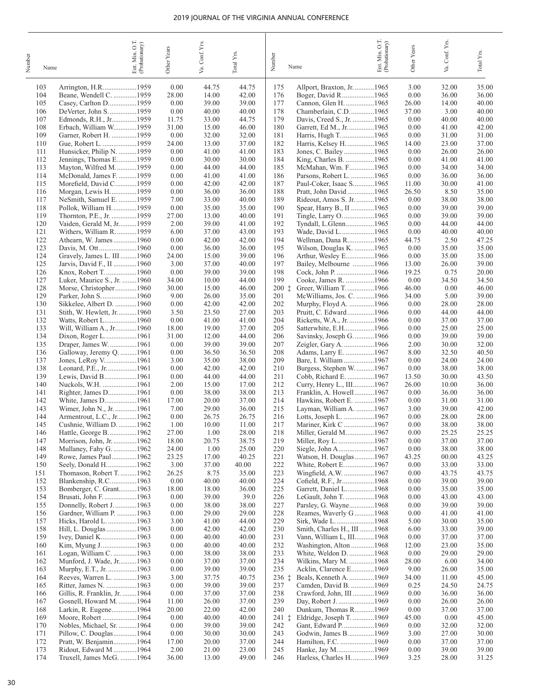| Number | Name       |                                                       | O.T.<br>Ent. Min. O.T.<br>(Probationary) | Other Years   | Va. Conf. Yrs. | $\mbox{Total Yrs.}$ | Number       | Name                                                | Ent. Min. O.T.<br>(Probationary) | Other Years    | Conf. Yrs.<br>Va. | Total Yrs.     |
|--------|------------|-------------------------------------------------------|------------------------------------------|---------------|----------------|---------------------|--------------|-----------------------------------------------------|----------------------------------|----------------|-------------------|----------------|
|        | 103        | Arrington, H.R1959                                    |                                          | 0.00          | 44.75          | 44.75               | 175          | Allport, Braxton, Jr. 1965                          |                                  | 3.00           | 32.00             | 35.00          |
|        | 104        | Beane, Wendell C. 1959                                |                                          | 28.00         | 14.00          | 42.00               | 176          | Boger, David R 1965                                 |                                  | 0.00           | 36.00             | 36.00          |
|        | 105<br>106 | Casey, Carlton D1959<br>DeVerter, John S1959          |                                          | 0.00<br>0.00  | 39.00<br>40.00 | 39.00<br>40.00      | 177<br>178   | Cannon, Glen H. 1965<br>Chamberlain, C.D1965        |                                  | 26.00<br>37.00 | 14.00<br>3.00     | 40.00<br>40.00 |
|        | 107        | Edmonds, R.H., Jr1959                                 |                                          | 11.75         | 33.00          | 44.75               | 179          | Davis, Creed S., Jr. 1965                           |                                  | 0.00           | 40.00             | 40.00          |
|        | 108        | Erbach, William W1959                                 |                                          | 31.00         | 15.00          | 46.00               | 180          | Garrett, Ed M., Jr. 1965                            |                                  | 0.00           | 41.00             | 42.00          |
|        | 109        | Garner, Robert H. 1959                                |                                          | 0.00          | 32.00          | 32.00               | 181          | Harris, Hugh T1965                                  |                                  | 0.00           | 31.00             | 31.00          |
|        | 110<br>111 | Gue, Robert L. 1959<br>Hunsicker, Philip N. 1959      |                                          | 24.00<br>0.00 | 13.00<br>41.00 | 37.00<br>41.00      | 182<br>183   | Harris, Kelsey H. 1965<br>Jones, C. Bailey1965      |                                  | 14.00<br>0.00  | 23.00<br>26.00    | 37.00<br>26.00 |
|        | 112        | Jennings, Thomas E1959                                |                                          | 0.00          | 30.00          | 30.00               | 184          | King, Charles B. 1965                               |                                  | 0.00           | 41.00             | 41.00          |
|        | 113        | Mayton, Wilfred M1959                                 |                                          | 0.00          | 44.00          | 44.00               | 185          | McMahan, Wm. F1965                                  |                                  | 0.00           | 34.00             | 34.00          |
|        | 114        | McDonald, James F. 1959                               |                                          | 0.00          | 41.00          | 41.00               | 186          | Parsons, Robert L. 1965                             |                                  | 0.00           | 36.00             | 36.00          |
|        | 115<br>116 | Morefield, David C1959<br>Morgan, Lewis H1959         |                                          | 0.00<br>0.00  | 42.00<br>36.00 | 42.00<br>36.00      | 187<br>188   | Paul-Coker, Isaac S1965<br>Pratt, John David1965    |                                  | 11.00<br>26.50 | 30.00<br>8.50     | 41.00<br>35.00 |
|        | 117        | NeSmith, Samuel E. 1959                               |                                          | 7.00          | 33.00          | 40.00               | 189          | Rideout, Amos S. Jr. 1965                           |                                  | 0.00           | 38.00             | 38.00          |
|        | 118        | Pollok, William H1959                                 |                                          | 0.00          | 35.00          | 35.00               | 190          | Spear, Harry B., II 1965                            |                                  | 0.00           | 39.00             | 39.00          |
|        | 119        | Thornton, P.E., Jr. 1959                              |                                          | 27.00         | 13.00          | 40.00               | 191          | Tingle, Larry O. 1965                               |                                  | 0.00           | 39.00             | 39.00          |
|        | 120<br>121 | Vaiden, Gerald M, Jr1959<br>Withers, William R. 1959  |                                          | 2.00<br>6.00  | 39.00<br>37.00 | 41.00<br>43.00      | 192<br>193   | Tyndall, L.Glenn1965<br>Wade, David L1965           |                                  | 0.00<br>0.00   | 44.00<br>40.00    | 44.00<br>40.00 |
|        | 122        | Athearn, W. James1960                                 |                                          | 0.00          | 42.00          | 42.00               | 194          | Wellman, Dana R1965                                 |                                  | 44.75          | 2.50              | 47.25          |
|        | 123        | Davis, M. Ott1960                                     |                                          | 0.00          | 36.00          | 36.00               | 195          | Wilson, Douglas K. 1965                             |                                  | 0.00           | 35.00             | 35.00          |
|        | 124        | Gravely, James L. III 1960                            |                                          | 24.00         | 15.00          | 39.00               | 196          | Arthur, Wesley E1966                                |                                  | 0.00           | 35.00             | 35.00          |
|        | 125<br>126 | Jarvis, David F., II 1960<br>Knox, Robert T. 1960     |                                          | 3.00<br>0.00  | 37.00<br>39.00 | 40.00<br>39.00      | 197<br>198   | Bailey, Melbourne 1966<br>Cock, John P. 1966        |                                  | 13.00<br>19.25 | 26.00<br>0.75     | 39.00<br>20.00 |
|        | 127        | Luker, Maurice S., Jr. 1960                           |                                          | 34.00         | 10.00          | 44.00               | 199          | Cooke, James R. 1966                                |                                  | 0.00           | 34.50             | 34.50          |
|        | 128        | Morse, Christopher1960                                |                                          | 30.00         | 15.00          | 46.00               | 200 i        | Greer, William T. 1966                              |                                  | 46.00          | 0.00              | 46.00          |
|        | 129        | Parker, John S1960                                    |                                          | 9.00          | 26.00          | 35.00               | 201          | McWilliams, Jos. C. 1966                            |                                  | 34.00          | 5.00              | 39.00          |
|        | 130<br>131 | Sikkelee, Albert D. 1960<br>Stith, W. Hewlett, Jr1960 |                                          | 0.00<br>3.50  | 42.00<br>23.50 | 42.00<br>27.00      | 202<br>203   | Murphy, Floyd A. 1966<br>Pruitt, C. Edward1966      |                                  | 0.00<br>0.00   | 28.00<br>44.00    | 28.00<br>44.00 |
|        | 132        | Watts, Robert L1960                                   |                                          | 0.00          | 41.00          | 41.00               | 204          | Ricketts, W.A., Jr. 1966                            |                                  | 0.00           | 37.00             | 37.00          |
|        | 133        | Will, William A., Jr1960                              |                                          | 18.00         | 19.00          | 37.00               | 205          | Satterwhite, E.H1966                                |                                  | 0.00           | 25.00             | 25.00          |
|        | 134        | Dixon, Roger L1961                                    |                                          | 31.00         | 12.00          | 44.00               | 206          | Savinsky, Joseph G1966                              |                                  | 0.00           | 39.00             | 39.00          |
|        | 135<br>136 | Draper, James W1961<br>Galloway, Jeremy Q. 1961       |                                          | 0.00<br>0.00  | 39.00<br>36.50 | 39.00<br>36.50      | 207<br>208   | Zeigler, Gary A. 1966<br>Adams, Larry E. 1967       |                                  | 2.00<br>8.00   | 30.00<br>32.50    | 32.00<br>40.50 |
|        | 137        | Jones, LeRoy V1961                                    |                                          | 3.00          | 35.00          | 38.00               | 209          | Bare, I. William 1967                               |                                  | 0.00           | 24.00             | 24.00          |
|        | 138        | Leonard, P.E., Jr1961                                 |                                          | 0.00          | 42.00          | 42.00               | 210          | Burgess, Stephen W1967                              |                                  | 0.00           | 38.00             | 38.00          |
|        | 139<br>140 | Lewis, David B1961                                    |                                          | 0.00          | 44.00          | 44.00               | 211          | Cobb, Richard E. 1967                               |                                  | 13.50          | 30.00             | 43.50          |
|        | 141        | Nuckols, W.H. 1961<br>Righter, James D1961            |                                          | 2.00<br>0.00  | 15.00<br>38.00 | 17.00<br>38.00      | 212<br>213   | Curry, Henry L., III1967<br>Franklin, A. Howell1967 |                                  | 26.00<br>0.00  | 10.00<br>36.00    | 36.00<br>36.00 |
|        | 142        | White, James D1961                                    |                                          | 17.00         | 20.00          | 37.00               | 214          | Hawkins, Robert E. 1967                             |                                  | 0.00           | 31.00             | 31.00          |
|        | 143        | Wimer, John N., Jr. 1961                              |                                          | 7.00          | 29.00          | 36.00               | 215          | Layman, William A. 1967                             |                                  | 3.00           | 39.00             | 42.00          |
|        | 144<br>145 | Armentrout, L.C., Jr1962<br>Cushnie, William D. 1962  |                                          | 0.00<br>1.00  | 26.75<br>10.00 | 26.75<br>11.00      | 216<br>217   | Lotts, Joseph L. 1967<br>Mariner, Kirk C 1967       |                                  | 0.00<br>0.00   | 28.00<br>38.00    | 28.00<br>38.00 |
|        | 146        | Hattle, George B1962                                  |                                          | 27.00         | 1.00           | 28.00               | 218          | Miller, Gerald M1967                                |                                  | 0.00           | 25.25             | 25.25          |
|        | 147        | Morrison, John, Jr. 1962                              |                                          | 18.00         | 20.75          | 38.75               | 219          |                                                     |                                  | 0.00           | 37.00             | 37.00          |
|        | 148        | Mullaney, Fahy G. 1962                                |                                          | 24.00         | 1.00           | 25.00               | 220          | Siegle, John A1967                                  |                                  | 0.00           | 38.00             | 38.00          |
|        | 149<br>150 | Rowe, James Paul1962<br>Seely, Donald H1962           |                                          | 23.25<br>3.00 | 17.00<br>37.00 | 40.25<br>40.00      | 221<br>222   | Watson, H. Douglas1967<br>White, Robert E1967       |                                  | 43.25<br>0.00  | 00.00<br>33.00    | 43.25<br>33.00 |
|        | 151        | Thomason, Robert T. 1962                              |                                          | 26.25         | 8.75           | 35.00               | 223          | Wingfield, A.W. 1967                                |                                  | 0.00           | 43.75             | 43.75          |
|        | 152        | Blankenship, R.C1963                                  |                                          | 0.00          | 40.00          | 40.00               | 224          | Cofield, R.F., Jr1968                               |                                  | 0.00           | 39.00             | 39.00          |
|        | 153<br>154 | Bomberger, C. Grant1963                               |                                          | 18.00<br>0.00 | 18.00<br>39.00 | 36.00<br>39.0       | 225<br>226   | Garrett, Daniel L1968<br>LeGault, John T. 1968      |                                  | 0.00<br>0.00   | 35.00<br>43.00    | 35.00          |
|        | 155        | Brusati, John F. 1963<br>Donnelly, Robert J1963       |                                          | 0.00          | 38.00          | 38.00               | 227          | Parsley, G. Wayne1968                               |                                  | 0.00           | 39.00             | 43.00<br>39.00 |
|        | 156        | Gardner, William P. 1963                              |                                          | 0.00          | 29.00          | 29.00               | 228          | Reames, Waverly G1968                               |                                  | 0.00           | 41.00             | 41.00          |
|        | 157        | Hicks, Harold L. 1963                                 |                                          | 3.00          | 41.00          | 44.00               | 229          | Sirk, Wade L1968                                    |                                  | 5.00           | 30.00             | 35.00          |
|        | 158        | Hill, L. Douglas 1963                                 |                                          | 0.00          | 42.00          | 42.00               | 230<br>231   | Smith, Charles H., III 1968                         |                                  | 6.00           | 33.00             | 39.00          |
|        | 159<br>160 | Ivey, Daniel K1963<br>Kim, Myung J1963                |                                          | 0.00<br>0.00  | 40.00<br>40.00 | 40.00<br>40.00      | 232          | Vann, William L, III1968<br>Washington, Alton 1968  |                                  | 0.00<br>12.00  | 37.00<br>23.00    | 37.00<br>35.00 |
|        | 161        | Logan, William C. 1963                                |                                          | 0.00          | 38.00          | 38.00               | 233          | White, Weldon D. 1968                               |                                  | 0.00           | 29.00             | 29.00          |
|        | 162        | Munford, J. Wade, Jr1963                              |                                          | 0.00          | 37.00          | 37.00               | 234          | Wilkins, Mary M. 1968                               |                                  | 28.00          | 6.00              | 34.00          |
|        | 163<br>164 | Murphy, E.T., Jr. 1963<br>Reeves, Warren L. 1963      |                                          | 0.00<br>3.00  | 39.00<br>37.75 | 39.00<br>40.75      | 235<br>236 ‡ | Acklin, Clarence E1969<br>Beals, Kenneth A. 1969    |                                  | 9.00<br>34.00  | 26.00<br>11.00    | 35.00<br>45.00 |
|        | 165        | Ritter, James N. 1963                                 |                                          | 0.00          | 39.00          | 39.00               | 237          | Camden, David B. 1969                               |                                  | 0.25           | 24.50             | 24.75          |
|        | 166        | Gillis, R. Franklin, Jr. 1964                         |                                          | 0.00          | 37.00          | 37.00               | 238          | Crawford, John, III 1969                            |                                  | 0.00           | 36.00             | 36.00          |
|        | 167        | Gosnell, Howard M. 1964                               |                                          | 11.00         | 26.00          | 37.00               | 239          | Day, Robert J. 1969                                 |                                  | 0.00           | 26.00             | 26.00          |
|        | 168<br>169 | Larkin, R. Eugene1964<br>Moore, Robert 1964           |                                          | 20.00<br>0.00 | 22.00<br>40.00 | 42.00<br>40.00      | 240<br>241 ‡ | Dunkum, Thomas R1969<br>Eldridge, Joseph T. 1969    |                                  | 0.00<br>45.00  | 37.00<br>0.00     | 37.00<br>45.00 |
|        | 170        | Nobles, Michael, Sr. 1964                             |                                          | 0.00          | 39.00          | 39.00               | 242          | Gant, Edward P1969                                  |                                  | 0.00           | 32.00             | 32.00          |
|        | 171        | Pillow, C. Douglas1964                                |                                          | 0.00          | 30.00          | 30.00               | 243          | Godwin, James B1969                                 |                                  | 3.00           | 27.00             | 30.00          |
|        | 172        | Pratt, W. Benjamin1964                                |                                          | 17.00         | 20.00          | 37.00               | 244          | Hamilton, F.C. 1969                                 |                                  | 0.00           | 37.00             | 37.00          |
|        | 173<br>174 | Ridout, Edward M 1964<br>Truxell, James McG. 1964     |                                          | 2.00<br>36.00 | 21.00<br>13.00 | 23.00<br>49.00      | 245<br>246   | Hanke, Jay M1969<br>Harless, Charles H. 1969        |                                  | 0.00<br>3.25   | 39.00<br>28.00    | 39.00<br>31.25 |
|        |            |                                                       |                                          |               |                |                     |              |                                                     |                                  |                |                   |                |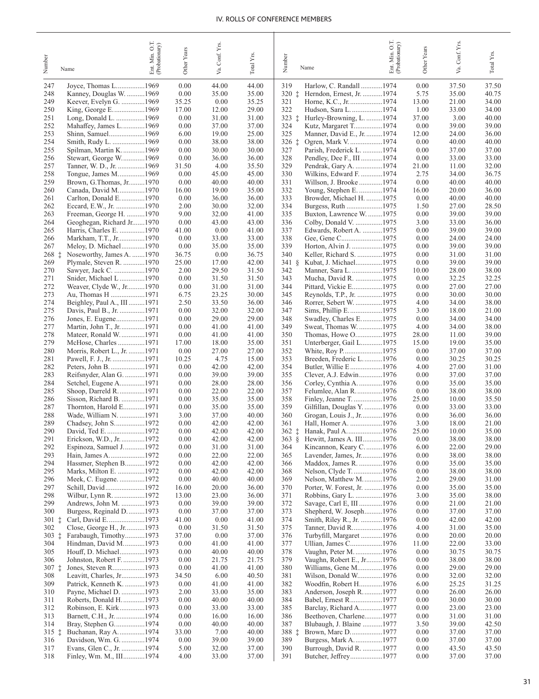| Number            | Name                                                 | Ent. Min. O.T.<br>(Probationary) | Other Years    | Va. Conf. Yrs. | Total Yrs.     | Number<br>Name                                                        | Ent. Min. O.T.<br>(Probationary) | Other Years    | Va. Conf. Yrs  | Total Y <sub>IS</sub> |
|-------------------|------------------------------------------------------|----------------------------------|----------------|----------------|----------------|-----------------------------------------------------------------------|----------------------------------|----------------|----------------|-----------------------|
| 247               | Joyce, Thomas L1969                                  |                                  | 0.00           | 44.00          | 44.00          | 319<br>Harlow, C. Randall 1974                                        |                                  | 0.00           | 37.50          | 37.50                 |
| 248               | Kanney, Douglas W. 1969                              |                                  | 0.00           | 35.00          | 35.00          | 320 ‡<br>Herndon, Ernest, Jr. 1974                                    |                                  | 5.75           | 35.00          | 40.75                 |
| 249               | Keever, Evelyn G. 1969                               |                                  | 35.25          | 0.00           | 35.25          | 321<br>Horne, K.C., Jr1974                                            |                                  | 13.00          | 21.00          | 34.00                 |
| 250               |                                                      |                                  | 17.00          | 12.00          | 29.00          | 322<br>Hudson, Sara L. 1974                                           |                                  | 1.00           | 33.00          | 34.00                 |
| 251<br>252        | Long, Donald L. 1969<br>Mahaffey, James L1969        |                                  | 0.00<br>0.00   | 31.00<br>37.00 | 31.00<br>37.00 | $323 \pm$<br>Hurley-Browning, L. 1974<br>324<br>Kutz, Margaret T1974  |                                  | 37.00<br>0.00  | 3.00<br>39.00  | 40.00<br>39.00        |
| 253               | Shinn, Samuel1969                                    |                                  | 6.00           | 19.00          | 25.00          | 325<br>Manner, David E., Jr.  1974                                    |                                  | 12.00          | 24.00          | 36.00                 |
| 254               | Smith, Rudy L. 1969                                  |                                  | 0.00           | 38.00          | 38.00          | 326 ‡<br>Ogren, Mark V. 1974                                          |                                  | 0.00           | 40.00          | 40.00                 |
| 255               | Spilman, Martin K1969                                |                                  | 0.00           | 30.00          | 30.00          | 327<br>Parish, Frederick L. 1974                                      |                                  | 0.00           | 37.00          | 37.00                 |
| 256               | Stewart, George W1969                                |                                  | 0.00           | 36.00          | 36.00          | 328<br>Pendley, Dee F., III 1974                                      |                                  | 0.00           | 33.00          | 33.00                 |
| 257               | Tanner, W. D., Jr. 1969                              |                                  | 31.50<br>0.00  | 4.00<br>45.00  | 35.50<br>45.00 | 329<br>Pendrak, Gary A. 1974<br>330<br>Wilkins, Edward F. 1974        |                                  | 21.00<br>2.75  | 11.00<br>34.00 | 32.00<br>36.75        |
| 258<br>259        | Tongue, James M1969<br>Brown, G.Thomas, Jr1970       |                                  | 0.00           | 40.00          | 40.00          | 331<br>Willson, J. Brooke 1974                                        |                                  | 0.00           | 40.00          | 40.00                 |
| 260               | Canada, David M1970                                  |                                  | 16.00          | 19.00          | 35.00          | 332<br>Young, Stephen E. 1974                                         |                                  | 16.00          | 20.00          | 36.00                 |
| 261               | Carlton, Donald E1970                                |                                  | 0.00           | 36.00          | 36.00          | 333<br>Browder, Michael H. 1975                                       |                                  | 0.00           | 40.00          | 40.00                 |
| 262               | Eccard, E.W., Jr. 1970                               |                                  | 2.00           | 30.00          | 32.00          | 334<br>Burgess, Ruth 1975                                             |                                  | 1.50           | 27.00          | 28.50                 |
| 263               | Freeman, George H. 1970                              |                                  | 9.00           | 32.00          | 41.00          | 335<br>Buxton, Lawrence W. 1975                                       |                                  | 0.00           | 39.00          | 39.00                 |
| 264<br>265        | Geoghegan, Richard Jr1970<br>Harris, Charles E. 1970 |                                  | 0.00<br>41.00  | 43.00<br>0.00  | 43.00<br>41.00 | 336<br>Colby, Donald V. 1975<br>337<br>Edwards, Robert A. 1975        |                                  | 3.00<br>0.00   | 33.00<br>39.00 | 36.00<br>39.00        |
| 266               | Markham, T.T., Jr1970                                |                                  | 0.00           | 33.00          | 33.00          | 338<br>Gee, Gene C1975                                                |                                  | 0.00           | 24.00          | 24.00                 |
| 267               | Meloy, D. Michael1970                                |                                  | 0.00           | 35.00          | 35.00          | 339<br>Horton, Alvin J. 1975                                          |                                  | 0.00           | 39.00          | 39.00                 |
| 268 ‡             | Noseworthy, James A. 1970                            |                                  | 36.75          | 0.00           | 36.75          | 340<br>Keller, Richard S. 1975                                        |                                  | 0.00           | 31.00          | 31.00                 |
| 269               | Plymale, Steven R. 1970                              |                                  | 25.00          | 17.00          | 42.00          | 341 §<br>Kubat, J. Michael1975                                        |                                  | 0.00           | 39.00          | 39.00                 |
| 270               | Sawyer, Jack C. 1970                                 |                                  | 2.00           | 29.50          | 31.50          | 342<br>Manner, Sara L. 1975                                           |                                  | 10.00          | 28.00          | 38.00                 |
| 271<br>272        | Snider, Michael L 1970<br>Weaver, Clyde W., Jr1970   |                                  | 0.00<br>0.00   | 31.50<br>31.00 | 31.50<br>31.00 | 343<br>Mucha, David R. 1975<br>344<br>Pittard, Vickie E1975           |                                  | 0.00<br>0.00   | 32.25<br>27.00 | 32.25<br>27.00        |
| 273               | Au, Thomas H 1971                                    |                                  | 6.75           | 23.25          | 30.00          | 345<br>Reynolds, T.P., Jr. 1975                                       |                                  | 0.00           | 30.00          | 30.00                 |
| 274               | Beighley, Paul A., III 1971                          |                                  | 2.50           | 33.50          | 36.00          | 346<br>Rorrer, Sebert W. 1975                                         |                                  | 4.00           | 34.00          | 38.00                 |
| 275               | Davis, Paul B., Jr. 1971                             |                                  | 0.00           | 32.00          | 32.00          | 347<br>Sims, Phillip E1975                                            |                                  | 3.00           | 18.00          | 21.00                 |
| 276               | Jones, E. Eugene1971                                 |                                  | 0.00           | 29.00          | 29.00          | 348<br>Swadley, Charles E1975                                         |                                  | 0.00           | 34.00          | 34.00                 |
| 277               | Martin, John T., Jr. 1971                            |                                  | 0.00           | 41.00          | 41.00          | 349<br>Sweat, Thomas W. 1975                                          |                                  | 4.00           | 34.00          | 38.00                 |
| 278<br>279        | Mateer, Ronald W. 1971<br>McHose, Charles1971        |                                  | 0.00<br>17.00  | 41.00<br>18.00 | 41.00<br>35.00 | 350<br>Thomas, Howe O1975<br>351<br>Unterberger, Gail L1975           |                                  | 28.00<br>15.00 | 11.00<br>19.00 | 39.00<br>35.00        |
| 280               | Morris, Robert L., Jr. 1971                          |                                  | 0.00           | 27.00          | 27.00          | 352<br>White, Roy P1975                                               |                                  | 0.00           | 37.00          | 37.00                 |
| 281               |                                                      |                                  | 10.25          | 4.75           | 15.00          | 353<br>Breeden, Frederic L1976                                        |                                  | 0.00           | 30.25          | 30.25                 |
| 282               |                                                      |                                  | 0.00           | 42.00          | 42.00          | 354<br>Butler, Willie E1976                                           |                                  | 4.00           | 27.00          | 31.00                 |
| 283               | Reifsnyder, Alan G. 1971                             |                                  | 0.00           | 39.00          | 39.00          | 355<br>Clever, A.J. Edwin1976                                         |                                  | 0.00           | 37.00          | 37.00                 |
| 284               | Setchel, Eugene A1971<br>Shoop, Darreld R. 1971      |                                  | 0.00<br>0.00   | 28.00<br>22.00 | 28.00<br>22.00 | 356<br>Corley, Cynthia A. 1976<br>357                                 |                                  | 0.00           | 35.00<br>38.00 | 35.00<br>38.00        |
| 285<br>286        | Sisson, Richard B. 1971                              |                                  | 0.00           | 35.00          | 35.00          | Felumlee, Alan R. 1976<br>358<br>Finley, Jeanne T. 1976               |                                  | 0.00<br>25.00  | 10.00          | 35.50                 |
| 287               | Thornton, Harold E1971                               |                                  | 0.00           | 35.00          | 35.00          | 359<br>Gilfillan, Douglas Y. 1976                                     |                                  | 0.00           | 33.00          | 33.00                 |
| 288               | Wade, William N. 1971                                |                                  | 3.00           | 37.00          | 40.00          | 360<br>Grogan, Louis J., Jr1976                                       |                                  | 0.00           | 36.00          | 36.00                 |
| 289               | Chadsey, John S1972                                  |                                  | 0.00           | 42.00          | 42.00          | 361                                                                   |                                  | 3.00           | 18.00          | 21.00                 |
| 290               | David, Ted E1972                                     |                                  | 0.00           | 42.00          | 42.00          | 362 ‡<br>Hanak, Paul A1976                                            |                                  | 25.00          | 10.00          | 35.00                 |
| 291<br>292        | Erickson, W.D., Jr. 1972<br>Espinoza, Samuel J1972   |                                  | 0.00<br>0.00   | 42.00<br>31.00 | 42.00<br>31.00 | Hewitt, James A. III1976<br>$363 \&$<br>364<br>Kincannon, Keary C1976 |                                  | 0.00<br>6.00   | 38.00<br>22.00 | 38.00<br>29.00        |
| 293               | Hain, James A1972                                    |                                  | 0.00           | 22.00          | 22.00          | 365<br>Lavender, James, Jr1976                                        |                                  | 0.00           | 38.00          | 38.00                 |
| 294               | Hassmer, Stephen B1972                               |                                  | 0.00           | 42.00          | 42.00          | Maddox, James R. 1976<br>366                                          |                                  | 0.00           | 35.00          | 35.00                 |
| 295               | Marks, Milton E. 1972                                |                                  | 0.00           | 42.00          | 42.00          | 368<br>Nelson, Clyde T. 1976                                          |                                  | 0.00           | 38.00          | 38.00                 |
| 296               | Meek, C. Eugene. 1972                                |                                  | 0.00           | 40.00          | 40.00          | 369<br>Nelson, Matthew M1976                                          |                                  | 2.00           | 29.00          | 31.00                 |
| 297<br>298        | Wilbur, Lynn R. 1972                                 |                                  | 16.00<br>13.00 | 20.00<br>23.00 | 36.00<br>36.00 | 370<br>Porter, W. Forest, Jr. 1976<br>371<br>Robbins, Gary L. 1976    |                                  | 0.00<br>3.00   | 35.00<br>35.00 | 35.00<br>38.00        |
| 299               | Andrews, John M. 1973                                |                                  | 0.00           | 39.00          | 39.00          | 372<br>Savage, Carl E, III 1976                                       |                                  | 0.00           | 21.00          | 21.00                 |
| 300               | Burgess, Reginald D1973                              |                                  | 0.00           | 37.00          | 37.00          | Shepherd, W. Joseph1976<br>373                                        |                                  | 0.00           | 37.00          | 37.00                 |
| $301 \pm$         | Carl, David E1973                                    |                                  | 41.00          | 0.00           | 41.00          | 374<br>Smith, Riley R., Jr. 1976                                      |                                  | 0.00           | 42.00          | 42.00                 |
| 302               | Close, George H., Jr1973                             |                                  | 0.00           | 31.50          | 31.50          | 375<br>Tanner, David R1976                                            |                                  | 4.00           | 31.00          | 35.00                 |
| $303\_1$          | Farabaugh, Timothy1973                               |                                  | 37.00          | 0.00           | 37.00          | 376<br>Turbyfill, Margaret1976                                        |                                  | 0.00           | 20.00          | 20.00                 |
| 304<br>305        | Hindman, David M1973<br>Houff, D. Michael1973        |                                  | 0.00<br>0.00   | 41.00<br>40.00 | 41.00<br>40.00 | 377<br>Ullian, James C1976<br>378<br>Vaughn, Peter M1976              |                                  | 11.00<br>0.00  | 22.00<br>30.75 | 33.00<br>30.75        |
| 306               | Johnston, Robert F1973                               |                                  | 0.00           | 21.75          | 21.75          | Vaughn, Robert E., Jr1976<br>379                                      |                                  | 0.00           | 38.00          | 38.00                 |
| $307\_{\ddagger}$ |                                                      |                                  | 0.00           | 41.00          | 41.00          | 380<br>Williams, Gene M1976                                           |                                  | 0.00           | 29.00          | 29.00                 |
| 308               | Leavitt, Charles, Jr1973                             |                                  | 34.50          | 6.00           | 40.50          | 381<br>Wilson, Donald W1976                                           |                                  | 0.00           | 32.00          | 32.00                 |
| 309               | Patrick, Kenneth K. 1973                             |                                  | 0.00           | 41.00          | 41.00          | 382<br>Woodfin, Robert H1976                                          |                                  | 6.00           | 25.25          | 31.25                 |
| 310               | Payne, Michael D. 1973                               |                                  | 2.00           | 33.00          | 35.00          | 383<br>Anderson, Joseph R.  1977                                      |                                  | 0.00           | 26.00          | 26.00                 |
| 311<br>312        | Roberts, Donald H. 1973<br>Robinson, E. Kirk1973     |                                  | 0.00<br>0.00   | 40.00<br>33.00 | 40.00<br>33.00 | 384<br>Babel, Ernest R1977<br>385<br>Barclay, Richard A1977           |                                  | 0.00<br>0.00   | 30.00<br>23.00 | 30.00<br>23.00        |
| 313               | Barnett, C.H., Jr. 1974                              |                                  | 0.00           | 16.00          | 16.00          | 386<br>Beethoven, Charlene1977                                        |                                  | 0.00           | 31.00          | 31.00                 |
| 314               | Bray, Stephen G1974                                  |                                  | 0.00           | 40.00          | 40.00          | 387<br>Blubaugh, J. Blaine 1977                                       |                                  | 3.50           | 39.00          | 42.50                 |
| 315 ‡             | Buchanan, Ray A. 1974                                |                                  | 33.00          | 7.00           | 40.00          | 388 ‡<br>Brown, Marc D1977                                            |                                  | 0.00           | 37.00          | 37.00                 |
| 316               | Davidson, Wm. G. 1974                                |                                  | 0.00           | 39.00          | 39.00          | 389<br>Burgess, Mark A1977                                            |                                  | 0.00           | 37.00          | 37.00                 |
| 317               | Evans, Glen C., Jr. 1974<br>Finley, Wm. M., III1974  |                                  | 5.00<br>4.00   | 32.00          | 37.00<br>37.00 | Burrough, David R. 1977<br>390<br>391<br>Butcher, Jeffrey1977         |                                  | 0.00           | 43.50<br>37.00 | 43.50<br>37.00        |
| 318               |                                                      |                                  |                | 33.00          |                |                                                                       |                                  | 0.00           |                |                       |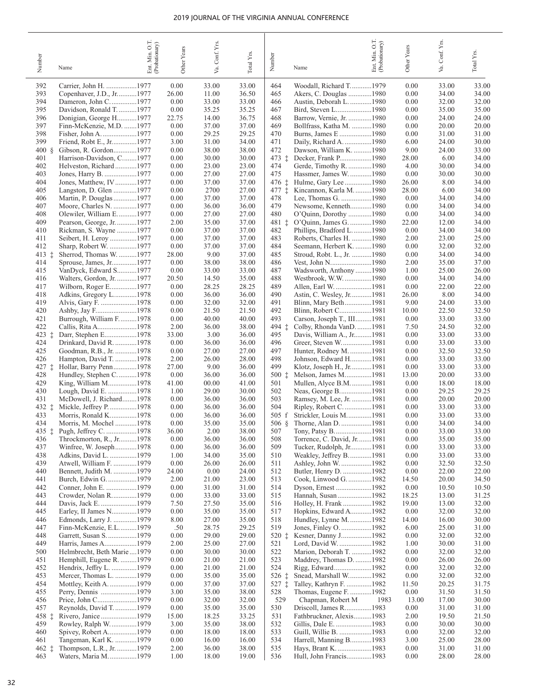| Number                | Name                                                | Ent. Min. O.T.<br>(Probationary) | Other Years   | Va. Conf. Yrs. | Total Y <sub>ps</sub> | Number       | Name                                               | OT.<br>Ent. Min. O.T.<br>(Probationary) | Other Years    | Va. Conf. Yrs  | Total Yrs.     |
|-----------------------|-----------------------------------------------------|----------------------------------|---------------|----------------|-----------------------|--------------|----------------------------------------------------|-----------------------------------------|----------------|----------------|----------------|
| 392                   | Carrier, John H. 1977                               |                                  | 0.00          | 33.00          | 33.00                 | 464          | Woodall, Richard T1979                             |                                         | 0.00           | 33.00          | 33.00          |
| 393                   | Copenhaver, J.D., Jr1977                            |                                  | 26.00         | 11.00          | 36.50                 | 465          | Akers, C. Douglas 1980                             |                                         | 0.00           | 34.00          | 34.00          |
| 394                   | Dameron, John C1977                                 |                                  | 0.00          | 33.00          | 33.00                 | 466          | Austin, Deborah L. 1980                            |                                         | 0.00           | 32.00          | 32.00          |
| 395                   | Davidson, Ronald T. 1977                            |                                  | 0.00          | 35.25          | 35.25                 | 467          |                                                    |                                         | 0.00           | 35.00          | 35.00          |
| 396                   | Donigian, George H1977                              |                                  | 22.75         | 14.00          | 36.75                 | 468          | Barrow, Vernie, Jr. 1980                           |                                         | 0.00           | 24.00          | 24.00          |
| 397                   | Finn-McKenzie, M.D. 1977                            |                                  | 0.00          | 37.00          | 37.00                 | 469          | Bollfrass, Katha M. 1980                           |                                         | 0.00           | 20.00          | 20.00          |
| 398                   | Fisher, John A. 1977                                |                                  | 0.00          | 29.25          | 29.25                 | 470          | Burns, James E 1980                                |                                         | 0.00           | 31.00          | 31.00          |
| 399                   | Friend, Robt E., Jr1977                             |                                  | 3.00          | 31.00          | 34.00                 | 471          | Daily, Richard A. 1980                             |                                         | 6.00           | 24.00          | 30.00          |
| $400 \text{ }$<br>401 | Gibson, R. Gordon1977                               |                                  | 0.00<br>0.00  | 38.00<br>30.00 | 38.00<br>30.00        | 472<br>473 i | Dawson, William K. 1980                            |                                         | 9.00<br>28.00  | 24.00<br>6.00  | 33.00<br>34.00 |
| 402                   | Harrison-Davidson, C1977<br>Helveston, Richard1977  |                                  | 0.00          | 23.00          | 23.00                 | 474          | Gerde, Timothy R. 1980                             |                                         | 4.00           | 30.00          | 34.00          |
| 403                   | Jones, Harry B. 1977                                |                                  | 0.00          | 27.00          | 27.00                 | 475          | Hassmer, James W1980                               |                                         | 0.00           | 30.00          | 30.00          |
| 404                   | Jones, Matthew, IV1977                              |                                  | 0.00          | 37.00          | 37.00                 | 476 ‡        | Hulme, Gary Lee 1980                               |                                         | 26.00          | 8.00           | 34.00          |
| 405                   | Langston, D. Glen 1977                              |                                  | 0.00          | 2700           | 27.00                 | 477 i        | Kincannon, Karla M. 1980                           |                                         | 28.00          | 6.00           | 34.00          |
| 406                   | Martin, P. Douglas 1977                             |                                  | 0.00          | 37.00          | 37.00                 | 478          | Lee, Thomas G. 1980                                |                                         | 0.00           | 34.00          | 34.00          |
| 407                   | Moore, Charles N. 1977                              |                                  | 0.00          | 36.00          | 36.00                 | 479          | Newsome, Kenneth1980                               |                                         | 0.00           | 34.00          | 34.00          |
| 408                   | Olewiler, William E1977                             |                                  | 0.00          | 27.00          | 27.00                 | 480          | O'Quinn, Dorothy 1980                              |                                         | 0.00           | 34.00          | 34.00          |
| 409<br>410            | Pearson, George, Jr. 1977<br>Rickman, S. Wayne 1977 |                                  | 2.00<br>0.00  | 35.00<br>37.00 | 37.00<br>37.00        | 481 i<br>482 | O'Quinn, James G. 1980<br>Phillips, Bradford L1980 |                                         | 22.00<br>0.00  | 12.00<br>34.00 | 34.00<br>34.00 |
| 411                   | Seibert, H. Leroy 1977                              |                                  | 0.00          | 37.00          | 37.00                 | 483          | Roberts, Charles H. 1980                           |                                         | 2.00           | 23.00          | 25.00          |
| 412                   | Sharp, Robert W. 1977                               |                                  | 0.00          | 37.00          | 37.00                 | 484          | Seemann, Herbert K. 1980                           |                                         | 0.00           | 32.00          | 32.00          |
| 413 ‡                 | Sherrod, Thomas W. 1977                             |                                  | 28.00         | 9.00           | 37.00                 | 485          | Stroud, Robt. L., Jr. 1980                         |                                         | 0.00           | 34.00          | 34.00          |
| 414                   | Sprouse, James, Jr1977                              |                                  | 0.00          | 38.00          | 38.00                 | 486          |                                                    |                                         | 2.00           | 35.00          | 37.00          |
| 415                   | VanDyck, Edward S1977                               |                                  | 0.00          | 33.00          | 33.00                 | 487          | Wadsworth, Anthony1980                             |                                         | 1.00           | 25.00          | 26.00          |
| 416                   | Walters, Gordon, Jr. 1977                           |                                  | 20.50         | 14.50          | 35.00                 | 488          | Westbrook, W.W. 1980                               |                                         | 0.00           | 34.00          | 34.00          |
| 417                   | Wilborn, Roger E1977                                |                                  | 0.00          | 28.25          | 28.25                 | 489          | Allen, Earl W. 1981                                |                                         | 0.00           | 22.00          | 22.00          |
| 418<br>419            | Adkins, Gregory L1978                               |                                  | 0.00<br>0.00  | 36.00<br>32.00 | 36.00<br>32.00        | 490<br>491   | Astin, C. Wesley, Jr1981                           |                                         | 26.00<br>9.00  | 8.00<br>24.00  | 34.00<br>33.00 |
| 420                   | Alvis, Gary F. 1978<br>Ashby, Jay F…………………1978      |                                  | 0.00          | 21.50          | 21.50                 | 492          | Blinn, Mary Beth1981                               |                                         | 10.00          | 22.50          | 32.50          |
| 421                   | Burrough, William F1978                             |                                  | 0.00          | 40.00          | 40.00                 | 493          | Carson, Joseph T., III1981                         |                                         | 0.00           | 33.00          | 33.00          |
| 422                   | Callis, Rita A1978                                  |                                  | 2.00          | 36.00          | 38.00                 | 494 i        | Colby, Rhonda VanD1981                             |                                         | 7.50           | 24.50          | 32.00          |
| 423 ‡                 |                                                     |                                  | 33.00         | 3.00           | 36.00                 | 495          | Davis, William A., Jr1981                          |                                         | 0.00           | 33.00          | 33.00          |
| 424                   | Drinkard, David R. 1978                             |                                  | 0.00          | 36.00          | 36.00                 | 496          | Greer, Steven W1981                                |                                         | 0.00           | 33.00          | 33.00          |
| 425                   | Goodman, R.B., Jr. 1978                             |                                  | 0.00          | 27.00          | 27.00                 | 497          | Hunter, Rodney M. 1981                             |                                         | 0.00           | 32.50          | 32.50          |
| 426                   | Hampton, David T. 1978                              |                                  | 2.00          | 26.00          | 28.00                 | 498          | Johnson, Edward H1981                              |                                         | 0.00           | 33.00          | 33.00          |
| 427 ‡<br>428          | Hollar, Barry Penn1978<br>Hundley, Stephen C.  1978 |                                  | 27.00<br>0.00 | 9.00<br>36.00  | 36.00<br>36.00        | 499<br>500 ‡ | Klotz, Joseph H., Jr1981<br>Melson, James M1981    |                                         | 0.00<br>13.00  | 33.00<br>20.00 | 33.00<br>33.00 |
| 429                   | King, William M1978                                 |                                  | 41.00         | 00.00          | 41.00                 | 501          | Mullen, Alyce B.M1981                              |                                         | 0.00           | 18.00          | 18.00          |
| 430                   | Lough, David E. 1978                                |                                  | 1.00          | 29.00          | 30.00                 | 502          | Neas, George B1981                                 |                                         | 0.00           | 29.25          | 29.25          |
| 431                   | McDowell, J. Richard1978                            |                                  | 0.00          | 36.00          | 36.00                 | 503          | Ramsey, M. Lee, Jr. 1981                           |                                         | 0.00           | 20.00          | 20.00          |
| 432 ‡                 | Mickle, Jeffrey P1978                               |                                  | 0.00          | 36.00          | 36.00                 | 504          | Ripley, Robert C. 1981                             |                                         | 0.00           | 33.00          | 33.00          |
| 433                   | Morris, Ronald K1978                                |                                  | 0.00          | 36.00          | 36.00                 | 505 f        | Strickler, Louis M1981                             |                                         | 0.00           | 33.00          | 33.00          |
| 434                   | Morris, M. Mochel 1978                              |                                  | 0.00          | 35.00          | 35.00                 | 506 §        |                                                    |                                         | 0.00           | 34.00          | 34.00          |
| 435 i<br>436          | Pugh, Jeffrey C. 1978<br>Throckmorton, R., Jr1978   |                                  | 36.00<br>0.00 | 2.00<br>36.00  | 38.00<br>36.00        | 507<br>508   | Tony, Patsy B1981<br>Torrence, C. David, Jr1981    |                                         | 0.00<br>0.00   | 33.00<br>35.00 | 33.00<br>35.00 |
| 437                   | Winfree, W. Joseph1978                              |                                  | 0.00          | 36.00          | 36.00                 | 509          | Tucker, Rudolph, Jr1981                            |                                         | 0.00           | 33.00          | 33.00          |
| 438                   | Adkins, David L. 1979                               |                                  | 1.00          | 34.00          | 35.00                 | 510          | Weakley, Jeffrey B1981                             |                                         | 0.00           | 33.00          | 33.00          |
| 439                   | Atwell, William F. 1979                             |                                  | 0.00          | 26.00          | 26.00                 | 511          | Ashley, John W. 1982                               |                                         | 0.00           | 32.50          | 32.50          |
| 440                   | Bennett, Judith M. 1979                             |                                  | 24.00         | 0.00           | 24.00                 | 512          | Butler, Henry D. 1982                              |                                         | 0.00           | 22.00          | 22.00          |
| 441                   | Burch, Edwin G1979                                  |                                  | 2.00          | 21.00          | 23.00                 | 513          | Cook, Linwood G. 1982                              |                                         | 14.50          | 20.00          | 34.50          |
| 442                   | Conner, John E. 1979                                |                                  | 0.00          | 31.00          | 31.00                 | 514          | Dyson, Ernest 1982                                 |                                         | 0.00           | 10.50          | 10.50          |
| 443<br>444            | Crowder, Nolan R1979<br>Davis, Jack E. 1979         |                                  | 0.00<br>7.50  | 33.00<br>27.50 | 33.00<br>35.00        | 515<br>516   | Hannah, Susan 1982<br>Holley, H. Frank 1982        |                                         | 18.25<br>19.00 | 13.00<br>13.00 | 31.25<br>32.00 |
| 445                   | Earley, II James N1979                              |                                  | 0.00          | 35.00          | 35.00                 | 517          | Hopkins, Edward A1982                              |                                         | 0.00           | 32.00          | 32.00          |
| 446                   | Edmonds, Larry J. 1979                              |                                  | 8.00          | 27.00          | 35.00                 | 518          | Hundley, Lynne M1982                               |                                         | 14.00          | 16.00          | 30.00          |
| 447                   | Finn-McKenzie, E.L1979                              |                                  | .50           | 28.75          | 29.25                 | 519          |                                                    |                                         | 6.00           | 25.00          | 31.00          |
| 448                   | Garrett, Susan S1979                                |                                  | 0.00          | 29.00          | 29.00                 | 520 i        | Kesner, Danny J1982                                |                                         | 0.00           | 32.00          | 32.00          |
| 449                   | Harris, James A1979                                 |                                  | 2.00          | 25.00          | 27.00                 | 521          | Lord, David W. 1982                                |                                         | 1.00           | 30.00          | 31.00          |
| 500                   | Helmbrecht, Beth Marie  1979                        |                                  | 0.00          | 30.00          | 30.00                 | 522          | Marion, Deborah T. 1982                            |                                         | 0.00           | 32.00          | 32.00          |
| 451                   | Hemphill, Eugene R. 1979                            |                                  | 0.00          | 21.00          | 21.00                 | 523          | Maddrey, Thomas D. 1982                            |                                         | 0.00           | 26.00          | 26.00          |
| 452<br>453            | Hendrix, Jeffry L. 1979<br>Mercer, Thomas L. 1979   |                                  | 0.00<br>0.00  | 21.00<br>35.00 | 21.00<br>35.00        | 524<br>526 ‡ | Rigg, Edward1982<br>Snead, Marshall W1982          |                                         | 0.00<br>0.00   | 32.00<br>32.00 | 32.00<br>32.00 |
| 454                   | Mottley, Keith A. 1979                              |                                  | 0.00          | 37.00          | 37.00                 | 527 ‡        | Talley, Kathryn F. 1982                            |                                         | 11.50          | 20.25          | 31.75          |
| 455                   | Perry, Dennis 1979                                  |                                  | 3.00          | 35.00          | 38.00                 | 528          | Thomas, Eugene F. 1982                             |                                         | 0.00           | 31.50          | 31.50          |
| 456                   | Price, John C1979                                   |                                  | 0.00          | 32.00          | 32.00                 | 529          | Chapman, Robert M                                  | 1983                                    | 13.00          | 17.00          | 30.00          |
| 457                   | Reynolds, David T. 1979                             |                                  | 0.00          | 35.00          | 35.00                 | 530          | Driscoll, James R1983                              |                                         | 0.00           | 31.00          | 31.00          |
| 458 ‡                 | Rivero, Janice 1979                                 |                                  | 15.00         | 18.25          | 33.25                 | 531          | Fathbruckner, Alexis1983                           |                                         | 2.00           | 19.50          | 21.50          |
| 459                   | Rowley, Ralph W1979                                 |                                  | 3.00          | 35.00          | 38.00                 | 532          |                                                    |                                         | 0.00           | 30.00          | 30.00          |
| 460                   | Spivey, Robert A1979                                |                                  | 0.00          | 18.00          | 18.00                 | 533<br>534   | Guill, Willie B. 1983<br>Harrell, Manning B1983    |                                         | 0.00           | 32.00          | 32.00<br>28.00 |
| 461<br>462 ‡          | Tangeman, Karl K. 1979<br>Thompson, L.R., Jr. 1979  |                                  | 0.00<br>2.00  | 16.00<br>36.00 | 16.00<br>38.00        | 535          | Hays, Brant K. 1983                                |                                         | 3.00<br>0.00   | 25.00<br>31.00 | 31.00          |
| 463                   | Waters, Maria M1979                                 |                                  | 1.00          | 18.00          | 19.00                 | 536          | Hull, John Francis1983                             |                                         | 0.00           | 28.00          | 28.00          |
|                       |                                                     |                                  |               |                |                       |              |                                                    |                                         |                |                |                |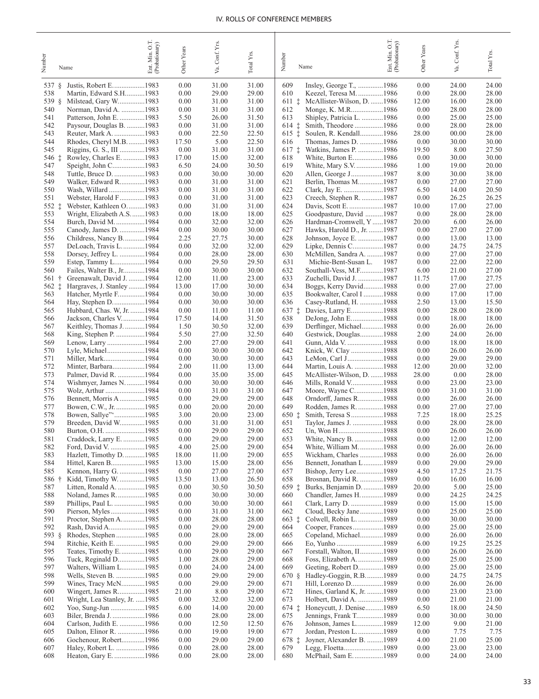| Number           | Name                                               | Ent. Min. O.T.<br>(Probationary) | Other Years   | Conf. Yrs.<br>Va. | Total Y <sub>IS</sub> | Number<br>Name                                                    | OT.<br>Ent. Min. O.T.<br>(Probationary) | Other Years    | Va. Conf. Yrs. | Total Yrs.     |
|------------------|----------------------------------------------------|----------------------------------|---------------|-------------------|-----------------------|-------------------------------------------------------------------|-----------------------------------------|----------------|----------------|----------------|
| 537<br>ş.        | Justis, Robert E1983                               |                                  | 0.00          | 31.00             | 31.00                 | 609<br>Insley, George T., 1986                                    |                                         | 0.00           | 24.00          | 24.00          |
| 538              | Martin, Edward S.H1983                             |                                  | 0.00          | 29.00             | 29.00                 | 610<br>Keezel, Teresa M. 1986                                     |                                         | 0.00           | 28.00          | 28.00          |
| 539<br>- §       | Milstead, Gary W1983                               |                                  | 0.00          | 31.00             | 31.00                 | $611 \pm$<br>McAllister-Wilson, D. 1986                           |                                         | 12.00          | 16.00          | 28.00          |
| 540              | Norman, David A. 1983                              |                                  | 0.00          | 31.00             | 31.00                 | 612<br>Monge, K. M.R1986                                          |                                         | 0.00           | 28.00          | 28.00          |
| 541              | Patterson, John E. 1983                            |                                  | 5.50          | 26.00             | 31.50                 | 613<br>Shipley, Patricia L. 1986                                  |                                         | 0.00           | 25.00          | 25.00          |
| 542              | Paysour, Douglas B. 1983                           |                                  | 0.00<br>0.00  | 31.00<br>22.50    | 31.00<br>22.50        | $614$ $\ddagger$<br>Smith, Theodore 1986<br>$615$ $\ddagger$      |                                         | 0.00           | 28.00          | 28.00<br>28.00 |
| 543<br>544       | Reuter, Mark A. 1983<br>Rhodes, Cheryl M.B1983     |                                  | 17.50         | 5.00              | 22.50                 | Soulen, R. Kendall1986<br>616<br>Thomas, James D. 1986            |                                         | 28.00<br>0.00  | 00.00<br>30.00 | 30.00          |
| 545              | Riggins, G. S., III 1983                           |                                  | 0.00          | 31.00             | 31.00                 | $617 \pm$<br>Watkins, James P. 1986                               |                                         | 19.50          | 8.00           | 27.50          |
| 546 ‡            | Rowley, Charles E. 1983                            |                                  | 17.00         | 15.00             | 32.00                 | 618<br>White, Burton E1986                                        |                                         | 0.00           | 30.00          | 30.00          |
| 547              |                                                    |                                  | 6.50          | 24.00             | 30.50                 | 619<br>White, Mary S.V1986                                        |                                         | 1.00           | 19.00          | 20.00          |
| 548              | Tuttle, Bruce D. 1983                              |                                  | 0.00          | 30.00             | 30.00                 | 620<br>Allen, George J1987                                        |                                         | 8.00           | 30.00          | 38.00          |
| 549              | Walker, Edward R1983                               |                                  | 0.00          | 31.00             | 31.00                 | 621<br>Berlin, Thomas M1987                                       |                                         | 0.00           | 27.00          | 27.00          |
| 550              | Wash, Willard 1983                                 |                                  | 0.00          | 31.00             | 31.00                 | 622<br>Clark, Jay E. 1987<br>623                                  |                                         | 6.50           | 14.00          | 20.50          |
| 551<br>552 $\pm$ | Webster, Harold F1983<br>Webster, Kathleen O1983   |                                  | 0.00<br>0.00  | 31.00<br>31.00    | 31.00<br>31.00        | Creech, Stephen R. 1987<br>624<br>Davis, Scott E. 1987            |                                         | 0.00<br>10.00  | 26.25<br>17.00 | 26.25<br>27.00 |
| 553              | Wright, Elizabeth A.S1983                          |                                  | 0.00          | 18.00             | 18.00                 | 625<br>Goodpasture, David 1987                                    |                                         | 0.00           | 28.00          | 28.00          |
| 554              | Burch, David M. 1984                               |                                  | 0.00          | 32.00             | 32.00                 | 626<br>Hardman-Cromwell, Y1987                                    |                                         | 20.00          | 6.00           | 26.00          |
| 555              | Canody, James D. 1984                              |                                  | 0.00          | 30.00             | 30.00                 | 627<br>Hawks, Harold D., Jr. 1987                                 |                                         | 0.00           | 27.00          | 27.00          |
| 556              | Childress, Nancy B1984                             |                                  | 2.25          | 27.75             | 30.00                 | 628<br>Johnson, Joyce E. 1987                                     |                                         | 0.00           | 13.00          | 13.00          |
| 557              | DeLoach, Travis L1984                              |                                  | 0.00          | 32.00             | 32.00                 | 629<br>Lipke, Dennis C1987                                        |                                         | 0.00           | 24.75          | 24.75          |
| 558<br>559       | Dorsey, Jeffrey L. 1984                            |                                  | 0.00<br>0.00  | 28.00<br>29.50    | 28.00<br>29.50        | 630<br>McMillen, Sandra A. 1987<br>631<br>Michie-Bent-Susan L.    | 1987                                    | 0.00<br>0.00   | 27.00<br>22.00 | 27.00<br>22.00 |
| 560              | Estep, Tammy L1984<br>Failes, Walter B., Jr1984    |                                  | 0.00          | 30.00             | 30.00                 | 632<br>Southall-Vess, M.F1987                                     |                                         | 6.00           | 21.00          | 27.00          |
| 561<br>÷         | Greenawalt, David J. 1984                          |                                  | 12.00         | 11.00             | 23.00                 | 633<br>Zuchelli, David J. 1987                                    |                                         | 11.75          | 17.00          | 27.75          |
| 562 $\ddagger$   | Hargraves, J. Stanley 1984                         |                                  | 13.00         | 17.00             | 30.00                 | 634<br>Boggs, Kerry David1988                                     |                                         | 0.00           | 27.00          | 27.00          |
| 563              | Hatcher, Myrtle F1984                              |                                  | 0.00          | 30.00             | 30.00                 | 635<br>Bookwalter, Carol I 1988                                   |                                         | 0.00           | 17.00          | 17.00          |
| 564              | Hay, Stephen D1984                                 |                                  | 0.00          | 30.00             | 30.00                 | 636<br>Casey-Rutland, H. 1988                                     |                                         | 2.50           | 13.00          | 15.50          |
| 565              | Hubbard, Chas. W, Jr. 1984                         |                                  | 0.00          | 11.00             | 11.00                 | $637 \pm$<br>Davies, Larry E1988                                  |                                         | 0.00           | 28.00          | 28.00          |
| 566<br>567       | Jackson, Charles V1984<br>Keithley, Thomas J. 1984 |                                  | 17.50<br>1.50 | 14.00<br>30.50    | 31.50<br>32.00        | 638<br>DeJong, John E1988<br>639<br>Derflinger, Michael1988       |                                         | 0.00<br>0.00   | 18.00<br>26.00 | 18.00<br>26.00 |
| 568              | King, Stephen P. 1984                              |                                  | 5.50          | 27.00             | 32.50                 | 640<br>Gestwick, Douglas1988                                      |                                         | 2.00           | 24.00          | 26.00          |
| 569              |                                                    |                                  | 2.00          | 27.00             | 29.00                 | 641<br>Gunn, Alda V. 1988                                         |                                         | 0.00           | 18.00          | 18.00          |
| 570              | Lyle, Michael1984                                  |                                  | 0.00          | 30.00             | 30.00                 | 642<br>Knick, W. Clay 1988                                        |                                         | 0.00           | 26.00          | 26.00          |
| 571              | Miller, Mark1984                                   |                                  | 0.00          | 30.00             | 30.00                 | 643<br>LeMon, Carl J1988                                          |                                         | 0.00           | 29.00          | 29.00          |
| 572<br>573       | Minter, Barbara1984<br>Palmer, David R. 1984       |                                  | 2.00<br>0.00  | 11.00<br>35.00    | 13.00<br>35.00        | 644<br>Martin, Louis A. 1988<br>645<br>McAllister-Wilson, D. 1988 |                                         | 12.00<br>28.00 | 20.00<br>0.00  | 32.00<br>28.00 |
| 574              | Wishmyer, James N1984                              |                                  | 0.00          | 30.00             | 30.00                 | 646<br>Mills, Ronald V1988                                        |                                         | 0.00           | 23.00          | 23.00          |
| 575              | Wolz, Arthur 1984                                  |                                  | 0.00          | 31.00             | 31.00                 | 647<br>Moore, Wayne C1988                                         |                                         | 0.00           | 31.00          | 31.00          |
| 576              | Bennett, Morris A 1985                             |                                  | 0.00          | 29.00             | 29.00                 | 648<br>Orndorff, James R1988                                      |                                         | 0.00           | 26.00          | 26.00          |
| 577              | Bowen, C.W., Jr. 1985                              |                                  | 0.00          | 20.00             | 20.00                 | 649<br>Rodden, James R. 1988                                      |                                         | 0.00           | 27.00          | 27.00          |
| 578<br>579       | Bowen, Sallye" 1985<br>Breeden, David W1985        |                                  | 3.00<br>0.00  | 20.00             | 23.00                 | 650 ‡<br>Smith, Teresa S1988                                      |                                         | 7.25           | 18.00          | 25.25<br>28.00 |
| 580              | Burton, O.H. 1985                                  |                                  | 0.00          | 31.00<br>29.00    | 31.00<br>29.00        | 651<br>Taylor, James J. 1988<br>652<br>Un, Won H1988              |                                         | 0.00<br>0.00   | 28.00<br>26.00 | 26.00          |
| 581              | Craddock, Larry E. 1985                            |                                  | 0.00          | 29.00             | 29.00                 | White, Nancy B. 1988<br>653                                       |                                         | 0.00           | 12.00          | 12.00          |
| 582              | Ford, David V. 1985                                |                                  | 4.00          | 25.00             | 29.00                 | 654<br>White, William M1988                                       |                                         | 0.00           | 26.00          | 26.00          |
| 583              | Hazlett, Timothy D. 1985                           |                                  | 18.00         | 11.00             | 29.00                 | Wickham, Charles 1988<br>655                                      |                                         | 0.00           | 26.00          | 26.00          |
| 584              | Hittel, Karen B1985                                |                                  | 13.00         | 15.00             | 28.00                 | Bennett, Jonathan L1989<br>656                                    |                                         | 0.00           | 29.00          | 29.00          |
| 585<br>586 †     | Kennon, Harry G. 1985<br>Kidd, Timothy W. 1985     |                                  | 0.00<br>13.50 | 27.00<br>13.00    | 27.00<br>26.50        | 657<br>Bishop, Jerry Lee1989<br>658<br>Brosnan, David R. 1989     |                                         | 4.50<br>0.00   | 17.25<br>16.00 | 21.75<br>16.00 |
| 587              | Litten, Ronald A. 1985                             |                                  | 0.00          | 30.50             | 30.50                 | $659 \pm$<br>Burks, Benjamin D. 1989                              |                                         | 20.00          | 5.00           | 25.00          |
| 588              | Noland, James R1985                                |                                  | 0.00          | 30.00             | 30.00                 | Chandler, James H1989<br>660                                      |                                         | 0.00           | 24.25          | 24.25          |
| 589              | Phillips, Paul L. 1985                             |                                  | 0.00          | 30.00             | 30.00                 | Clark, Larry D. 1989<br>661                                       |                                         | 0.00           | 15.00          | 15.00          |
| 590              |                                                    |                                  | 0.00          | 31.00             | 31.00                 | Cloud, Becky Jane1989<br>662                                      |                                         | 0.00           | 25.00          | 25.00          |
| 591<br>592       | Proctor, Stephen A. 1985<br>Rash, David A1985      |                                  | 0.00<br>0.00  | 28.00<br>29.00    | 28.00<br>29.00        | $663 \pm$<br>Colwell, Robin L. 1989<br>Cooper, Frances1989<br>664 |                                         | 0.00           | 30.00          | 30.00          |
| 593 §            | Rhodes, Stephen 1985                               |                                  | 0.00          | 28.00             | 28.00                 | Copeland, Michael1989<br>665                                      |                                         | 0.00<br>0.00   | 25.00<br>26.00 | 25.00<br>26.00 |
| 594              | Ritchie, Keith E. 1985                             |                                  | 0.00          | 29.00             | 29.00                 | Eo, Yunho 1989<br>666                                             |                                         | 6.00           | 19.25          | 25.25          |
| 595              | Teates, Timothy E1985                              |                                  | 0.00          | 29.00             | 29.00                 | Forstall, Walton, II1989<br>667                                   |                                         | 0.00           | 26.00          | 26.00          |
| 596              | Tuck, Reginald D1985                               |                                  | 1.00          | 28.00             | 29.00                 | Foss, Elizabeth A. 1989<br>668                                    |                                         | 0.00           | 25.00          | 25.00          |
| 597              | Walters, William L1985                             |                                  | 0.00          | 24.00             | 24.00                 | 669<br>Geeting, Robert D1989                                      |                                         | 0.00           | 25.00          | 25.00          |
| 598<br>599       | Wells, Steven B. 1985<br>Wines, Tracy McN1985      |                                  | 0.00<br>0.00  | 29.00<br>29.00    | 29.00<br>29.00        | Hadley-Goggin, R.B1989<br>670 §<br>Hill, Lorenzo D1989<br>671     |                                         | 0.00<br>0.00   | 24.75<br>26.00 | 24.75<br>26.00 |
| 600              | Wingert, James R1985                               |                                  | 21.00         | 8.00              | 29.00                 | 672<br>Hines, Garland K, Jr. 1989                                 |                                         | 0.00           | 23.00          | 23.00          |
| 601              | Wright, Lea Stanley, Jr. 1985                      |                                  | 0.00          | 32.00             | 32.00                 | 673<br>Holbert, David A. 1989                                     |                                         | 0.00           | 21.00          | 21.00          |
| 602              | Yoo, Sung-Jun 1985                                 |                                  | 6.00          | 14.00             | 20.00                 | Honeycutt, J. Denise1989<br>$674$ $\ddagger$                      |                                         | 6.50           | 18.00          | 24.50          |
| 603              | Biler, Brenda J. 1986                              |                                  | 0.00          | 28.00             | 28.00                 | Jennings, Frank T1989<br>675                                      |                                         | 0.00           | 30.00          | 30.00          |
| 604<br>605       | Carlson, Judith E. 1986<br>Dalton, Elinor R. 1986  |                                  | 0.00<br>0.00  | 12.50<br>19.00    | 12.50<br>19.00        | 676<br>Johnson, James L1989<br>677<br>Jordan, Preston L. 1989     |                                         | 12.00<br>0.00  | 9.00<br>7.75   | 21.00<br>7.75  |
| 606              | Gochenour, Robert1986                              |                                  | 0.00          | 29.00             | 29.00                 | Joyner, Alexander B.  1989<br>$678 \pm$                           |                                         | 4.00           | 21.00          | 25.00          |
| 607              | Haley, Robert L. 1986                              |                                  | 0.00          | 28.00             | 28.00                 | 679<br>Legg, Floetta1989                                          |                                         | 0.00           | 23.00          | 23.00          |
| 608              | Heaton, Gary E. 1986                               |                                  | 0.00          | 28.00             | 28.00                 | 680<br>McPhail, Sam E1989                                         |                                         | 0.00           | 24.00          | 24.00          |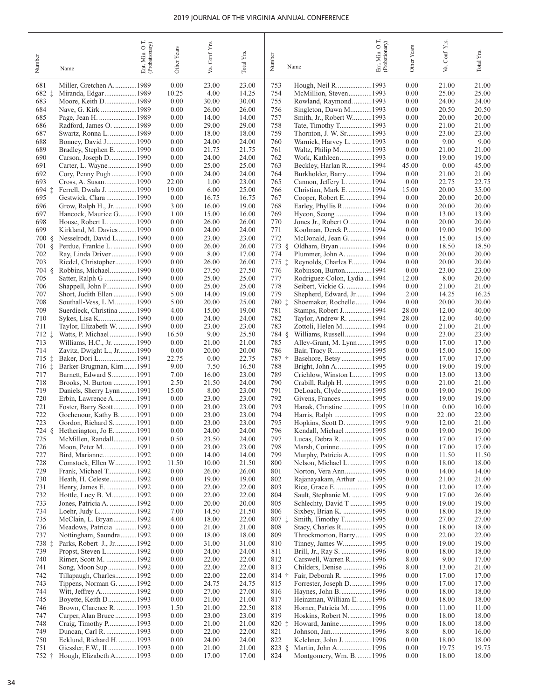|                  |                                            | Min. O.T.<br>(Probationary) |               | Conf. Yrs.     |                       |                                                          | Ent. Min. O.T.<br>(Probationary) | Other Years   | Va. Conf. Yrs. |                |
|------------------|--------------------------------------------|-----------------------------|---------------|----------------|-----------------------|----------------------------------------------------------|----------------------------------|---------------|----------------|----------------|
| Number           | Name                                       | Ent.                        | Other Years   | Уa.            | Total Y <sub>rs</sub> | Number<br>Name                                           |                                  |               |                | Total Yrs.     |
| 681              | Miller, Gretchen A1989                     |                             | 0.00          | 23.00          | 23.00                 | 753<br>Hough, Neil R1993                                 |                                  | 0.00          | 21.00          | 21.00          |
| $682 \pm$        | Miranda, Edgar1989                         |                             | 10.25         | 4.00           | 14.25                 | 754<br>McMillion, Steven1993                             |                                  | 0.00          | 25.00          | 25.00          |
| 683              | Moore, Keith D1989                         |                             | 0.00          | 30.00          | 30.00                 | 755<br>Rowland, Raymond.  1993                           |                                  | 0.00          | 24.00          | 24.00          |
| 684              | Nave, G. Kirk 1989                         |                             | 0.00          | 26.00          | 26.00                 | 756<br>Singleton, Dawn M1993                             |                                  | 0.00          | 20.50          | 20.50          |
| 685              | Page, Jean H. 1989                         |                             | 0.00          | 14.00          | 14.00                 | 757<br>Smith, Jr., Robert W1993                          |                                  | 0.00          | 20.00          | 20.00          |
| 686              | Radford, James O. 1989                     |                             | 0.00          | 29.00          | 29.00                 | 758<br>Tate, Timothy T1993                               |                                  | 0.00          | 21.00          | 21.00          |
| 687              | Swartz, Ronna L. 1989                      |                             | 0.00          | 18.00          | 18.00                 | 759<br>Thornton, J. W. Sr1993                            |                                  | 0.00          | 23.00          | 23.00          |
| 688              | Bonney, David J1990                        |                             | 0.00          | 24.00          | 24.00                 | Warnick, Harvey L. 1993<br>760                           |                                  | 0.00          | 9.00           | 9.00           |
| 689              | Bradley, Stephen E. 1990                   |                             | 0.00          | 21.75          | 21.75                 | 761<br>Waltz, Philip M1993                               |                                  | 0.00          | 21.00          | 21.00          |
| 690              | Carson, Joseph D. 1990                     |                             | 0.00          | 24.00          | 24.00                 | 762<br>Work, Kathleen1993                                |                                  | 0.00          | 19.00          | 19.00          |
| 691<br>692       | Carter, L. Wayne1990                       |                             | 0.00          | 25.00          | 25.00                 | 763<br>Beckley, Harlan R1994<br>764                      |                                  | 45.00<br>0.00 | 0.00           | 45.00          |
| 693              | Cory, Penny Pugh1990                       |                             | 0.00<br>22.00 | 24.00<br>1.00  | 24.00<br>23.00        | Burkholder, Barry1994<br>765                             |                                  | 0.00          | 21.00<br>22.75 | 21.00<br>22.75 |
| 694 ‡            | Ferrell, Dwala J. 1990                     |                             | 19.00         | 6.00           | 25.00                 | Cannon, Jeffery L. 1994<br>766                           |                                  | 15.00         | 20.00          | 35.00          |
| 695              | Gestwick, Clara 1990                       |                             | 0.00          | 16.75          | 16.75                 | Christian, Mark E. 1994<br>767<br>Cooper, Robert E1994   |                                  | 0.00          | 20.00          | 20.00          |
| 696              | Grow, Ralph H., Jr. 1990                   |                             | 3.00          | 16.00          | 19.00                 | 768<br>Earley, Phyllis R. 1994                           |                                  | 0.00          | 20.00          | 20.00          |
| 697              | Hancock, Maurice G1990                     |                             | 1.00          | 15.00          | 16.00                 | 769<br>Hyeon, Seong 1994                                 |                                  | 0.00          | 13.00          | 13.00          |
| 698              | House, Robert L. 1990                      |                             | 0.00          | 26.00          | 26.00                 | 770<br>Jones Jr., Robert O1994                           |                                  | 0.00          | 20.00          | 20.00          |
| 699              | Kirkland, M. Davies1990                    |                             | 0.00          | 24.00          | 24.00                 | 771<br>Koolman, Derek P1994                              |                                  | 0.00          | 19.00          | 19.00          |
| 700 §            | Nesselrodt, David L1990                    |                             | 0.00          | 23.00          | 23.00                 | 772<br>McDonald, Jean G1994                              |                                  | 0.00          | 15.00          | 15.00          |
| 701 §            | Perdue, Frankie L. 1990                    |                             | 0.00          | 26.00          | 26.00                 | 773 §<br>Oldham, Bryan 1994                              |                                  | 0.00          | 18.50          | 18.50          |
| 702              | Ray, Linda Driver 1990                     |                             | 9.00          | 8.00           | 17.00                 | 774<br>Plummer, John A. 1994                             |                                  | 0.00          | 20.00          | 20.00          |
| 703              | Riedel, Christopher1990                    |                             | 0.00          | 26.00          | 26.00                 | Reynolds, Charles F1994<br>775 ‡                         |                                  | 0.00          | 20.00          | 20.00          |
| 704 §            | Robbins, Michael1990                       |                             | 0.00          | 27.50          | 27.50                 | 776<br>Robinson, Burton1994                              |                                  | 0.00          | 23.00          | 23.00          |
| 705              | Satter, Ralph G 1990                       |                             | 0.00          | 25.00          | 25.00                 | 777<br>Rodriguez-Colon, Lydia  1994                      |                                  | 12.00         | 8.00           | 20.00          |
| 706              | Shappell, John F1990                       |                             | 0.00          | 25.00          | 25.00                 | 778<br>Seibert, Vickie G. 1994                           |                                  | 0.00          | 21.00          | 21.00          |
| 707              | Short, Judith Ellen 1990                   |                             | 5.00          | 14.00          | 19.00                 | 779<br>Shepherd, Edward, Jr1994                          |                                  | 2.00          | 14.25          | 16.25          |
| 708              | Southall-Vess, L.M. 1990                   |                             | 5.00          | 20.00          | 25.00                 | Shoemaker, Rochelle1994<br>780 ‡                         |                                  | 0.00          | 20.00          | 20.00          |
| 709              | Suerdieck, Christina 1990                  |                             | 4.00          | 15.00          | 19.00                 | 781<br>Stamps, Robert J1994                              |                                  | 28.00         | 12.00          | 40.00          |
| 710              | Sykes, Lisa K1990                          |                             | 0.00          | 24.00          | 24.00                 | 782<br>Taylor, Andrew R. 1994                            |                                  | 28.00         | 12.00          | 40.00          |
| 711              | Taylor, Elizabeth W. 1990                  |                             | 0.00          | 23.00          | 23.00                 | 783<br>Zottoli, Helen M. 1994                            |                                  | 0.00          | 21.00          | 21.00          |
| 712 ‡            | Watts, P. Michael 1990                     |                             | 16.50         | 9.00           | 25.50                 | 784 §<br>Williams, Russell1994                           |                                  | 0.00          | 23.00          | 23.00          |
| 713              | Williams, H.C., Jr. 1990                   |                             | 0.00          | 21.00          | 21.00                 | 785<br>Alley-Grant, M. Lynn1995                          |                                  | 0.00          | 17.00          | 17.00          |
| 714              | Zavitz, Dwight L., Jr1990                  |                             | 0.00          | 20.00          | 20.00                 | 786<br>Bair, Tracy R1995                                 |                                  | 0.00          | 15.00          | 15.00          |
| $715$ $\ddagger$ | Baker, Dori L1991                          |                             | 22.75         | 0.00           | 22.75                 | 787 †<br>Basehore, Betsy1995                             |                                  | 0.00          | 17.00          | 17.00          |
| $716$ $\ddagger$ | Barker-Brugman, Kim1991                    |                             | 9.00          | 7.50           | 16.50                 | 788<br>Bright, John A1995                                |                                  | 0.00          | 19.00          | 19.00          |
| 717              | Barnett, Edward S1991                      |                             | 7.00          | 16.00          | 23.00                 | 789<br>Crichlow, Winston L1995                           |                                  | 0.00          | 13.00          | 13.00          |
| 718              | Brooks, N. Burton 1991                     |                             | 2.50          | 21.50          | 24.00                 | 790<br>Crabill, Ralph H. 1995                            |                                  | 0.00          | 21.00          | 21.00          |
| 719              | Daniels, Sherry Lynn1991                   |                             | 15.00         | 8.00           | 23.00                 | 791<br>DeLoach, Clyde1995                                |                                  | 0.00          | 19.00          | 19.00          |
| 720              | Erbin, Lawrence A1991                      |                             | 0.00          | 23.00          | 23.00                 | 792                                                      |                                  | 0.00          | 19.00          | 19.00          |
| 721              | Foster, Barry Scott1991                    |                             | 0.00          | 23.00          | 23.00                 | 793<br>Hanak, Christine1995                              |                                  | 10.00         | 0.00           | 10.00          |
| 722              | Gochenour, Kathy B1991                     |                             | 0.00          | 23.00          | 23.00                 | 794<br>Harris, Ralph 1995                                |                                  | 0.00          | 22.00          | 22.00          |
| 723              | Gordon, Richard S1991                      |                             | 0.00          | 23.00          | 23.00                 | 795<br>Hopkins, Scott D. 1995                            |                                  | 9.00          | 12.00          | 21.00          |
| 724 §            | Hetherington, Jo E1991                     |                             | 0.00          | 24.00          | 24.00                 | 796<br>Kendall, Michael 1995                             |                                  | 0.00          | 19.00          | 19.00          |
| 725<br>726       | McMillen, Randall1991<br>Moon, Peter M1991 |                             | 0.50<br>0.00  | 23.50<br>23.00 | 24.00<br>23.00        | 797<br>Lucas, Debra R. 1995<br>798<br>Marsh, Corinne1995 |                                  | 0.00<br>0.00  | 17.00<br>17.00 | 17.00<br>17.00 |
| 727              | Bird, Marianne1992                         |                             | 0.00          | 14.00          | 14.00                 | 799<br>Murphy, Patricia A1995                            |                                  | 0.00          | 11.50          | 11.50          |
| 728              | Comstock, Ellen W1992                      |                             | 11.50         | 10.00          | 21.50                 | Nelson, Michael L. 1995<br>800                           |                                  | 0.00          | 18.00          | 18.00          |
| 729              | Frank, Michael T1992                       |                             | 0.00          | 26.00          | 26.00                 | Norton, Vera Ann1995<br>801                              |                                  | 0.00          | 14.00          | 14.00          |
| 730              | Heath, H. Celeste1992                      |                             | 0.00          | 19.00          | 19.00                 | Rajanayakam, Arthur 1995<br>802                          |                                  | 0.00          | 21.00          | 21.00          |
| 731              |                                            |                             | 0.00          | 22.00          | 22.00                 | 803<br>Rice, Grace E1995                                 |                                  | 0.00          | 12.00          | 12.00          |
| 732              | Hottle, Lucy B. M1992                      |                             | 0.00          | 22.00          | 22.00                 | Sault, Stephanie M. 1995<br>804                          |                                  | 9.00          | 17.00          | 26.00          |
| 733              | Jones, Patricia A. 1992                    |                             | 0.00          | 20.00          | 20.00                 | Schlechty, David T 1995<br>805                           |                                  | 0.00          | 19.00          | 19.00          |
| 734              | Loehr, Judy L1992                          |                             | 7.00          | 14.50          | 21.50                 | Sixbey, Brian K. 1995<br>806                             |                                  | 0.00          | 18.00          | 18.00          |
| 735              | McClain, L. Bryan1992                      |                             | 4.00          | 18.00          | 22.00                 | Smith, Timothy T1995<br>$807 \ddagger$                   |                                  | 0.00          | 27.00          | 27.00          |
| 736              | Meadows, Patricia 1992                     |                             | 0.00          | 21.00          | 21.00                 | Stacy, Charles R1995<br>808                              |                                  | 0.00          | 18.00          | 18.00          |
| 737              | Nottingham, Saundra1992                    |                             | 0.00          | 18.00          | 18.00                 | Throckmorton, Barry1995<br>809                           |                                  | 0.00          | 22.00          | 22.00          |
| 738 ‡            | Parks, Robert J., Jr. 1992                 |                             | 0.00          | 31.00          | 31.00                 | Tinney, James W1995<br>810                               |                                  | 0.00          | 19.00          | 19.00          |
| 739              |                                            |                             | 0.00          | 24.00          | 24.00                 | 811                                                      |                                  | 0.00          | 18.00          | 18.00          |
| 740              | Rimer, Scott M. 1992                       |                             | 0.00          | 22.00          | 22.00                 | 812<br>Carswell, Warren R1996                            |                                  | 8.00          | 9.00           | 17.00          |
| 741              | Song, Moon Sup1992                         |                             | 0.00          | 22.00          | 22.00                 | 813<br>Childers, Denise 1996                             |                                  | 8.00          | 13.00          | 21.00          |
| 742              | Tillapaugh, Charles1992                    |                             | 0.00          | 22.00          | 22.00                 | Fair, Deborah R. 1996<br>814 †                           |                                  | 0.00          | 17.00          | 17.00          |
| 743              | Tippens, Norman G. 1992                    |                             | 0.00          | 24.75          | 24.75                 | 815<br>Forrester, Joseph D1996                           |                                  | 0.00          | 17.00          | 17.00          |
| 744              | Witt, Jeffrey A1992                        |                             | 0.00          | 27.00          | 27.00                 | Haynes, John B1996<br>816                                |                                  | 0.00          | 18.00          | 18.00          |
| 745              | Boyette, Keith D1993                       |                             | 0.00          | 21.00          | 21.00                 | 817<br>Heinzman, William E. 1996                         |                                  | 0.00          | 18.00          | 18.00          |
| 746              | Brown, Clarence R. 1993                    |                             | 1.50          | 21.00          | 22.50                 | 818<br>Horner, Patricia M. 1996                          |                                  | 0.00          | 11.00          | 11.00          |
| 747              | Carper, Alan Bruce 1993                    |                             | 0.00          | 23.00          | 23.00                 | 819<br>Hoskins, Robert N. 1996                           |                                  | 0.00          | 18.00          | 18.00          |
| 748              | Craig, Timothy P1993                       |                             | 0.00          | 21.00          | 21.00                 | Howard, Janine1996<br>$820$ $\ddagger$                   |                                  | 0.00          | 18.00          | 18.00          |
| 749              | Duncan, Carl R. 1993                       |                             | 0.00          | 22.00          | 22.00                 | 821<br>Johnson, Jan1996                                  |                                  | 8.00          | 8.00           | 16.00          |
| 750              | Ecklund, Richard H. 1993                   |                             | 0.00          | 24.00          | 24.00                 | Kelchner, John J. 1996<br>822                            |                                  | 0.00          | 18.00          | 18.00          |
| 751              |                                            |                             | 0.00          | 21.00          | 21.00                 | $823 \; \S$<br>Martin, John A1996                        |                                  | 0.00          | 19.75          | 19.75          |
| $752 +$          | Hough, Elizabeth A1993                     |                             | 0.00          | 17.00          | 17.00                 | 824<br>Montgomery, Wm. B1996                             |                                  | 0.00          | 18.00          | 18.00          |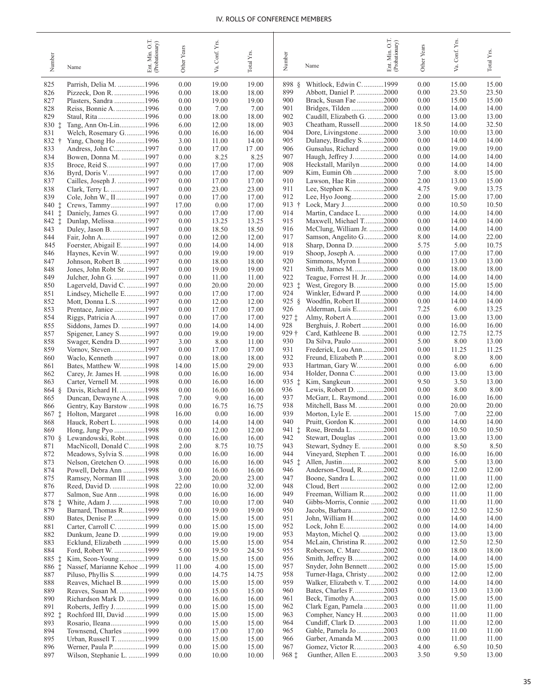| Number                | Name                                                | Ent. Min. O.T.<br>(Probationary) | Other Years   | Conf. Yrs<br>Š. | Total Yrs.     | Number           | Name                                                   | O.T.<br>Ent. Min. O.T.<br>(Probationary) | <b>Other Years</b> | Conf. Yrs.<br>Уa. | Total Yrs.     |
|-----------------------|-----------------------------------------------------|----------------------------------|---------------|-----------------|----------------|------------------|--------------------------------------------------------|------------------------------------------|--------------------|-------------------|----------------|
| 825                   | Parrish, Delia M. 1996                              |                                  | 0.00          | 19.00           | 19.00          | 898 §            | Whitlock, Edwin C1999                                  |                                          | 0.00               | 15.00             | 15.00          |
| 826                   |                                                     |                                  | 0.00          | 18.00           | 18.00          | 899              | Abbott, Daniel P. 2000                                 |                                          | 0.00               | 23.50             | 23.50          |
| 827                   | Plasters, Sandra 1996                               |                                  | 0.00          | 19.00           | 19.00          | 900              | Brack, Susan Fae 2000                                  |                                          | 0.00               | 15.00             | 15.00          |
| 828                   | Reiss, Bonnie A. 1996                               |                                  | 0.00          | 7.00            | 7.00           | 901              | Bridges, Tilden 2000                                   |                                          | 0.00               | 14.00             | 14.00          |
| 829                   | Staul, Rita 1996                                    |                                  | 0.00          | 18.00           | 18.00          | 902              | Caudill, Elizabeth G. 2000                             |                                          | 0.00               | 13.00             | 13.00          |
| $830 \pm$             | Tang, Ann On-Lin1996                                |                                  | 6.00          | 12.00           | 18.00          | 903              | Cheatham, Russell2000                                  |                                          | 18.50              | 14.00             | 32.50          |
| 831                   | Welch, Rosemary G1996                               |                                  | 0.00          | 16.00           | 16.00          | 904<br>905       | Dore, Livingstone2000                                  |                                          | 3.00<br>0.00       | 10.00             | 13.00          |
| $832 +$<br>833        | Yang, Chong Ho 1996<br>Andress, John C1997          |                                  | 3.00<br>0.00  | 11.00<br>17.00  | 14.00<br>17.00 | 906              | Dulaney, Bradley S2000<br>Gunsalus, Richard 2000       |                                          | 0.00               | 14.00<br>19.00    | 14.00<br>19.00 |
| 834                   | Bowen, Donna M. 1997                                |                                  | 0.00          | 8.25            | 8.25           | 907              | Haugh, Jeffrey J2000                                   |                                          | 0.00               | 14.00             | 14.00          |
| 835                   |                                                     |                                  | 0.00          | 17.00           | 17.00          | 908              | Heckstall, Marilyn2000                                 |                                          | 0.00               | 14.00             | 14.00          |
| 836                   | Byrd, Doris V1997                                   |                                  | 0.00          | 17.00           | 17.00          | 909              | Kim, Eumin Oh 2000                                     |                                          | 7.00               | 8.00              | 15.00          |
| 837                   | Cailles, Joseph J. 1997                             |                                  | 0.00          | 17.00           | 17.00          | 910              | Lawson, Hae Rin 2000                                   |                                          | 2.00               | 13.00             | 15.00          |
| 838                   | Clark, Terry L. 1997                                |                                  | 0.00          | 23.00           | 23.00          | 911              | Lee, Stephen K. 2000                                   |                                          | 4.75               | 9.00              | 13.75          |
| 839                   | Cole, John W., II1997                               |                                  | 0.00          | 17.00           | 17.00          | 912              | Lee, Hyo Joong2000                                     |                                          | 2.00               | 15.00             | 17.00          |
| $840 \pm$             | Crews, Tammy1997                                    |                                  | 17.00         | 0.00            | 17.00          | $913 +$          | Lock, Mary J2000                                       |                                          | 0.00               | 10.50             | 10.50          |
| 841<br>İ<br>$842 \pm$ | Daniely, James G1997<br>Dunlap, Melissa1997         |                                  | 0.00<br>0.00  | 17.00<br>13.25  | 17.00<br>13.25 | 914<br>915       | Martin, Candace L2000<br>Maxwell, Michael T2000        |                                          | 0.00<br>0.00       | 14.00<br>14.00    | 14.00<br>14.00 |
| 843                   | Duley, Jason B1997                                  |                                  | 0.00          | 18.50           | 18.50          | 916              | McClung, William Jr. 2000                              |                                          | 0.00               | 14.00             | 14.00          |
| 844                   | Fair, John A1997                                    |                                  | 0.00          | 12.00           | 12.00          | 917              | Samson, Angelito G2000                                 |                                          | 8.00               | 14.00             | 22.00          |
| 845                   | Foerster, Abigail E1997                             |                                  | 0.00          | 14.00           | 14.00          | 918              | Sharp, Donna D. 2000                                   |                                          | 5.75               | 5.00              | 10.75          |
| 846                   | Haynes, Kevin W1997                                 |                                  | 0.00          | 19.00           | 19.00          | 919              | Shoop, Joseph A. 2000                                  |                                          | 0.00               | 17.00             | 17.00          |
| 847                   | Johnson, Robert B. 1997                             |                                  | 0.00          | 18.00           | 18.00          | 920              | Simmons, Myron I2000                                   |                                          | 0.00               | 13.00             | 13.00          |
| 848                   | Jones, John Robt Sr. 1997                           |                                  | 0.00          | 19.00           | 19.00          | 921              | Smith, James M. 2000                                   |                                          | 0.00               | 18.00             | 18.00          |
| 849                   | Julcher, John G. 1997                               |                                  | 0.00          | 11.00           | 11.00          | 922              | Teague, Forrest H. Jr2000                              |                                          | 0.00               | 14.00             | 14.00          |
| 850                   | Lagerveld, David C. 1997                            |                                  | 0.00          | 20.00           | 20.00          | $923 \pm$        | West, Gregory B. 2000                                  |                                          | 0.00               | 15.00             | 15.00          |
| 851<br>852            | Lindsey, Michelle E1997<br>Mott, Donna L.S1997      |                                  | 0.00<br>0.00  | 17.00<br>12.00  | 17.00<br>12.00 | 924<br>$925 \S$  | Winkler, Edward P. 2000<br>Woodfin, Robert II2000      |                                          | 0.00<br>0.00       | 14.00<br>14.00    | 14.00<br>14.00 |
| 853                   | Prentace, Janice 1997                               |                                  | 0.00          | 17.00           | 17.00          | 926              | Alderman, Luis E2001                                   |                                          | 7.25               | 6.00              | 13.25          |
| 854                   | Riggs, Patricia A1997                               |                                  | 0.00          | 17.00           | 17.00          | 927‡             | Almy, Robert A2001                                     |                                          | 0.00               | 13.00             | 13.00          |
| 855                   | Siddons, James D. 1997                              |                                  | 0.00          | 14.00           | 14.00          | 928              | Berghuis, J. Robert2001                                |                                          | 0.00               | 16.00             | 16.00          |
| 857                   | Spigener, Laney S1997                               |                                  | 0.00          | 19.00           | 19.00          | 929 †            | Card, Kathleene B. 2001                                |                                          | 0.00               | 12.75             | 12.75          |
| 858                   | Swager, Kendra D1997                                |                                  | 3.00          | 8.00            | 11.00          | 930              | Da Silva, Paulo2001                                    |                                          | 5.00               | 8.00              | 13.00          |
| 859                   | Vornov, Steven1997                                  |                                  | 0.00          | 17.00           | 17.00          | 931              | Frederick, Lou Ann2001                                 |                                          | 0.00               | 11.25             | 11.25          |
| 860                   | Waclo, Kenneth 1997                                 |                                  | 0.00          | 18.00           | 18.00          | 932              | Freund, Elizabeth P2001                                |                                          | 0.00               | 8.00              | 8.00           |
| 861<br>862            | Bates, Matthew W1998                                |                                  | 14.00<br>0.00 | 15.00<br>16.00  | 29.00<br>16.00 | 933<br>934       | Hartman, Gary W2001<br>Holder, Donna C2001             |                                          | 0.00<br>0.00       | 6.00<br>13.00     | 6.00<br>13.00  |
| 863                   | Carey, Jr. James H. 1998<br>Carter, Vernell M. 1998 |                                  | 0.00          | 16.00           | 16.00          | 935 ‡            |                                                        |                                          | 9.50               | 3.50              | 13.00          |
| $864 \; \S$           | Davis, Richard H. 1998                              |                                  | 0.00          | 16.00           | 16.00          | 936              | Lewis, Robert D. 2001                                  |                                          | 0.00               | 8.00              | 8.00           |
| 865                   | Duncan, Dewayne A1998                               |                                  | 7.00          | 9.00            | 16.00          | 937              | McGarr, L. Raymond2001                                 |                                          | 0.00               | 16.00             | 16.00          |
| 866                   | Gentry, Kay Barstow 1998                            |                                  | 0.00          | 16.75           | 16.75          | 938              | Mitchell, Bass M. 2001                                 |                                          | 0.00               | 20.00             | 20.00          |
|                       | 867 : Holton, Margaret 1998                         |                                  | 16.00         | 0.00            | 16.00          | 939              | Morton, Lyle E. 2001                                   |                                          | 15.00              | 7.00              | 22.00          |
| 868                   | Hauck, Robert L. 1998                               |                                  | 0.00          | 14.00           | 14.00          | 940              | Pruitt, Gordon K. 2001                                 |                                          | 0.00               | 14.00             | 14.00          |
| 869                   | Hong, Jung Pyo 1998                                 |                                  | 0.00          | 12.00           | 12.00          | 941 i<br>942     | Rose, Brenda L2001<br>Stewart, Douglas 2001            |                                          | 0.00<br>0.00       | 10.50<br>13.00    | 10.50<br>13.00 |
| 870<br>-Š<br>871      | Lewandowski, Robt1998<br>MacNicoll, Donald C1998    |                                  | 0.00<br>2.00  | 16.00<br>8.75   | 16.00<br>10.75 | 943              | Stewart, Sydney E. 2001                                |                                          | 0.00               | 8.50              | 8.50           |
| 872                   | Meadows, Sylvia S1998                               |                                  | 0.00          | 16.00           | 16.00          | 944              | Vineyard, Stephen T. 2001                              |                                          | 0.00               | 16.00             | 16.00          |
| 873                   | Nelson, Gretchen O. 1998                            |                                  | 0.00          | 16.00           | 16.00          | $945$ $\ddagger$ | Allen, Justin2002                                      |                                          | 8.00               | 5.00              | 13.00          |
| 874                   | Powell, Debra Ann 1998                              |                                  | 0.00          | 16.00           | 16.00          | 946              | Anderson-Cloud, R2002                                  |                                          | 0.00               | 12.00             | 12.00          |
| 875                   | Ramsey, Norman III 1998                             |                                  | 3.00          | 20.00           | 23.00          | 947              | Boone, Sandra L. 2002                                  |                                          | 0.00               | 11.00             | 11.00          |
| 876                   | Reed, David D. 1998                                 |                                  | 22.00         | 10.00           | 32.00          | 948              | Cloud, Bert 2002                                       |                                          | 0.00               | 12.00             | 12.00          |
| 877                   | Salmon, Sue Ann 1998                                |                                  | 0.00          | 16.00           | 16.00          | 949              | Freeman, William R2002                                 |                                          | 0.00               | 11.00             | 11.00          |
| $878 \pm$<br>879      | White, Adam J. 1998<br>Barnard, Thomas R1999        |                                  | 7.00<br>0.00  | 10.00<br>19.00  | 17.00<br>19.00 | 940<br>950       | Gibbs-Morris, Connie 2002<br>Jacobs, Barbara2002       |                                          | 0.00<br>0.00       | 11.00<br>12.50    | 11.00<br>12.50 |
| 880                   | Bates, Denise P. 1999                               |                                  | 0.00          | 15.00           | 15.00          | 951              | John, William H2002                                    |                                          | 0.00               | 14.00             | 14.00          |
| 881                   | Carter, Carroll C. 1999                             |                                  | 0.00          | 15.00           | 15.00          | 952              | Lock, John E2002                                       |                                          | 0.00               | 14.00             | 14.00          |
| 882                   | Dunkum, Jeane D. 1999                               |                                  | 0.00          | 19.00           | 19.00          | 953              | Mayton, Michel Q. 2002                                 |                                          | 0.00               | 13.00             | 13.00          |
| 883                   | Ecklund, Elizabeth 1999                             |                                  | 0.00          | 15.00           | 15.00          | 954              | McLain, Christina R. 2002                              |                                          | 0.00               | 12.50             | 12.50          |
| 884                   | Ford, Robert W. 1999                                |                                  | 5.00          | 19.50           | 24.50          | 955              | Roberson, C. Marc2002                                  |                                          | 0.00               | 18.00             | 18.00          |
| 885<br>Ť.             | Kim, Seon-Young1999                                 |                                  | 0.00          | 15.00           | 15.00          | 956              | Smith, Jeffrey B2002                                   |                                          | 0.00               | 14.00             | 14.00          |
| 886<br>İ              | Nassef, Marianne Kehoe  1999                        |                                  | 11.00         | 4.00            | 15.00          | 957              | Snyder, John Bennett2002                               |                                          | 0.00               | 15.00             | 15.00          |
| 887<br>888            | Piluso, Phyllis S1999<br>Reaves, Michael B1999      |                                  | 0.00<br>0.00  | 14.75<br>15.00  | 14.75<br>15.00 | 958<br>959       | Turner-Haga, Christy2002<br>Walker, Elizabeth v. T2002 |                                          | 0.00<br>0.00       | 12.00<br>14.00    | 12.00<br>14.00 |
| 889                   | Reaves, Susan M. 1999                               |                                  | 0.00          | 15.00           | 15.00          | 960              | Bates, Charles F. 2003                                 |                                          | 0.00               | 13.00             | 13.00          |
| 890                   | Richardson Mark D. 1999                             |                                  | 0.00          | 16.00           | 16.00          | 961              | Beck, Timothy A2003                                    |                                          | 0.00               | 15.00             | 15.00          |
| 891                   | Roberts, Jeffry J1999                               |                                  | 0.00          | 15.00           | 15.00          | 962              | Clark Egan, Pamela 2003                                |                                          | 0.00               | 11.00             | 11.00          |
| $892 \pm$             | Rochford III, David1999                             |                                  | 0.00          | 15.00           | 15.00          | 963              | Compher, Nancy H2003                                   |                                          | 0.00               | 11.00             | 11.00          |
| 893                   | Rosario, Ileana1999                                 |                                  | 0.00          | 15.00           | 15.00          | 964              | Cundiff, Clark D. 2003                                 |                                          | 1.00               | 11.00             | 12.00          |
| 894                   | Townsend, Charles 1999                              |                                  | 0.00          | 17.00           | 17.00          | 965              | Gable, Pamela Jo 2003                                  |                                          | 0.00               | 11.00             | 11.00          |
| 895                   | Urban, Russell T. 1999                              |                                  | 0.00          | 15.00           | 15.00          | 966              | Garber, Amanda M. 2003                                 |                                          | 0.00               | 11.00             | 11.00          |
| 896                   | Werner, Paula P1999                                 |                                  | 0.00          | 15.00           | 15.00          | 967              | Gomez, Victor R2003                                    |                                          | 4.00               | 6.50              | 10.50          |
| 897                   | Wilson, Stephanie L. 1999                           |                                  | 0.00          | 10.00           | 10.00          | 968‡             | Gunther, Allen E2003                                   |                                          | 3.50               | 9.50              | 13.00          |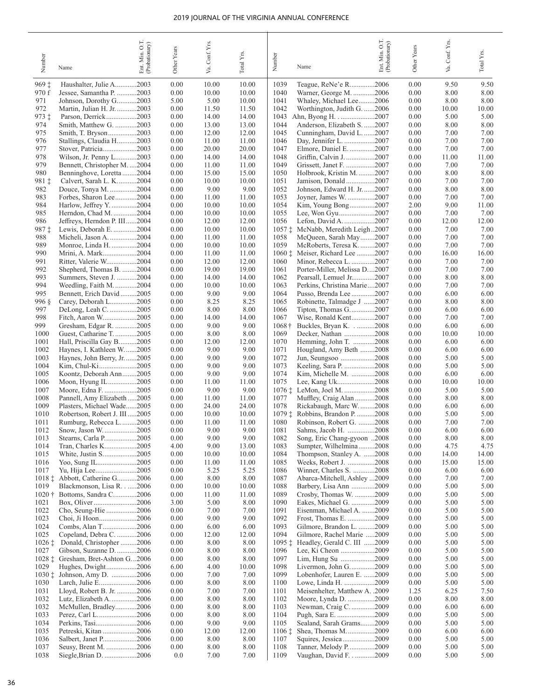| Number             | Name                                                     | Ent. Min. O.T.<br>(Probationary) | Other Years  | Conf. Yrs.<br>Va. | Total Y <sub>rs</sub> | Number           | Name                                                    | OT.<br>Ent. Min. O.T.<br>(Probationary) | Other Years  | Va. Conf. Yrs. | Total Yrs.     |
|--------------------|----------------------------------------------------------|----------------------------------|--------------|-------------------|-----------------------|------------------|---------------------------------------------------------|-----------------------------------------|--------------|----------------|----------------|
| 969‡               | Haushalter, Julie A2003                                  |                                  | 0.00         | 10.00             | 10.00                 | 1039             | Teague, ReNe'e R2006                                    |                                         | 0.00         | 9.50           | 9.50           |
| 970 f              | Jessee, Samantha P. 2003                                 |                                  | 0.00         | 10.00             | 10.00                 | 1040             | Warner, George M. 2006                                  |                                         | 0.00         | 8.00           | 8.00           |
| 971                | Johnson, Dorothy G2003                                   |                                  | 5.00         | 5.00              | 10.00                 | 1041             | Whaley, Michael Lee2006                                 |                                         | 0.00         | 8.00           | 8.00           |
| 972                | Martin, Julian H. Jr. 2003                               |                                  | 0.00         | 11.50             | 11.50                 | 1042             | Worthington, Judith G. 2006                             |                                         | 0.00         | 10.00          | 10.00          |
| 973 ‡              | Parson, Derrick2003                                      |                                  | 0.00         | 14.00             | 14.00                 | 1043             | Ahn, Byong H2007                                        |                                         | 0.00         | 5.00           | 5.00           |
| 974                | Smith, Matthew G. 2003                                   |                                  | 0.00         | 13.00             | 13.00                 | 1044             | Anderson, Elizabeth S. 2007                             |                                         | 0.00         | 8.00           | 8.00           |
| 975<br>976         | Smith, T. Bryson2003<br>Stallings, Claudia H2003         |                                  | 0.00<br>0.00 | 12.00<br>11.00    | 12.00<br>11.00        | 1045<br>1046     | Cunningham, David L. 2007<br>Day, Jennifer L. 2007      |                                         | 0.00<br>0.00 | 7.00<br>7.00   | 7.00<br>7.00   |
| 977                | Stover, Patricia2003                                     |                                  | 0.00         | 20.00             | 20.00                 | 1047             | Elmore, Daniel E. 2007                                  |                                         | 0.00         | 7.00           | 7.00           |
| 978                | Wilson, Jr. Penny L2003                                  |                                  | 0.00         | 14.00             | 14.00                 | 1048             | Griffin, Calvin J. 2007                                 |                                         | 0.00         | 11.00          | 11.00          |
| 979                | Bennett, Christopher M. 2004                             |                                  | 0.00         | 11.00             | 11.00                 | 1049             | Grissett, Janet F. 2007                                 |                                         | 0.00         | 7.00           | 7.00           |
| 980                | Benninghove, Loretta 2004                                |                                  | 0.00         | 15.00             | 15.00                 | 1050             | Holbrook, Kristin M. 2007                               |                                         | 0.00         | 8.00           | 8.00           |
| 981 ‡              | Calvert, Sarah L. K2004                                  |                                  | 0.00         | 10.00             | 10.00                 | 1051             | Jamison, Donald2007                                     |                                         | 0.00         | 7.00           | 7.00           |
| 982                | Douce, Tonya M. 2004                                     |                                  | 0.00         | 9.00              | 9.00                  | 1052             | Johnson, Edward H. Jr. 2007                             |                                         | 0.00         | 8.00           | 8.00           |
| 983<br>984         | Forbes, Sharon Lee2004                                   |                                  | 0.00<br>0.00 | 11.00<br>10.00    | 11.00<br>10.00        | 1053<br>1054     | Joyner, James W. 2007<br>Kim, Young Bong2007            |                                         | 0.00<br>2.00 | 7.00<br>9.00   | 7.00<br>11.00  |
| 985                | Harlow, Jeffrey Y. 2004<br>Herndon, Chad M. 2004         |                                  | 0.00         | 10.00             | 10.00                 | 1055             | Lee, Won Gyu2007                                        |                                         | 0.00         | 7.00           | 7.00           |
| 986                | Jeffreys, Herndon P. III2004                             |                                  | 0.00         | 12.00             | 12.00                 | 1056             | Lefon, David A. 2007                                    |                                         | 0.00         | 12.00          | 12.00          |
| 987 ‡              | Lewis, Deborah E. 2004                                   |                                  | 0.00         | 10.00             | 10.00                 |                  | 1057 : McNabb, Meredith Leigh2007                       |                                         | 0.00         | 7.00           | 7.00           |
| 988                | Micheli, Jason A. 2004                                   |                                  | 0.00         | 11.00             | 11.00                 | 1058             | McQueen, Sarah May2007                                  |                                         | 0.00         | 7.00           | 7.00           |
| 989                | Monroe, Linda H. 2004                                    |                                  | 0.00         | 10.00             | 10.00                 | 1059             | McRoberts, Teresa K. 2007                               |                                         | 0.00         | 7.00           | 7.00           |
| 990                | Mrini, A. Mark2004                                       |                                  | 0.00         | 11.00             | 11.00                 |                  | 1060 $\ddagger$ Meiser, Richard Lee 2007                |                                         | 0.00         | 16.00          | 16.00          |
| 991                | Ritter, Valerie W2004                                    |                                  | 0.00         | 12.00             | 12.00                 | 1060             | Minor, Rebecca L. 2007                                  |                                         | 0.00         | 7.00           | 7.00           |
| 992<br>993         | Shepherd, Thomas B. 2004<br>Summers, Steven J. 2004      |                                  | 0.00<br>0.00 | 19.00<br>14.00    | 19.00<br>14.00        | 1061<br>1062     | Porter-Miller, Melissa D2007<br>Pearsall, Lemuel Jr2007 |                                         | 0.00<br>0.00 | 7.00<br>8.00   | 7.00<br>8.00   |
| 994                | Weedling, Faith M2004                                    |                                  | 0.00         | 10.00             | 10.00                 | 1063             | Perkins, Christina Marie2007                            |                                         | 0.00         | 7.00           | 7.00           |
| 995                | Bennett, Erich David 2005                                |                                  | 0.00         | 9.00              | 9.00                  | 1064             | Pusso, Brenda Lee 2007                                  |                                         | 0.00         | 6.00           | 6.00           |
| 996 §              | Carey, Deborah L2005                                     |                                  | 0.00         | 8.25              | 8.25                  | 1065             | Robinette, Talmadge J 2007                              |                                         | 0.00         | 8.00           | 8.00           |
| 997                | DeLong, Leah C. 2005                                     |                                  | 0.00         | 8.00              | 8.00                  | 1066             | Tipton, Thomas G2007                                    |                                         | 0.00         | 6.00           | 6.00           |
| 998                | Fitch, Aaron W2005                                       |                                  | 0.00         | 14.00             | 14.00                 | 1067             | Wise, Ronald Kent2007                                   |                                         | 0.00         | 7.00           | 7.00           |
| 999                | Gresham, Edgar R. 2005                                   |                                  | 0.00         | 9.00              | 9.00                  | $1068\dagger$    |                                                         |                                         | 0.00         | 6.00           | 6.00           |
| 1000               | Guest, Catharine T. 2005                                 |                                  | 0.00         | 8.00              | 8.00                  | 1069             | Decker, Nathan 2008                                     |                                         | 0.00         | 10.00<br>6.00  | 10.00          |
| 1001<br>1002       | Hall, Priscilla Gay B2005<br>Haynes, I. Kathleen W2005   |                                  | 0.00<br>0.00 | 12.00<br>9.00     | 12.00<br>9.00         | 1070<br>1071     | Hemming, John T. 2008<br>Hougland, Amy Beth 2008        |                                         | 0.00<br>0.00 | 6.00           | 6.00<br>6.00   |
| 1003               | Haynes, John Berry, Jr. 2005                             |                                  | 0.00         | 9.00              | 9.00                  | 1072             | Jun, Seungsoo 2008                                      |                                         | 0.00         | 5.00           | 5.00           |
| 1004               | Kim, Chul-Ki2005                                         |                                  | 0.00         | 9.00              | 9.00                  | 1073             | Keeling, Sara P. 2008                                   |                                         | 0.00         | 5.00           | 5.00           |
| 1005               | Koontz, Deborah Ann2005                                  |                                  | 0.00         | 9.00              | 9.00                  | 1074             | Kim, Michelle M. 2008                                   |                                         | 0.00         | 6.00           | 6.00           |
| 1006               | Moon, Hyung IL2005                                       |                                  | 0.00         | 11.00             | 11.00                 | 1075             | Lee, Kang Uk2008                                        |                                         | 0.00         | 10.00          | 10.00          |
| 1007<br>1008       | Moore, Edna F. 2005                                      |                                  | 0.00         | 9.00              | 9.00                  | 1077             | 1076 : LeMon, Joel M. 2008                              |                                         | 0.00         | 5.00           | 5.00           |
| 1009               | Pannell, Amy Elizabeth2005<br>Plasters, Michael Wade2005 |                                  | 0.00<br>0.00 | 11.00<br>24.00    | 11.00<br>24.00        | 1078             | Muffley, Craig Alan 2008<br>Rickabaugh, Marc W. 2008    |                                         | 0.00<br>0.00 | 8.00<br>6.00   | 8.00<br>6.00   |
| 1010               | Robertson, Robert J. III 2005                            |                                  | 0.00         | 10.00             | 10.00                 | $1079 \pm$       | Robbins, Brandon P. 2008                                |                                         | 0.00         | 5.00           | 5.00           |
| 1011               | Rumburg, Rebecca L2005                                   |                                  | 0.00         | 11.00             | 11.00                 | 1080             | Robinson, Robert G. 2008                                |                                         | 0.00         | 7.00           | 7.00           |
| 1012               | Snow, Jason W2005                                        |                                  | 0.00         | 9.00              | 9.00                  | 1081             | Sahms, Jacob H. 2008                                    |                                         | 0.00         | 6.00           | 6.00           |
| 1013               | Stearns, Carla P2005                                     |                                  | 0.00         | 9.00              | 9.00                  | 1082             | Song, Eric Chang-gyoon 2008                             |                                         | 0.00         | 8.00           | $8.00\,$       |
| 1014               | Tran, Charles K2005                                      |                                  | 4.00         | 9.00              | 13.00                 | 1083             | Sumpter, Wilhelmina2008                                 |                                         | 0.00         | 4.75           | 4.75           |
| 1015<br>1016       | White, Justin S2005<br>Yoo, Sung IL2005                  |                                  | 0.00<br>0.00 | 10.00<br>11.00    | 10.00<br>11.00        | 1084<br>1085     | Thompson, Stanley A. 2008<br>Weeks, Robert J. 2008      |                                         | 0.00<br>0.00 | 14.00<br>15.00 | 14.00<br>15.00 |
| 1017               | Yu, Hija Lee2005                                         |                                  | 0.00         | 5.25              | 5.25                  | 1086             | Winner, Charles S. 2008                                 |                                         | 0.00         | 6.00           | 6.00           |
| $1018 \pm$         | Abbott, Catherine G2006                                  |                                  | 0.00         | 8.00              | 8.00                  | 1087             | Abarca-Mitchell, Ashley 2009                            |                                         | 0.00         | 7.00           | 7.00           |
| 1019               | Blackmonson, Lisa R2006                                  |                                  | 0.00         | 10.00             | 10.00                 | 1088             | Barbery, Lisa Ann 2009                                  |                                         | 0.00         | 5.00           | 5.00           |
| $1020 +$           | Bottoms, Sandra C2006                                    |                                  | 0.00         | 11.00             | 11.00                 | 1089             | Crosby, Thomas W. 2009                                  |                                         | 0.00         | 5.00           | 5.00           |
| 1021               | Box, Oliver2006                                          |                                  | 3.00         | 5.00              | 8.00                  | 1090             | Eakes, Michael G. 2009                                  |                                         | 0.00         | 5.00           | 5.00           |
| 1022<br>1023       | Cho, Seung-Hie 2006<br>Choi, Ji Hoon2006                 |                                  | 0.00<br>0.00 | 7.00<br>9.00      | 7.00<br>9.00          | 1091<br>1092     | Eisenman, Michael A. 2009<br>Frost, Thomas E. 2009      |                                         | 0.00<br>0.00 | 5.00<br>5.00   | 5.00<br>5.00   |
| 1024               | Combs, Alan T2006                                        |                                  | 0.00         | 6.00              | 6.00                  | 1093             | Gilmore, Brandon L. 2009                                |                                         | 0.00         | 5.00           | 5.00           |
| 1025               | Copeland, Debra C. 2006                                  |                                  | 0.00         | 12.00             | 12.00                 | 1094             | Gilmore, Rachel Marie 2009                              |                                         | 0.00         | 5.00           | 5.00           |
| $1026 \pm$         | Donald, Christopher 2006                                 |                                  | 0.00         | 8.00              | 8.00                  | $1095 \pm$       | Headley, Gerald C. III 2009                             |                                         | 0.00         | 5.00           | 5.00           |
| 1027               | Gibson, Suzanne D2006                                    |                                  | 0.00         | 8.00              | 8.00                  | 1096             | Lee, Ki Cheon 2009                                      |                                         | 0.00         | 5.00           | 5.00           |
| $1028 \pm$         | Gresham, Bret-Ashton G2006                               |                                  | 0.00         | 8.00              | 8.00                  | 1097             | Lim, Hung Su 2009                                       |                                         | 0.00         | 5.00           | 5.00           |
| 1029               | Hughes, Dwight2006                                       |                                  | 6.00         | 4.00              | 10.00                 | 1098             | Livermon, John G2009                                    |                                         | 0.00         | 5.00           | 5.00           |
| $1030 \pm$<br>1030 | Johnson, Amy D. 2006<br>Larch, Julie E2006               |                                  | 0.00<br>0.00 | 7.00<br>8.00      | 7.00<br>$8.00\,$      | 1099<br>1100     | Lobenhofer, Lauren E. 2009<br>Lowe, Linda H. 2009       |                                         | 0.00<br>0.00 | 5.00<br>5.00   | 5.00<br>5.00   |
| 1031               | Lloyd, Robert B. Jr. 2006                                |                                  | 0.00         | 7.00              | 7.00                  | 1101             | Meisenhelter, Matthew A. .2009                          |                                         | 1.25         | 6.25           | 7.50           |
| 1032               | Lutz, Elizabeth A. 2006                                  |                                  | 0.00         | 8.00              | 8.00                  | 1102             | Moore, Lynda D. 2009                                    |                                         | 0.00         | 8.00           | 8.00           |
| 1032               | McMullen, Bradley2006                                    |                                  | 0.00         | 8.00              | 8.00                  | 1103             | Newman, Craig C. 2009                                   |                                         | 0.00         | 6.00           | 6.00           |
| 1033               | Perez, Carl L2006                                        |                                  | 0.00         | 8.00              | 8.00                  | 1104             | Pugh, Sara E. 2009                                      |                                         | 0.00         | 5.00           | 5.00           |
| 1034               | Perkins, Tasi2006                                        |                                  | 0.00         | 9.00              | 9.00                  | 1105             | Sealand, Sarah Grams2009                                |                                         | 0.00         | 5.00           | 5.00           |
| 1035               | Petreski, Kitan 2006                                     |                                  | 0.00         | 12.00             | 12.00                 | $1106 \;{\rm t}$ | Shea, Thomas M2009                                      |                                         | 0.00         | 6.00           | 6.00           |
| 1036<br>1037       | Salbert, Janet P2006<br>Seusy, Brent M. 2006             |                                  | 0.00<br>0.00 | 8.00<br>8.00      | 8.00<br>8.00          | 1107<br>1108     | Squires, Jessica2009<br>Tanner, Melody P2009            |                                         | 0.00<br>0.00 | 5.00<br>5.00   | 5.00<br>5.00   |
| 1038               | Siegle, Brian D. 2006                                    |                                  | 0.0          | 7.00              | 7.00                  | 1109             | Vaughan, David F2009                                    |                                         | 0.00         | 5.00           | 5.00           |
|                    |                                                          |                                  |              |                   |                       |                  |                                                         |                                         |              |                |                |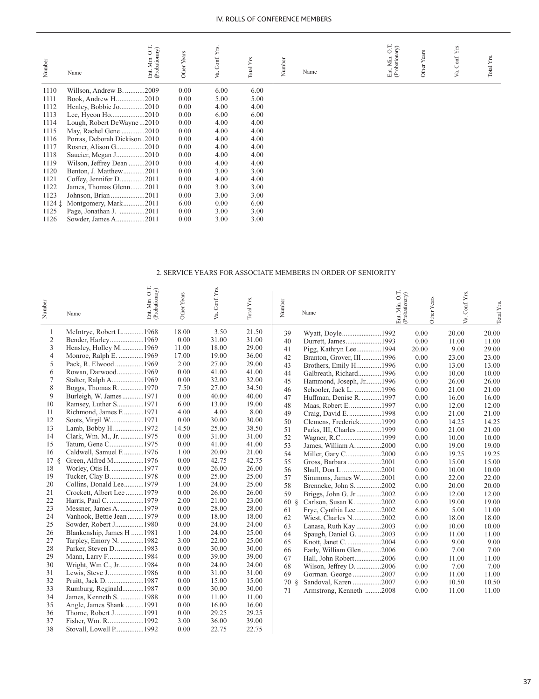| Number     | Name                         | Ent. Min. O.T.<br>(Probationary) | Other Years | Va. Conf. Yrs. | Total Y <sub>rs</sub> | Number | Name |  | Ent. Min. O.T.<br>(Probationary) | Other Years | Conf. Yrs<br>Уa. | Total Yrs. |
|------------|------------------------------|----------------------------------|-------------|----------------|-----------------------|--------|------|--|----------------------------------|-------------|------------------|------------|
| 1110       | Willson, Andrew B. 2009      |                                  | 0.00        | 6.00           | 6.00                  |        |      |  |                                  |             |                  |            |
| 1111       | Book, Andrew H2010           |                                  | 0.00        | 5.00           | 5.00                  |        |      |  |                                  |             |                  |            |
| 1112       | Henley, Bobbie Jo2010        |                                  | 0.00        | 4.00           | 4.00                  |        |      |  |                                  |             |                  |            |
| 1113       | Lee, Hyeon Ho2010            |                                  | 0.00        | 6.00           | 6.00                  |        |      |  |                                  |             |                  |            |
| 1114       | Lough, Robert DeWayne2010    |                                  | 0.00        | 4.00           | 4.00                  |        |      |  |                                  |             |                  |            |
| 1115       | May, Rachel Gene 2010        |                                  | 0.00        | 4.00           | 4.00                  |        |      |  |                                  |             |                  |            |
| 1116       | Porras, Deborah Dickison2010 |                                  | 0.00        | 4.00           | 4.00                  |        |      |  |                                  |             |                  |            |
| 1117       | Rosner, Alison G2010         |                                  | 0.00        | 4.00           | 4.00                  |        |      |  |                                  |             |                  |            |
| 1118       | Saucier, Megan J2010         |                                  | 0.00        | 4.00           | 4.00                  |        |      |  |                                  |             |                  |            |
| 1119       | Wilson, Jeffrey Dean 2010    |                                  | 0.00        | 4.00           | 4.00                  |        |      |  |                                  |             |                  |            |
| 1120       | Benton, J. Matthew2011       |                                  | 0.00        | 3.00           | 3.00                  |        |      |  |                                  |             |                  |            |
| 1121       | Coffey, Jennifer D2011       |                                  | 0.00        | 4.00           | 4.00                  |        |      |  |                                  |             |                  |            |
| 1122       | James, Thomas Glenn2011      |                                  | 0.00        | 3.00           | 3.00                  |        |      |  |                                  |             |                  |            |
| 1123       | Johnson, Brian2011           |                                  | 0.00        | 3.00           | 3.00                  |        |      |  |                                  |             |                  |            |
| $1124 \pm$ | Montgomery, Mark2011         |                                  | 6.00        | 0.00           | 6.00                  |        |      |  |                                  |             |                  |            |
| 1125       | Page, Jonathan J. 2011       |                                  | 0.00        | 3.00           | 3.00                  |        |      |  |                                  |             |                  |            |
| 1126       | Sowder, James A2011          |                                  | 0.00        | 3.00           | 3.00                  |        |      |  |                                  |             |                  |            |
|            |                              |                                  |             |                |                       |        |      |  |                                  |             |                  |            |

#### 2. SERVICE YEARS FOR ASSOCIATE MEMBERS IN ORDER OF SENIORITY

| Number     | Name                      | Ent. Min. O.T.<br>(Probationary) | Other Years | Va. Conf. Yrs. | Total Yrs. | Number               | Name                     | O.T.<br>Ent. Min. O.T.<br>(Probationary) | Other Years | /a. Conf. Yrs. | Total Yrs. |
|------------|---------------------------|----------------------------------|-------------|----------------|------------|----------------------|--------------------------|------------------------------------------|-------------|----------------|------------|
| 1          | McIntrye, Robert L1968    |                                  | 18.00       | 3.50           | 21.50      | 39                   | Wyatt, Doyle1992         |                                          | 0.00        | 20.00          | 20.00      |
| $\sqrt{2}$ | Bender, Harley1969        |                                  | 0.00        | 31.00          | 31.00      | 40                   | Durrett, James1993       |                                          | 0.00        | 11.00          | 11.00      |
| 3          | Hensley, Holley M1969     |                                  | 11.00       | 18.00          | 29.00      | 41                   | Pigg, Kathryn Lee1994    |                                          | 20.00       | 9.00           | 29.00      |
| 4          | Monroe, Ralph E. 1969     |                                  | 17.00       | 19.00          | 36.00      | 42                   | Branton, Grover, III1996 |                                          | 0.00        | 23.00          | 23.00      |
| 5          | Pack, R. Elwood 1969      |                                  | 2.00        | 27.00          | 29.00      | 43                   | Brothers, Emily H1996    |                                          | 0.00        | 13.00          | 13.00      |
| 6          | Rowan, Darwood1969        |                                  | 0.00        | 41.00          | 41.00      | 44                   | Galbreath, Richard1996   |                                          | 0.00        | 10.00          | 10.00      |
| 7          | Stalter, Ralph A1969      |                                  | 0.00        | 32.00          | 32.00      | 45                   | Hammond, Joseph, Jr1996  |                                          | 0.00        | 26.00          | 26.00      |
| 8          | Boggs, Thomas R. 1970     |                                  | 7.50        | 27.00          | 34.50      | 46                   | Schooler, Jack L. 1996   |                                          | 0.00        | 21.00          | 21.00      |
| 9          | Burleigh, W. James1971    |                                  | 0.00        | 40.00          | 40.00      | 47                   | Huffman, Denise R. 1997  |                                          | 0.00        | 16.00          | 16.00      |
| 10         | Ramsey, Luther S1971      |                                  | 6.00        | 13.00          | 19.00      | 48                   | Maas, Robert E. 1997     |                                          | 0.00        | 12.00          | 12.00      |
| 11         | Richmond, James F1971     |                                  | 4.00        | 4.00           | 8.00       | 49                   | Craig, David E1998       |                                          | 0.00        | 21.00          | 21.00      |
| 12         | Soots, Virgil W1971       |                                  | 0.00        | 30.00          | 30.00      | 50                   | Clemens, Frederick1999   |                                          | 0.00        | 14.25          | 14.25      |
| 13         | Lamb, Bobby H. 1972       |                                  | 14.50       | 25.00          | 38.50      | 51                   | Parks, III, Charles1999  |                                          | 0.00        | 21.00          | 21.00      |
| 14         | Clark, Wm. M., Jr. 1975   |                                  | 0.00        | 31.00          | 31.00      | 52                   | Wagner, R.C1999          |                                          | 0.00        | 10.00          | 10.00      |
| 15         | Tatum, Gene C1975         |                                  | 0.00        | 41.00          | 41.00      | 53                   | James, William A2000     |                                          | 0.00        | 19.00          | 19.00      |
| 16         | Caldwell, Samuel F1976    |                                  | 1.00        | 20.00          | 21.00      | 54                   | Miller, Gary C2000       |                                          | 0.00        | 19.25          | 19.25      |
| $17 \S$    | Green, Alfred M1976       |                                  | 0.00        | 42.75          | 42.75      | 55                   | Gross, Barbara2001       |                                          | 0.00        | 15.00          | 15.00      |
| 18         | Worley, Otis H. 1977      |                                  | 0.00        | 26.00          | 26.00      | 56                   | Shull, Don L 2001        |                                          | 0.00        | 10.00          | 10.00      |
| 19         | Tucker, Clay B1978        |                                  | 0.00        | 25.00          | 25.00      | 57                   | Simmons, James W2001     |                                          | 0.00        | 22.00          | 22.00      |
| 20         | Collins, Donald Lee1979   |                                  | 1.00        | 24.00          | 25.00      | 58                   | Brenneke, John S2002     |                                          | 0.00        | 20.00          | 20.00      |
| 21         | Crockett, Albert Lee 1979 |                                  | 0.00        | 26.00          | 26.00      | 59                   | Briggs, John G. Jr2002   |                                          | 0.00        | 12.00          | 12.00      |
| 22         | Harris, Paul C. 1979      |                                  | 2.00        | 21.00          | 23.00      | $60 \; \; \text{\&}$ | Carlson, Susan K. 2002   |                                          | 0.00        | 19.00          | 19.00      |
| 23         | Messner, James A. 1979    |                                  | 0.00        | 28.00          | 28.00      | 61                   | Frye, Cynthia Lee 2002   |                                          | 6.00        | 5.00           | 11.00      |
| 24         | Vanhook, Bettie Jean 1979 |                                  | 0.00        | 18.00          | 18.00      | 62                   | Wiest, Charles N2002     |                                          | 0.00        | 18.00          | 18.00      |
| 25         | Sowder, Robert J1980      |                                  | 0.00        | 24.00          | 24.00      | 63                   | Lanasa, Ruth Kay 2003    |                                          | 0.00        | 10.00          | 10.00      |
| 26         | Blankenship, James H 1981 |                                  | 1.00        | 24.00          | 25.00      | 64                   | Spaugh, Daniel G. 2003   |                                          | 0.00        | 11.00          | 11.00      |
| 27         | Tarpley, Emory N. 1982    |                                  | 3.00        | 22.00          | 25.00      | 65                   | Knott, Janet C2004       |                                          | 0.00        | 9.00           | 9.00       |
| 28         | Parker, Steven D. 1983    |                                  | 0.00        | 30.00          | 30.00      | 66                   | Early, William Glen2006  |                                          | 0.00        | 7.00           | 7.00       |
| 29         | Mann, Larry F1984         |                                  | 0.00        | 39.00          | 39.00      | 67                   | Hall, John Robert2006    |                                          | 0.00        | 11.00          | 11.00      |
| 30         | Wright, Wm C., Jr1984     |                                  | 0.00        | 24.00          | 24.00      | 68                   | Wilson, Jeffrey D2006    |                                          | 0.00        | 7.00           | 7.00       |
| 31         | Lewis, Steve J1986        |                                  | 0.00        | 31.00          | 31.00      | 69                   | Gorman. George 2007      |                                          | 0.00        | 11.00          | 11.00      |
| 32         | Pruitt, Jack D. 1987      |                                  | 0.00        | 15.00          | 15.00      | $70\delta$           | Sandoval, Karen 2007     |                                          | 0.00        | 10.50          | 10.50      |
| 33         | Rumburg, Reginald1987     |                                  | 0.00        | 30.00          | 30.00      | 71                   | Armstrong, Kenneth 2008  |                                          | 0.00        | 11.00          | 11.00      |
| 34         | James, Kenneth S. 1988    |                                  | 0.00        | 11.00          | 11.00      |                      |                          |                                          |             |                |            |
| 35         | Angle, James Shank 1991   |                                  | 0.00        | 16.00          | 16.00      |                      |                          |                                          |             |                |            |
| 36         | Thorne, Robert J. 1991    |                                  | 0.00        | 29.25          | 29.25      |                      |                          |                                          |             |                |            |
| 37         | Fisher, Wm. R1992         |                                  | 3.00        | 36.00          | 39.00      |                      |                          |                                          |             |                |            |
| 38         | Stovall, Lowell P1992     |                                  | 0.00        | 22.75          | 22.75      |                      |                          |                                          |             |                |            |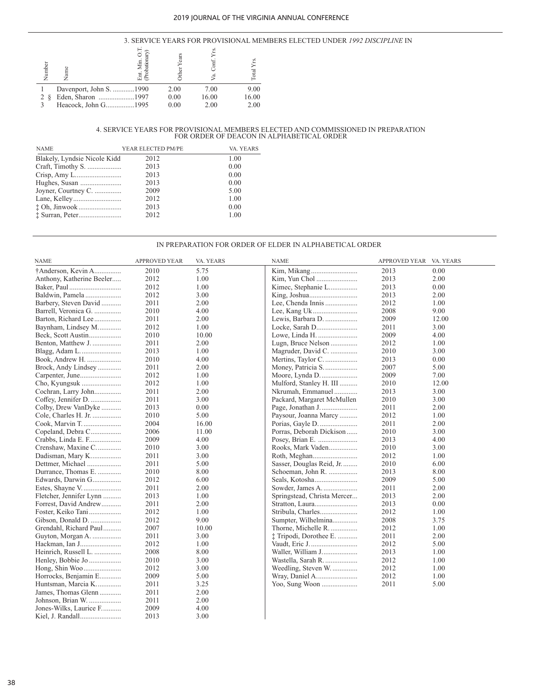#### 3. SERVICE YEARS FOR PROVISIONAL MEMBERS ELECTED UNDER *1992 DISCIPLINE* IN

| Ê | Vam                     | Min. U<br>bationar | ដូ   |       |       |
|---|-------------------------|--------------------|------|-------|-------|
|   | Davenport, John S. 1990 |                    | 2.00 | 7.00  | 9.00  |
|   | Eden, Sharon 1997       |                    | 0.00 | 16.00 | 16.00 |
|   | Heacock, John G1995     |                    | 0.00 | 2.00  | 2.00  |

# 4. SERVICE YEARS FOR PROVISIONAL MEMBERS ELECTED AND COMMISSIONED IN PREPARATION FOR ORDER OF DEACON IN ALPHABETICAL ORDER

| <b>NAME</b>                  | YEAR ELECTED PM/PE | VA. YEARS |
|------------------------------|--------------------|-----------|
| Blakely, Lyndsie Nicole Kidd | 2012               | 1.00      |
|                              | 2013               | 0.00      |
|                              | 2013               | 0.00      |
|                              | 2013               | 0.00      |
| Joyner, Courtney C.          | 2009               | 5.00      |
|                              | 2012               | 1.00      |
|                              | 2013               | 0.00      |
|                              | 2012               | 1.00      |

#### IN PREPARATION FOR ORDER OF ELDER IN ALPHABETICAL ORDER

| NAME                      | <b>APPROVED YEAR</b> | VA. YEARS | <b>NAME</b>                 | APPROVED YEAR VA. YEARS |       |
|---------------------------|----------------------|-----------|-----------------------------|-------------------------|-------|
| †Anderson, Kevin A        | 2010                 | 5.75      |                             | 2013                    | 0.00  |
| Anthony, Katherine Beeler | 2012                 | 1.00      |                             | 2013                    | 2.00  |
| Baker, Paul               | 2012                 | 1.00      | Kimec, Stephanie L          | 2013                    | 0.00  |
| Baldwin, Pamela           | 2012                 | 3.00      |                             | 2013                    | 2.00  |
| Barbery, Steven David     | 2011                 | 2.00      | Lee, Chenda Innis           | 2012                    | 1.00  |
| Barrell, Veronica G.      | 2010                 | 4.00      |                             | 2008                    | 9.00  |
| Barton, Richard Lee       | 2011                 | 2.00      | Lewis, Barbara D.           | 2009                    | 12.00 |
| Baynham, Lindsey M        | 2012                 | 1.00      |                             | 2011                    | 3.00  |
| Beck, Scott Austin        | 2010                 | 10.00     | Lowe, Linda H.              | 2009                    | 4.00  |
| Benton, Matthew J.        | 2011                 | 2.00      | Lugn, Bruce Nelson          | 2012                    | 1.00  |
| Blagg, Adam L             | 2013                 | 1.00      | Magruder, David C.          | 2010                    | 3.00  |
| Book, Andrew H.           | 2010                 | 4.00      | Mertins, Taylor C.          | 2013                    | 0.00  |
| Brock, Andy Lindsey       | 2011                 | 2.00      | Money, Patricia S.          | 2007                    | 5.00  |
| Carpenter, June           | 2012                 | 1.00      |                             | 2009                    | 7.00  |
| Cho, Kyungsuk             | 2012                 | 1.00      | Mulford, Stanley H. III     | 2010                    | 12.00 |
| Cochran, Larry John       | 2011                 | 2.00      | Nkrumah, Emmanuel           | 2013                    | 3.00  |
| Coffey, Jennifer D.       | 2011                 | 3.00      | Packard, Margaret McMullen  | 2010                    | 3.00  |
| Colby, Drew VanDyke       | 2013                 | 0.00      |                             | 2011                    | 2.00  |
| Cole, Charles H. Jr.      | 2010                 | 5.00      | Paysour, Joanna Marcy       | 2012                    | 1.00  |
| Cook, Marvin T.           | 2004                 | 16.00     |                             | 2011                    | 2.00  |
| Copeland, Debra C         | 2006                 | 11.00     | Porras, Deborah Dickison    | 2010                    | 3.00  |
| Crabbs, Linda E. F        | 2009                 | 4.00      |                             | 2013                    | 4.00  |
| Crenshaw, Maxine C        | 2010                 | 3.00      | Rooks, Mark Vaden           | 2010                    | 3.00  |
| Dadisman, Mary K          | 2011                 | 3.00      |                             | 2012                    | 1.00  |
| Dettmer, Michael          | 2011                 | 5.00      | Sasser, Douglas Reid, Jr    | 2010                    | 6.00  |
| Durrance, Thomas E.       | 2010                 | 8.00      | Schoeman, John R.           | 2013                    | 8.00  |
| Edwards, Darwin G         | 2012                 | 6.00      |                             | 2009                    | 5.00  |
| Estes, Shayne V.          | 2011                 | 2.00      | Sowder, James A.            | 2011                    | 2.00  |
| Fletcher, Jennifer Lynn   | 2013                 | 1.00      |                             | 2013                    | 2.00  |
| Forrest, David Andrew     | 2011                 | 2.00      | Springstead, Christa Mercer | 2013                    | 0.00  |
| Foster, Keiko Tani        | 2012                 | 1.00      |                             | 2012                    |       |
|                           | 2012                 |           | Stribula, Charles           | 2008                    | 1.00  |
| Gibson, Donald D.         | 2007                 | 9.00      | Sumpter, Wilhelmina         |                         | 3.75  |
| Grendahl, Richard Paul    | 2011                 | 10.00     | Thorne, Michelle R.         | 2012                    | 1.00  |
| Guyton, Morgan A.         |                      | 3.00      | † Tripodi, Dorothee E.      | 2011                    | 2.00  |
| Hackman, Ian J            | 2012                 | 1.00      |                             | 2012                    | 5.00  |
| Heinrich, Russell L.      | 2008                 | 8.00      | Waller, William J           | 2013                    | 1.00  |
| Henley, Bobbie Jo         | 2010                 | 3.00      | Wastella, Sarah R.          | 2012                    | 1.00  |
|                           | 2012                 | 3.00      | Weedling, Steven W.         | 2012                    | 1.00  |
| Horrocks, Benjamin E      | 2009                 | 5.00      |                             | 2012                    | 1.00  |
| Huntsman, Marcia K        | 2011                 | 3.25      |                             | 2011                    | 5.00  |
| James, Thomas Glenn       | 2011                 | 2.00      |                             |                         |       |
| Johnson, Brian W.         | 2011                 | 2.00      |                             |                         |       |
| Jones-Wilks, Laurice F    | 2009                 | 4.00      |                             |                         |       |
| Kiel, J. Randall          | 2013                 | 3.00      |                             |                         |       |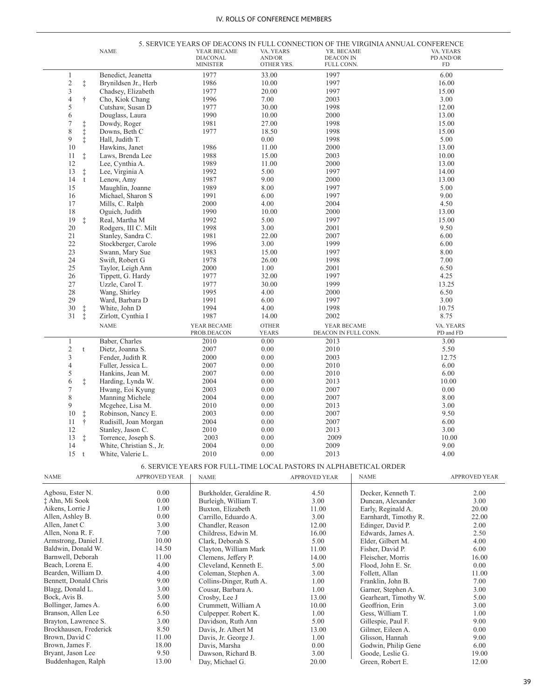|                                                                                                        |                | <b>NAME</b>              | YEAR BECAME<br><b>DIACONAL</b><br><b>MINISTER</b>                  | VA. YEARS<br>AND/OR<br>OTHER YRS. | YR. BECAME<br><b>DEACON IN</b><br>FULL CONN. | 5. SERVICE YEARS OF DEACONS IN FULL CONNECTION OF THE VIRGINIA ANNUAL CONFERENCE | VA. YEARS<br>PD AND/OR<br>${\rm FD}$ |
|--------------------------------------------------------------------------------------------------------|----------------|--------------------------|--------------------------------------------------------------------|-----------------------------------|----------------------------------------------|----------------------------------------------------------------------------------|--------------------------------------|
| 1                                                                                                      |                | Benedict, Jeanetta       | 1977                                                               | 33.00                             | 1997                                         |                                                                                  | 6.00                                 |
| $\overline{\mathbf{c}}$                                                                                | $\ddagger$     | Brynildsen Jr., Herb     | 1986                                                               | 10.00                             | 1997                                         |                                                                                  | 16.00                                |
| 3                                                                                                      |                | Chadsey, Elizabeth       | 1977                                                               | 20.00                             | 1997                                         |                                                                                  | 15.00                                |
| 4                                                                                                      | $\dagger$      | Cho, Kiok Chang          | 1996                                                               | 7.00                              | 2003                                         |                                                                                  | 3.00                                 |
| 5                                                                                                      |                | Cutshaw, Susan D         | 1977                                                               | 30.00                             | 1998                                         |                                                                                  | 12.00                                |
| 6                                                                                                      |                | Douglass, Laura          | 1990                                                               | 10.00                             | 2000                                         |                                                                                  | 13.00                                |
| $\boldsymbol{7}$                                                                                       |                | Dowdy, Roger             | 1981                                                               | 27.00                             | 1998                                         |                                                                                  | 15.00                                |
| 8                                                                                                      |                | Downs, Beth C            | 1977                                                               | 18.50                             | 1998                                         |                                                                                  | 15.00                                |
| 9                                                                                                      | ++++++         | Hall, Judith T.          |                                                                    | 0.00                              | 1998                                         |                                                                                  | 5.00                                 |
| 10                                                                                                     |                | Hawkins, Janet           | 1986                                                               | 11.00                             | 2000                                         |                                                                                  | 13.00                                |
| 11                                                                                                     | $\ddagger$     | Laws, Brenda Lee         | 1988                                                               | 15.00                             | 2003                                         |                                                                                  | 10.00                                |
| 12                                                                                                     |                | Lee, Cynthia A.          | 1989                                                               | 11.00                             | 2000                                         |                                                                                  | 13.00                                |
| 13                                                                                                     | $\ddagger$     | Lee, Virginia A          | 1992                                                               | 5.00                              | 1997                                         |                                                                                  | 14.00                                |
| 14                                                                                                     | t              | Lenow, Amy               | 1987                                                               | 9.00                              | 2000                                         |                                                                                  | 13.00                                |
| 15                                                                                                     |                | Maughlin, Joanne         | 1989                                                               | 8.00                              | 1997                                         |                                                                                  | 5.00                                 |
| 16                                                                                                     |                | Michael, Sharon S        | 1991                                                               | 6.00                              | 1997                                         |                                                                                  | 9.00                                 |
| 17                                                                                                     |                | Mills, C. Ralph          | 2000                                                               | 4.00                              | 2004                                         |                                                                                  | 4.50                                 |
| 18                                                                                                     |                | Oguich, Judith           | 1990                                                               | 10.00                             | 2000                                         |                                                                                  | 13.00                                |
| 19                                                                                                     |                |                          | 1992                                                               | 5.00                              | 1997                                         |                                                                                  | 15.00                                |
|                                                                                                        | $\ddagger$     | Real, Martha M           |                                                                    |                                   |                                              |                                                                                  |                                      |
| 20                                                                                                     |                | Rodgers, III C. Milt     | 1998                                                               | 3.00                              | 2001                                         |                                                                                  | 9.50                                 |
| 21                                                                                                     |                | Stanley, Sandra C.       | 1981                                                               | 22.00                             | 2007                                         |                                                                                  | 6.00                                 |
| 22                                                                                                     |                | Stockberger, Carole      | 1996                                                               | 3.00                              | 1999                                         |                                                                                  | 6.00                                 |
| 23                                                                                                     |                | Swann, Mary Sue          | 1983                                                               | 15.00                             | 1997                                         |                                                                                  | 8.00                                 |
| 24                                                                                                     |                | Swift, Robert G          | 1978                                                               | 26.00                             | 1998                                         |                                                                                  | 7.00                                 |
| 25                                                                                                     |                | Taylor, Leigh Ann        | 2000                                                               | 1.00                              | 2001                                         |                                                                                  | 6.50                                 |
| 26                                                                                                     |                | Tippett, G. Hardy        | 1977                                                               | 32.00                             | 1997                                         |                                                                                  | 4.25                                 |
| 27                                                                                                     |                | Uzzle, Carol T.          | 1977                                                               | 30.00                             | 1999                                         |                                                                                  | 13.25                                |
| 28                                                                                                     |                | Wang, Shirley            | 1995                                                               | 4.00                              | 2000                                         |                                                                                  | 6.50                                 |
| 29                                                                                                     |                | Ward, Barbara D          | 1991                                                               | 6.00                              | 1997                                         |                                                                                  | 3.00                                 |
| 30                                                                                                     | $\ddagger$     | White, John D            | 1994                                                               | 4.00                              | 1998                                         |                                                                                  | 10.75                                |
| 31                                                                                                     | $\ddagger$     | Zirlott, Cynthia I       | 1987                                                               | 14.00                             | 2002                                         |                                                                                  | 8.75                                 |
|                                                                                                        |                | <b>NAME</b>              | YEAR BECAME<br>PROB.DEACON                                         | <b>OTHER</b><br>YEARS             | YEAR BECAME<br>DEACON IN FULL CONN.          |                                                                                  | VA. YEARS<br>PD and FD               |
| 1                                                                                                      |                | Baber, Charles           | 2010                                                               | 0.00                              | 2013                                         |                                                                                  | 3.00                                 |
| $\overline{c}$                                                                                         | t              | Dietz, Joanna S.         | 2007                                                               | 0.00                              | 2010                                         |                                                                                  | 5.50                                 |
| 3                                                                                                      |                | Fender, Judith R         | 2000                                                               | 0.00                              | 2003                                         |                                                                                  | 12.75                                |
| 4                                                                                                      |                | Fuller, Jessica L.       | 2007                                                               | 0.00                              | 2010                                         |                                                                                  | 6.00                                 |
| 5                                                                                                      |                | Hankins, Jean M.         | 2007                                                               | 0.00                              | 2010                                         |                                                                                  | 6.00                                 |
| 6                                                                                                      | $\ddagger$     | Harding, Lynda W.        | 2004                                                               | 0.00                              | 2013                                         |                                                                                  | 10.00                                |
| $\tau$                                                                                                 |                | Hwang, Eoi Kyung         | 2003                                                               | 0.00                              | 2007                                         |                                                                                  | 0.00                                 |
| 8                                                                                                      |                | Manning Michele          | 2004                                                               | 0.00                              | 2007                                         |                                                                                  | 8.00                                 |
| 9                                                                                                      |                | Mcgehee, Lisa M.         | 2010                                                               | 0.00                              | 2013                                         |                                                                                  | 3.00                                 |
| 10                                                                                                     | ŧ              | Robinson, Nancy E.       | 2003                                                               | 0.00                              | 2007                                         |                                                                                  | 9.50                                 |
| 11                                                                                                     | Ť              | Rudisill, Joan Morgan    | 2004                                                               | 0.00                              | 2007                                         |                                                                                  | 6.00                                 |
| 12                                                                                                     |                | Stanley, Jason C.        | 2010                                                               | $0.00\,$                          | 2013                                         |                                                                                  | 3.00                                 |
| 13                                                                                                     | $\ddagger$     | Torrence, Joseph S.      | 2003                                                               | 0.00                              | 2009                                         |                                                                                  | 10.00                                |
| 14                                                                                                     |                | White, Christian S., Jr. | 2004                                                               | 0.00                              | 2009                                         |                                                                                  | 9.00                                 |
|                                                                                                        | $15 \text{ t}$ | White, Valerie L.        | 2010                                                               | 0.00                              | 2013                                         |                                                                                  | 4.00                                 |
|                                                                                                        |                |                          | 6. SERVICE YEARS FOR FULL-TIME LOCAL PASTORS IN ALPHABETICAL ORDER |                                   |                                              |                                                                                  |                                      |
| <b>NAME</b>                                                                                            |                | APPROVED YEAR            | <b>NAME</b>                                                        |                                   | <b>APPROVED YEAR</b>                         | <b>NAME</b>                                                                      | APPROVED YEAR                        |
| Agbosu, Ester N.                                                                                       |                | 0.00                     | Burkholder, Geraldine R.                                           |                                   | 4.50                                         | Decker, Kenneth T.                                                               | 2.00                                 |
| ‡ Ahn, Mi Sook                                                                                         |                | 0.00                     | Burleigh, William T.                                               |                                   | 3.00                                         | Duncan, Alexander                                                                | 3.00                                 |
| Aikens, Lorrie J                                                                                       |                | 1.00                     | Buxton, Elizabeth                                                  |                                   | 11.00                                        | Early, Reginald A.                                                               | 20.00                                |
| Allen, Ashley B.                                                                                       |                | 0.00                     | Carrillo, Eduardo A.                                               |                                   | 3.00                                         | Earnhardt, Timothy R.                                                            | 22.00                                |
|                                                                                                        |                | 3.00                     | Chandler, Reason                                                   |                                   | 12.00                                        | Edinger, David P.                                                                | 2.00                                 |
|                                                                                                        |                | 7.00                     | Childress, Edwin M.                                                |                                   | 16.00                                        | Edwards, James A.                                                                | 2.50                                 |
|                                                                                                        |                |                          |                                                                    |                                   |                                              |                                                                                  |                                      |
|                                                                                                        |                |                          |                                                                    |                                   |                                              |                                                                                  |                                      |
|                                                                                                        |                | 10.00                    | Clark, Deborah S.                                                  |                                   | 5.00                                         | Elder, Gilbert M.                                                                | 4.00                                 |
| Allen, Janet C<br>Allen, Nona R. F.<br>Armstrong, Daniel J.<br>Baldwin, Donald W.<br>Barnwell, Deborah |                | 14.50<br>11.00           | Clayton, William Mark<br>Clemens, Jeffery P.                       |                                   | 11.00<br>14.00                               | Fisher, David P.<br>Fleischer, Morris                                            | 6.00<br>16.00                        |

|                        |       | $1.32$ and $1.1$         |       |                       |       |
|------------------------|-------|--------------------------|-------|-----------------------|-------|
| Agbosu, Ester N.       | 0.00  | Burkholder, Geraldine R. | 4.50  | Decker, Kenneth T.    | 2.00  |
| ‡ Ahn, Mi Sook         | 0.00  | Burleigh, William T.     | 3.00  | Duncan, Alexander     | 3.00  |
| Aikens, Lorrie J       | 1.00  | Buxton, Elizabeth        | 11.00 | Early, Reginald A.    | 20.00 |
| Allen, Ashley B.       | 0.00  | Carrillo, Eduardo A.     | 3.00  | Earnhardt, Timothy R. | 22.00 |
| Allen, Janet C         | 3.00  | Chandler, Reason         | 12.00 | Edinger, David P.     | 2.00  |
| Allen, Nona R. F.      | 7.00  | Childress, Edwin M.      | 16.00 | Edwards, James A.     | 2.50  |
| Armstrong, Daniel J.   | 10.00 | Clark, Deborah S.        | 5.00  | Elder, Gilbert M.     | 4.00  |
| Baldwin, Donald W.     | 14.50 | Clayton, William Mark    | 11.00 | Fisher, David P.      | 6.00  |
| Barnwell, Deborah      | 11.00 | Clemens, Jeffery P.      | 14.00 | Fleischer, Morris     | 16.00 |
| Beach, Lorena E.       | 4.00  | Cleveland, Kenneth E.    | 5.00  | Flood, John E. Sr.    | 0.00  |
| Bearden, William D.    | 4.00  | Coleman, Stephen A.      | 3.00  | Follett, Allan        | 11.00 |
| Bennett, Donald Chris  | 9.00  | Collins-Dinger, Ruth A.  | 1.00  | Franklin, John B.     | 7.00  |
| Blagg, Donald L.       | 3.00  | Cousar, Barbara A.       | 1.00  | Garner, Stephen A.    | 3.00  |
| Bock, Avis B.          | 5.00  | Crosby, Lee J            | 13.00 | Gearheart, Timothy W. | 5.00  |
| Bollinger, James A.    | 6.00  | Crummett, William A      | 10.00 | Geoffrion, Erin       | 3.00  |
| Branson, Allen Lee     | 6.50  | Culpepper. Robert K.     | 1.00  | Gess, William T.      | 1.00  |
| Brayton, Lawrence S.   | 3.00  | Davidson, Ruth Ann       | 5.00  | Gillespie, Paul F.    | 9.00  |
| Brockhausen, Frederick | 8.50  | Davis, Jr. Albert M      | 13.00 | Gilmer, Eileen A.     | 0.00  |
| Brown, David C         | 11.00 | Davis, Jr. George J.     | 1.00  | Glisson, Hannah       | 9.00  |
| Brown, James F.        | 18.00 | Davis, Marsha            | 0.00  | Godwin, Philip Gene   | 6.00  |
| Bryant, Jason Lee      | 9.50  | Dawson, Richard B.       | 3.00  | Goode, Leslie G.      | 19.00 |
| Buddenhagen, Ralph     | 13.00 | Day, Michael G.          | 20.00 | Green, Robert E.      | 12.00 |

÷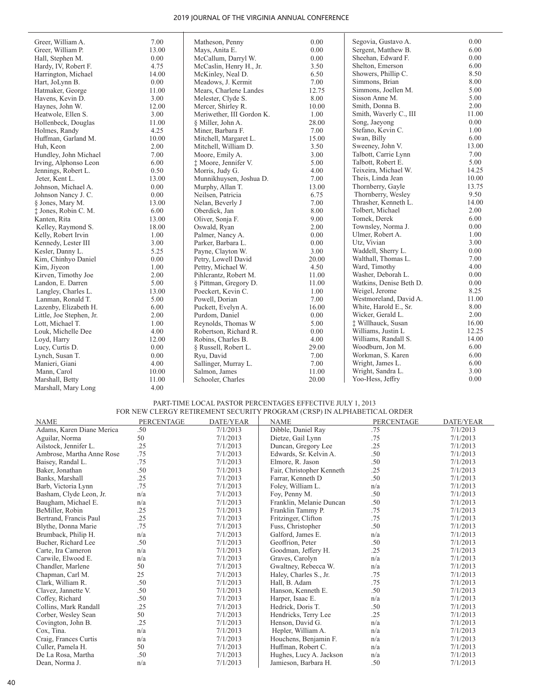| Greer, William A.        | 7.00  | Matheson, Penny           | 0.00     | Segovia, Gustavo A.     | 0.00  |
|--------------------------|-------|---------------------------|----------|-------------------------|-------|
| Greer, William P.        | 13.00 | Mays, Anita E.            | 0.00     | Sergent, Matthew B.     | 6.00  |
| Hall, Stephen M.         | 0.00  | McCallum, Darryl W.       | 0.00     | Sheehan, Edward F.      | 0.00  |
| Hardy, IV, Robert F.     | 4.75  | McCaslin, Henry H., Jr.   | 3.50     | Shelton, Emerson        | 6.00  |
| Harrington, Michael      | 14.00 | McKinley, Neal D.         | 6.50     | Showers, Phillip C.     | 8.50  |
| Hart, JoLynn B.          | 0.00  | Meadows, J. Kermit        | 7.00     | Simmons, Brian          | 8.00  |
| Hatmaker, George         | 11.00 | Mears, Charlene Landes    | 12.75    | Simmons, Joellen M.     | 5.00  |
| Havens, Kevin D.         | 3.00  | Melester, Clyde S.        | 8.00     | Sisson Anne M.          | 5.00  |
| Haynes, John W.          | 12.00 | Mercer, Shirley R.        | 10.00    | Smith, Donna B.         | 2.00  |
| Heatwole, Ellen S.       | 3.00  | Meriwether, III Gordon K. | $1.00\,$ | Smith, Waverly C., III  | 11.00 |
| Hollenbeck, Douglas      | 11.00 | § Miller, John A.         | 28.00    | Song, Jaeyong           | 0.00  |
| Holmes, Randy            | 4.25  | Miner, Barbara F.         | 7.00     | Stefano, Kevin C.       | 1.00  |
| Huffman, Garland M.      | 10.00 | Mitchell, Margaret L.     | 15.00    | Swan, Billy             | 6.00  |
| Huh, Keon                | 2.00  | Mitchell, William D.      | 3.50     | Sweeney, John V.        | 13.00 |
| Hundley, John Michael    | 7.00  | Moore, Emily A.           | 3.00     | Talbott, Carrie Lynn    | 7.00  |
| Irving, Alphonso Leon    | 6.00  | † Moore, Jennifer V.      | 5.00     | Talbott, Robert E.      | 5.00  |
| Jennings, Robert L.      | 0.50  | Morris, Judy G.           | 4.00     | Teixeira, Michael W.    | 14.25 |
| Jeter, Kent L.           | 13.00 | Munnikhuysen, Joshua D.   | 7.00     | Theis, Linda Jean       | 10.00 |
| Johnson, Michael A.      | 0.00  | Murphy, Allan T.          | 13.00    | Thornberry, Gayle       | 13.75 |
| Johnson Nancy J. C.      | 0.00  | Neilsen, Patricia         | 6.75     | Thornberry, Wesley      | 9.50  |
| § Jones, Mary M.         | 13.00 | Nelan, Beverly J          | 7.00     | Thrasher, Kenneth L.    | 14.00 |
| $±$ Jones, Robin C. M.   | 6.00  | Oberdick, Jan             | 8.00     | Tolbert, Michael        | 2.00  |
| Kanten, Rita             | 13.00 | Oliver, Sonja F.          | 9.00     | Tomek, Derek            | 6.00  |
| Kelley, Raymond S.       | 18.00 | Oswald, Ryan              | 2.00     | Townsley, Norma J.      | 0.00  |
| Kelly, Robert Irvin      | 1.00  | Palmer, Nancy A.          | 0.00     | Ulmer, Robert A.        | 1.00  |
| Kennedy, Lester III      | 3.00  | Parker, Barbara L.        | 0.00     | Utz, Vivian             | 3.00  |
| Kesler, Danny L.         | 5.25  | Payne, Clayton W.         | 3.00     | Waddell, Sherry L.      | 0.00  |
| Kim, Chinhyo Daniel      | 0.00  | Petry, Lowell David       | 20.00    | Walthall, Thomas L.     | 7.00  |
| Kim, Jiyeon              | 1.00  | Pettry, Michael W.        | 4.50     | Ward, Timothy           | 4.00  |
| Kirven, Timothy Joe      | 2.00  | Pihlcrantz, Robert M.     | 11.00    | Washer, Deborah L.      | 0.00  |
| Landon, E. Darren        | 5.00  | § Pittman, Gregory D.     | 11.00    | Watkins, Denise Beth D. | 0.00  |
| Langley, Charles L.      | 13.00 | Poeckert, Kevin C.        | 1.00     | Weigel, Jerome          | 8.25  |
| Lanman, Ronald T.        | 5.00  | Powell, Dorian            | 7.00     | Westmoreland, David A.  | 11.00 |
| Lazenby, Elizabeth H.    | 6.00  | Puckett, Evelyn A.        | 16.00    | White, Harold E., Sr.   | 8.00  |
| Little, Joe Stephen, Jr. | 2.00  | Purdom, Daniel            | 0.00     | Wicker, Gerald L.       | 2.00  |
| Lott, Michael T.         | 1.00  | Reynolds, Thomas W        | 5.00     | ‡ Willhauck, Susan      | 16.00 |
| Louk, Michelle Dee       | 4.00  | Robertson, Richard R.     | 0.00     | Williams, Justin L      | 12.25 |
| Loyd, Harry              | 12.00 | Robins, Charles B.        | 4.00     | Williams, Randall S.    | 14.00 |
| Lucy, Curtis D.          | 0.00  | § Russell, Robert L.      | 29.00    | Woodburn, Jon M.        | 6.00  |
| Lynch, Susan T.          | 0.00  | Ryu, David                | 7.00     | Workman, S. Karen       | 6.00  |
| Manieri, Giani           | 4.00  | Sallinger, Murray L.      | 7.00     | Wright, James L.        | 6.00  |
| Mann, Carol              | 10.00 | Salmon, James             | 11.00    | Wright, Sandra L.       | 3.00  |
| Marshall, Betty          | 11.00 | Schooler, Charles         | 20.00    | Yoo-Hess, Jeffry        | 0.00  |
| Marshall, Mary Long      | 4.00  |                           |          |                         |       |
|                          |       |                           |          |                         |       |

#### PART-TIME LOCAL PASTOR PERCENTAGES EFFECTIVE JULY 1, 2013 FOR NEW CLERGY RETIREMENT SECURITY PROGRAM (CRSP) IN ALPHABETICAL ORDER

| <b>NAME</b>               | <b>PERCENTAGE</b> | DATE/YEAR | <b>NAME</b>               | <b>PERCENTAGE</b> | DATE/YEAR |
|---------------------------|-------------------|-----------|---------------------------|-------------------|-----------|
| Adams, Karen Diane Merica | .50               | 7/1/2013  | Dibble, Daniel Ray        | .75               | 7/1/2013  |
| Aguilar, Norma            | 50                | 7/1/2013  | Dietze, Gail Lynn         | .75               | 7/1/2013  |
| Ailstock, Jennifer L.     | .25               | 7/1/2013  | Duncan, Gregory Lee       | .25               | 7/1/2013  |
| Ambrose, Martha Anne Rose | .75               | 7/1/2013  | Edwards, Sr. Kelvin A.    | .50               | 7/1/2013  |
| Baisey, Randal L.         | .75               | 7/1/2013  | Elmore, R. Jason          | .50               | 7/1/2013  |
| Baker, Jonathan           | .50               | 7/1/2013  | Fair, Christopher Kenneth | .25               | 7/1/2013  |
| Banks, Marshall           | .25               | 7/1/2013  | Farrar, Kenneth D         | .50               | 7/1/2013  |
| Barb, Victoria Lynn       | .75               | 7/1/2013  | Foley, William L.         | n/a               | 7/1/2013  |
| Basham, Clyde Leon, Jr.   | n/a               | 7/1/2013  | Foy, Penny M.             | .50               | 7/1/2013  |
| Baugham, Michael E.       | n/a               | 7/1/2013  | Franklin, Melanie Duncan  | .50               | 7/1/2013  |
| BeMiller, Robin           | .25               | 7/1/2013  | Franklin Tammy P.         | .75               | 7/1/2013  |
| Bertrand, Francis Paul    | .25               | 7/1/2013  | Fritzinger, Clifton       | .75               | 7/1/2013  |
| Blythe, Donna Marie       | .75               | 7/1/2013  | Fuss, Christopher         | .50               | 7/1/2013  |
| Brumback, Philip H.       | n/a               | 7/1/2013  | Galford, James E.         | n/a               | 7/1/2013  |
| Bucher, Richard Lee       | .50               | 7/1/2013  | Geoffrion, Peter          | .50               | 7/1/2013  |
| Carte, Ira Cameron        | n/a               | 7/1/2013  | Goodman, Jeffery H.       | .25               | 7/1/2013  |
| Carwile, Elwood E.        | n/a               | 7/1/2013  | Graves, Carolyn           | n/a               | 7/1/2013  |
| Chandler, Marlene         | 50                | 7/1/2013  | Gwaltney, Rebecca W.      | n/a               | 7/1/2013  |
| Chapman, Carl M.          | 25                | 7/1/2013  | Haley, Charles S., Jr.    | .75               | 7/1/2013  |
| Clark, William R.         | .50               | 7/1/2013  | Hall, B. Adam             | .75               | 7/1/2013  |
| Clavez, Jannette V.       | .50               | 7/1/2013  | Hanson, Kenneth E.        | .50               | 7/1/2013  |
| Coffey, Richard           | .50               | 7/1/2013  | Harper, Isaac E.          | n/a               | 7/1/2013  |
| Collins, Mark Randall     | .25               | 7/1/2013  | Hedrick, Doris T.         | .50               | 7/1/2013  |
| Corber, Wesley Sean       | 50                | 7/1/2013  | Hendricks, Terry Lee      | .25               | 7/1/2013  |
| Covington, John B.        | .25               | 7/1/2013  | Henson, David G.          | n/a               | 7/1/2013  |
| Cox, Tina.                | n/a               | 7/1/2013  | Hepler, William A.        | n/a               | 7/1/2013  |
| Craig, Frances Curtis     | n/a               | 7/1/2013  | Houchens, Benjamin F.     | n/a               | 7/1/2013  |
| Culler, Pamela H.         | 50                | 7/1/2013  | Huffman, Robert C.        | n/a               | 7/1/2013  |
| De La Rosa, Martha        | .50               | 7/1/2013  | Hughes, Lucy A. Jackson   | n/a               | 7/1/2013  |
| Dean, Norma J.            | n/a               | 7/1/2013  | Jamieson, Barbara H.      | .50               | 7/1/2013  |